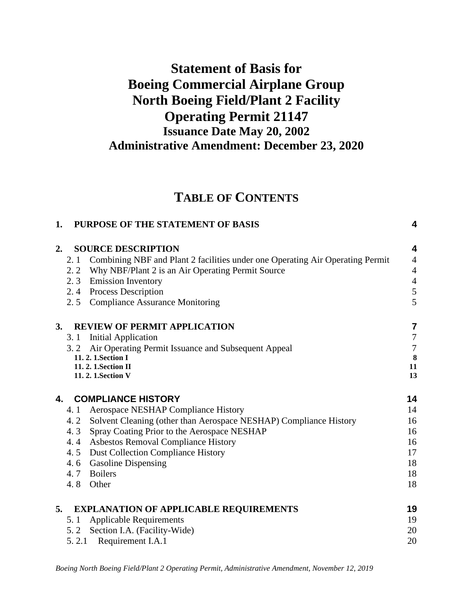# **Statement of Basis for Boeing Commercial Airplane Group North Boeing Field/Plant 2 Facility Operating Permit 21147 Issuance Date May 20, 2002 Administrative Amendment: December 23, 2020**

# **TABLE OF CONTENTS**

| 1. | PURPOSE OF THE STATEMENT OF BASIS                                                    | 4                |
|----|--------------------------------------------------------------------------------------|------------------|
| 2. | <b>SOURCE DESCRIPTION</b>                                                            | 4                |
|    | Combining NBF and Plant 2 facilities under one Operating Air Operating Permit<br>2.1 | $\overline{4}$   |
|    | 2.2 Why NBF/Plant 2 is an Air Operating Permit Source                                | $\overline{4}$   |
|    | 2.3 Emission Inventory                                                               | $\overline{4}$   |
|    | 2.4 Process Description                                                              | 5                |
|    | 2.5 Compliance Assurance Monitoring                                                  | 5                |
| 3. | <b>REVIEW OF PERMIT APPLICATION</b>                                                  | $\overline{7}$   |
|    | <b>Initial Application</b><br>3.1                                                    | $\boldsymbol{7}$ |
|    | Air Operating Permit Issuance and Subsequent Appeal<br>3.2                           | $\boldsymbol{7}$ |
|    | 11. 2. 1. Section I                                                                  | 8                |
|    | 11. 2. 1. Section II                                                                 | 11               |
|    | 11. 2. 1. Section V                                                                  | 13               |
| 4. | <b>COMPLIANCE HISTORY</b>                                                            | 14               |
|    | Aerospace NESHAP Compliance History<br>4.1                                           | 14               |
|    | 4.2 Solvent Cleaning (other than Aerospace NESHAP) Compliance History                | 16               |
|    | 4.3 Spray Coating Prior to the Aerospace NESHAP                                      | 16               |
|    | 4.4 Asbestos Removal Compliance History                                              | 16               |
|    | <b>Dust Collection Compliance History</b><br>4.5                                     | 17               |
|    | 4.6 Gasoline Dispensing                                                              | 18               |
|    | 4.7 Boilers                                                                          | 18               |
|    | 4.8<br>Other                                                                         | 18               |
| 5. | <b>EXPLANATION OF APPLICABLE REQUIREMENTS</b>                                        | 19               |
|    | <b>Applicable Requirements</b><br>5.1                                                | 19               |
|    | 5.2 Section I.A. (Facility-Wide)                                                     | 20               |
|    | 5.2.1 Requirement I.A.1                                                              | 20               |
|    |                                                                                      |                  |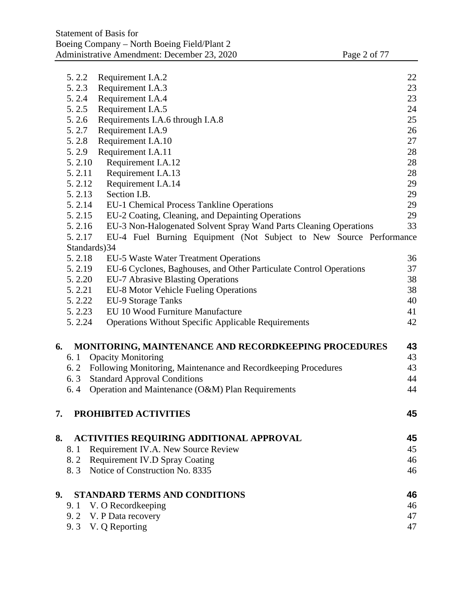|    | 5.2.2         | Requirement I.A.2                                                                        | 22       |
|----|---------------|------------------------------------------------------------------------------------------|----------|
|    | 5.2.3         | Requirement I.A.3                                                                        | 23       |
|    | 5.2.4         | Requirement I.A.4                                                                        | 23       |
|    | 5.2.5         | Requirement I.A.5                                                                        | 24       |
|    | 5.2.6         | Requirements I.A.6 through I.A.8                                                         | 25       |
|    | 5.2.7         | Requirement I.A.9                                                                        | 26       |
|    | 5.2.8         | Requirement I.A.10                                                                       | 27       |
|    | 5.2.9         | Requirement I.A.11                                                                       | 28       |
|    | 5.2.10        | Requirement I.A.12                                                                       | 28       |
|    | 5.2.11        | Requirement I.A.13                                                                       | 28       |
|    | 5.2.12        | Requirement I.A.14                                                                       | 29       |
|    | 5.2.13        | Section I.B.                                                                             | 29       |
|    | 5.2.14        | <b>EU-1 Chemical Process Tankline Operations</b>                                         | 29       |
|    | 5.2.15        | EU-2 Coating, Cleaning, and Depainting Operations                                        | 29       |
|    | 5.2.16        | EU-3 Non-Halogenated Solvent Spray Wand Parts Cleaning Operations                        | 33       |
|    | 5.2.17        | EU-4 Fuel Burning Equipment (Not Subject to New Source Performance                       |          |
|    | Standards) 34 |                                                                                          |          |
|    | 5.2.18        | EU-5 Waste Water Treatment Operations                                                    | 36       |
|    | 5.2.19        | EU-6 Cyclones, Baghouses, and Other Particulate Control Operations                       | 37       |
|    | 5.2.20        | <b>EU-7 Abrasive Blasting Operations</b>                                                 | 38       |
|    | 5.2.21        | EU-8 Motor Vehicle Fueling Operations                                                    | 38       |
|    | 5.2.22        | <b>EU-9 Storage Tanks</b>                                                                | 40       |
|    | 5.2.23        | EU 10 Wood Furniture Manufacture                                                         | 41       |
|    | 5.2.24        | <b>Operations Without Specific Applicable Requirements</b>                               | 42       |
|    |               |                                                                                          |          |
| 6. |               | MONITORING, MAINTENANCE AND RECORDKEEPING PROCEDURES                                     | 43       |
|    | 6.1           | <b>Opacity Monitoring</b>                                                                | 43<br>43 |
|    | 6.3           | 6.2 Following Monitoring, Maintenance and Recordkeeping Procedures                       | 44       |
|    | 6.4           | <b>Standard Approval Conditions</b><br>Operation and Maintenance (O&M) Plan Requirements | 44       |
|    |               |                                                                                          |          |
| 7. |               | PROHIBITED ACTIVITIES                                                                    | 45       |
|    |               |                                                                                          |          |
| 8. |               | <b>ACTIVITIES REQUIRING ADDITIONAL APPROVAL</b>                                          | 45       |
|    | 8.1           | Requirement IV.A. New Source Review                                                      | 45       |
|    |               | 8.2 Requirement IV.D Spray Coating                                                       | 46       |
|    |               | 8.3 Notice of Construction No. 8335                                                      | 46       |
| 9. |               | <b>STANDARD TERMS AND CONDITIONS</b>                                                     | 46       |
|    |               | 9.1 V. O Recordkeeping                                                                   | 46       |
|    |               | 9.2 V. P Data recovery                                                                   | 47       |
|    |               | 9.3 V. Q Reporting                                                                       | 47       |
|    |               |                                                                                          |          |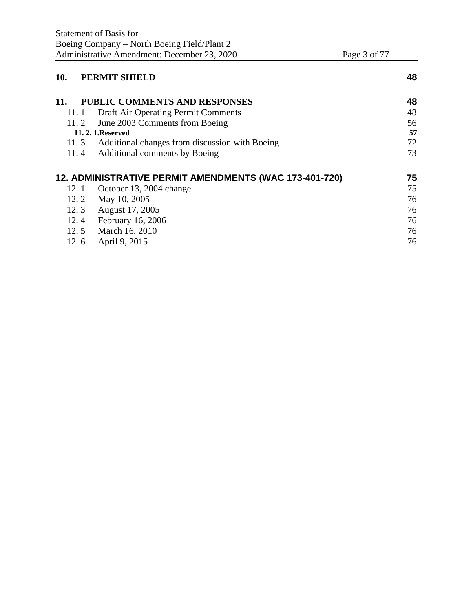| Page 3 of 7 |  |  |
|-------------|--|--|
|             |  |  |

| 10.   | <b>PERMIT SHIELD</b>                                   | 48 |
|-------|--------------------------------------------------------|----|
| 11.   | <b>PUBLIC COMMENTS AND RESPONSES</b>                   | 48 |
| 11. 1 | Draft Air Operating Permit Comments                    | 48 |
| 11.2  | June 2003 Comments from Boeing                         | 56 |
|       | <b>11. 2. 1. Reserved</b>                              | 57 |
|       | 11.3 Additional changes from discussion with Boeing    | 72 |
| 11.4  | <b>Additional comments by Boeing</b>                   | 73 |
|       | 12. ADMINISTRATIVE PERMIT AMENDMENTS (WAC 173-401-720) | 75 |
| 12.1  | October 13, 2004 change                                | 75 |
| 12.2  | May 10, 2005                                           | 76 |
| 12.3  | August 17, 2005                                        | 76 |
| 12.4  | <b>February 16, 2006</b>                               | 76 |
| 12.5  | March 16, 2010                                         | 76 |
| 12.6  | April 9, 2015                                          | 76 |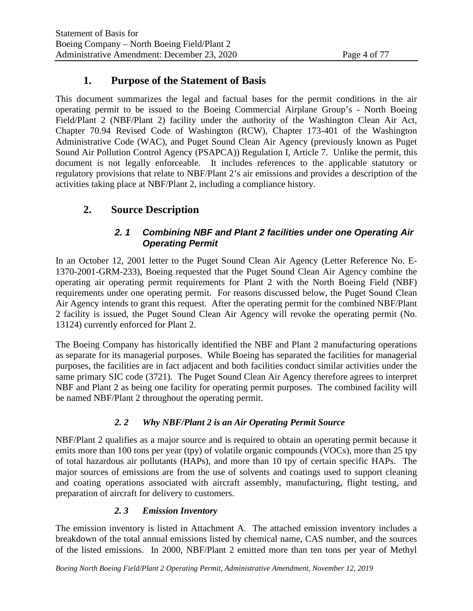# **1. Purpose of the Statement of Basis**

This document summarizes the legal and factual bases for the permit conditions in the air operating permit to be issued to the Boeing Commercial Airplane Group's - North Boeing Field/Plant 2 (NBF/Plant 2) facility under the authority of the Washington Clean Air Act, Chapter 70.94 Revised Code of Washington (RCW), Chapter 173-401 of the Washington Administrative Code (WAC), and Puget Sound Clean Air Agency (previously known as Puget Sound Air Pollution Control Agency (PSAPCA)) Regulation I, Article 7. Unlike the permit, this document is not legally enforceable. It includes references to the applicable statutory or regulatory provisions that relate to NBF/Plant 2's air emissions and provides a description of the activities taking place at NBF/Plant 2, including a compliance history.

# **2. Source Description**

# *2. 1 Combining NBF and Plant 2 facilities under one Operating Air Operating Permit*

In an October 12, 2001 letter to the Puget Sound Clean Air Agency (Letter Reference No. E-1370-2001-GRM-233), Boeing requested that the Puget Sound Clean Air Agency combine the operating air operating permit requirements for Plant 2 with the North Boeing Field (NBF) requirements under one operating permit. For reasons discussed below, the Puget Sound Clean Air Agency intends to grant this request. After the operating permit for the combined NBF/Plant 2 facility is issued, the Puget Sound Clean Air Agency will revoke the operating permit (No. 13124) currently enforced for Plant 2.

The Boeing Company has historically identified the NBF and Plant 2 manufacturing operations as separate for its managerial purposes. While Boeing has separated the facilities for managerial purposes, the facilities are in fact adjacent and both facilities conduct similar activities under the same primary SIC code (3721). The Puget Sound Clean Air Agency therefore agrees to interpret NBF and Plant 2 as being one facility for operating permit purposes. The combined facility will be named NBF/Plant 2 throughout the operating permit.

# *2. 2 Why NBF/Plant 2 is an Air Operating Permit Source*

NBF/Plant 2 qualifies as a major source and is required to obtain an operating permit because it emits more than 100 tons per year (tpy) of volatile organic compounds (VOCs), more than 25 tpy of total hazardous air pollutants (HAPs), and more than 10 tpy of certain specific HAPs. The major sources of emissions are from the use of solvents and coatings used to support cleaning and coating operations associated with aircraft assembly, manufacturing, flight testing, and preparation of aircraft for delivery to customers.

### *2. 3 Emission Inventory*

The emission inventory is listed in Attachment A. The attached emission inventory includes a breakdown of the total annual emissions listed by chemical name, CAS number, and the sources of the listed emissions. In 2000, NBF/Plant 2 emitted more than ten tons per year of Methyl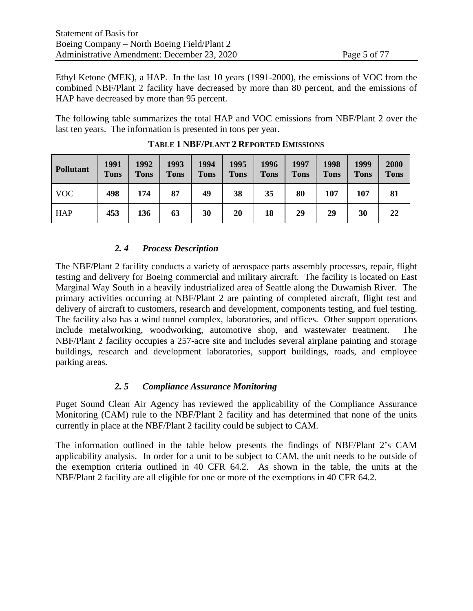Ethyl Ketone (MEK), a HAP. In the last 10 years (1991-2000), the emissions of VOC from the combined NBF/Plant 2 facility have decreased by more than 80 percent, and the emissions of HAP have decreased by more than 95 percent.

The following table summarizes the total HAP and VOC emissions from NBF/Plant 2 over the last ten years. The information is presented in tons per year.

| <b>Pollutant</b> | 1991<br><b>Tons</b> | 1992<br><b>Tons</b> | 1993<br><b>Tons</b> | 1994<br><b>Tons</b> | 1995<br><b>Tons</b> | 1996<br><b>Tons</b> | 1997<br><b>Tons</b> | 1998<br><b>Tons</b> | 1999<br><b>Tons</b> | 2000<br><b>Tons</b> |
|------------------|---------------------|---------------------|---------------------|---------------------|---------------------|---------------------|---------------------|---------------------|---------------------|---------------------|
| <b>VOC</b>       | 498                 | 174                 | 87                  | 49                  | 38                  | 35                  | 80                  | 107                 | 107                 | 81                  |
| <b>HAP</b>       | 453                 | 136                 | 63                  | 30                  | 20                  | 18                  | 29                  | 29                  | 30                  | 22                  |

**TABLE 1 NBF/PLANT 2 REPORTED EMISSIONS**

### *2. 4 Process Description*

The NBF/Plant 2 facility conducts a variety of aerospace parts assembly processes, repair, flight testing and delivery for Boeing commercial and military aircraft. The facility is located on East Marginal Way South in a heavily industrialized area of Seattle along the Duwamish River. The primary activities occurring at NBF/Plant 2 are painting of completed aircraft, flight test and delivery of aircraft to customers, research and development, components testing, and fuel testing. The facility also has a wind tunnel complex, laboratories, and offices. Other support operations include metalworking, woodworking, automotive shop, and wastewater treatment. The NBF/Plant 2 facility occupies a 257-acre site and includes several airplane painting and storage buildings, research and development laboratories, support buildings, roads, and employee parking areas.

### *2. 5 Compliance Assurance Monitoring*

Puget Sound Clean Air Agency has reviewed the applicability of the Compliance Assurance Monitoring (CAM) rule to the NBF/Plant 2 facility and has determined that none of the units currently in place at the NBF/Plant 2 facility could be subject to CAM.

The information outlined in the table below presents the findings of NBF/Plant 2's CAM applicability analysis. In order for a unit to be subject to CAM, the unit needs to be outside of the exemption criteria outlined in 40 CFR 64.2. As shown in the table, the units at the NBF/Plant 2 facility are all eligible for one or more of the exemptions in 40 CFR 64.2.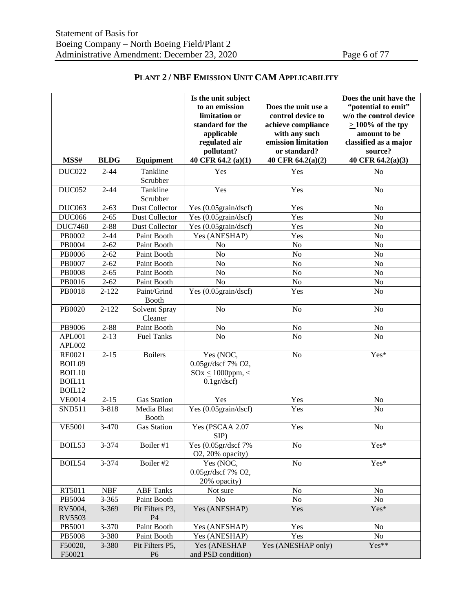|                |                      |                             | Is the unit subject<br>to an emission           | Does the unit use a | Does the unit have the |
|----------------|----------------------|-----------------------------|-------------------------------------------------|---------------------|------------------------|
|                |                      |                             |                                                 | "potential to emit" |                        |
|                |                      |                             | limitation or                                   | control device to   | w/o the control device |
|                |                      |                             | standard for the                                | achieve compliance  | $\geq$ 100% of the tpy |
|                |                      |                             | applicable                                      | with any such       | amount to be           |
|                |                      |                             | regulated air                                   | emission limitation | classified as a major  |
|                |                      |                             | pollutant?                                      | or standard?        | source?                |
| MSS#           | <b>BLDG</b>          | Equipment                   | 40 CFR 64.2 (a)(1)                              | 40 CFR 64.2(a)(2)   | 40 CFR 64.2(a)(3)      |
| <b>DUC022</b>  | $2 - 44$             | Tankline<br>Scrubber        | Yes                                             | Yes                 | No                     |
| <b>DUC052</b>  | $2 - 44$             | Tankline<br>Scrubber        | Yes                                             | Yes                 | No                     |
| DUC063         | $2 - 63$             | Dust Collector              | Yes (0.05grain/dscf)                            | Yes                 | No                     |
| <b>DUC066</b>  | $2 - 65$             | Dust Collector              | Yes (0.05grain/dscf)                            | Yes                 | N <sub>o</sub>         |
| <b>DUC7460</b> | $2 - 88$             | Dust Collector              | Yes (0.05grain/dscf)                            | Yes                 | N <sub>o</sub>         |
| PB0002         | $2 - 44$             | Paint Booth                 | Yes (ANESHAP)                                   | Yes                 | No                     |
| PB0004         | $2 - 62$             | Paint Booth                 | N <sub>o</sub>                                  | No                  | No                     |
| PB0006         | $2 - 62$             | Paint Booth                 | No                                              | No                  | No                     |
| PB0007         | $2 - 62$             | Paint Booth                 | No                                              | No                  | No                     |
| <b>PB0008</b>  | $2 - 65$             | Paint Booth                 | No                                              | No                  | No                     |
| PB0016         | $2 - 62$             | Paint Booth                 | N <sub>o</sub>                                  | No                  | No                     |
| PB0018         | $2 - 122$            | Paint/Grind<br><b>Booth</b> | Yes (0.05grain/dscf)                            | Yes                 | No                     |
| PB0020         | $2 - 122$            | Solvent Spray<br>Cleaner    | No                                              | N <sub>o</sub>      | No                     |
| PB9006         | $2 - 88$             | Paint Booth                 | No                                              | No                  | No                     |
| APL001         | $2 - 13$             | <b>Fuel Tanks</b>           | No                                              | No                  | No                     |
| APL002         |                      |                             |                                                 |                     |                        |
| RE0021         | $2 - 15$             | <b>Boilers</b>              | Yes (NOC,                                       | N <sub>o</sub>      | Yes*                   |
| BOIL09         |                      |                             | 0.05gr/dscf 7% O2,                              |                     |                        |
| BOIL10         |                      |                             | $\text{SOx} \leq 1000$ ppm, <                   |                     |                        |
| BOIL11         |                      |                             | $0.1$ gr/dscf)                                  |                     |                        |
| BOIL12         |                      |                             |                                                 |                     |                        |
| <b>VE0014</b>  | $2 - 15$             | <b>Gas Station</b>          | Yes                                             | Yes                 | No                     |
| <b>SND511</b>  | 3-818                | Media Blast<br><b>Booth</b> | Yes (0.05grain/dscf)                            | Yes                 | No                     |
| <b>VE5001</b>  | $3 - 470$            | <b>Gas Station</b>          | Yes (PSCAA 2.07<br>SIP)                         | Yes                 | No                     |
| BOIL53         | 3-374                | Boiler #1                   | Yes (0.05gr/dscf 7%)<br>O2, 20% opacity)        | No                  | Yes*                   |
| BOIL54         | 3-374                | Boiler #2                   | Yes (NOC,<br>0.05gr/dscf 7% O2,<br>20% opacity) | No                  | Yes*                   |
| RT5011         | $\operatorname{NBF}$ | <b>ABF</b> Tanks            | Not sure                                        | No                  | N <sub>o</sub>         |
| PB5004         | $3 - 365$            | Paint Booth                 | No                                              | No                  | No                     |
| RV5004,        | 3-369                | Pit Filters P3,             | Yes (ANESHAP)                                   | Yes                 | Yes*                   |
| RV5503         |                      | P <sub>4</sub>              |                                                 |                     |                        |
| PB5001         | 3-370                | Paint Booth                 | Yes (ANESHAP)                                   | Yes                 | No                     |
| PB5008         | 3-380                | Paint Booth                 | Yes (ANESHAP)                                   | Yes                 | N <sub>o</sub>         |
| F50020,        | 3-380                | Pit Filters P5,             | Yes (ANESHAP                                    | Yes (ANESHAP only)  | Yes**                  |
| F50021         |                      | P <sub>6</sub>              | and PSD condition)                              |                     |                        |

### **PLANT 2 / NBF EMISSION UNIT CAM APPLICABILITY**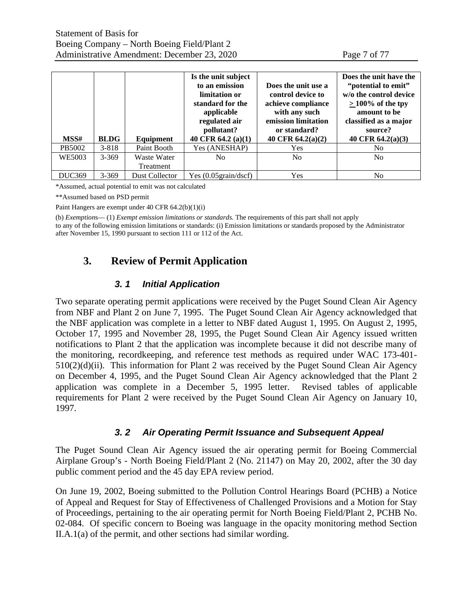| Page 7 of 77 |  |  |
|--------------|--|--|
|              |  |  |

| MSS#          | <b>BLDG</b> | Equipment                | Is the unit subject<br>to an emission<br>limitation or<br>standard for the<br>applicable<br>regulated air<br>pollutant?<br>40 CFR 64.2 (a)(1) | Does the unit use a<br>control device to<br>achieve compliance<br>with any such<br>emission limitation<br>or standard?<br>40 CFR $64.2(a)(2)$ | Does the unit have the<br>"potential to emit"<br>w/o the control device<br>$>100\%$ of the tpy<br>amount to be<br>classified as a major<br>source?<br>40 CFR 64.2(a)(3) |
|---------------|-------------|--------------------------|-----------------------------------------------------------------------------------------------------------------------------------------------|-----------------------------------------------------------------------------------------------------------------------------------------------|-------------------------------------------------------------------------------------------------------------------------------------------------------------------------|
| PB5002        | $3 - 818$   | Paint Booth              | Yes (ANESHAP)                                                                                                                                 | Yes                                                                                                                                           | No.                                                                                                                                                                     |
| WE5003        | $3 - 369$   | Waste Water<br>Treatment | No.                                                                                                                                           | No                                                                                                                                            | No                                                                                                                                                                      |
| <b>DUC369</b> | $3 - 369$   | Dust Collector           | Yes $(0.05 \text{grain}/\text{dscf})$                                                                                                         | Yes                                                                                                                                           | No                                                                                                                                                                      |

\*Assumed, actual potential to emit was not calculated

\*\*Assumed based on PSD permit

Paint Hangers are exempt under 40 CFR 64.2(b)(1)(i)

(b) *Exemption*s— (1) *Exempt emission limitations or standards.* The requirements of this part shall not apply to any of the following emission limitations or standards: (i) Emission limitations or standards proposed by the Administrator after November 15, 1990 pursuant to section 111 or 112 of the Act.

# **3. Review of Permit Application**

### *3. 1 Initial Application*

Two separate operating permit applications were received by the Puget Sound Clean Air Agency from NBF and Plant 2 on June 7, 1995. The Puget Sound Clean Air Agency acknowledged that the NBF application was complete in a letter to NBF dated August 1, 1995. On August 2, 1995, October 17, 1995 and November 28, 1995, the Puget Sound Clean Air Agency issued written notifications to Plant 2 that the application was incomplete because it did not describe many of the monitoring, recordkeeping, and reference test methods as required under WAC 173-401-  $510(2)(d)(ii)$ . This information for Plant 2 was received by the Puget Sound Clean Air Agency on December 4, 1995, and the Puget Sound Clean Air Agency acknowledged that the Plant 2 application was complete in a December 5, 1995 letter. Revised tables of applicable requirements for Plant 2 were received by the Puget Sound Clean Air Agency on January 10, 1997.

### *3. 2 Air Operating Permit Issuance and Subsequent Appeal*

The Puget Sound Clean Air Agency issued the air operating permit for Boeing Commercial Airplane Group's - North Boeing Field/Plant 2 (No. 21147) on May 20, 2002, after the 30 day public comment period and the 45 day EPA review period.

On June 19, 2002, Boeing submitted to the Pollution Control Hearings Board (PCHB) a Notice of Appeal and Request for Stay of Effectiveness of Challenged Provisions and a Motion for Stay of Proceedings, pertaining to the air operating permit for North Boeing Field/Plant 2, PCHB No. 02-084. Of specific concern to Boeing was language in the opacity monitoring method Section II.A.1(a) of the permit, and other sections had similar wording.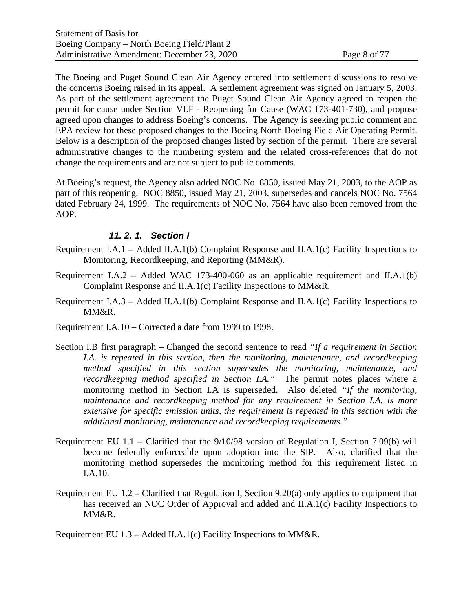The Boeing and Puget Sound Clean Air Agency entered into settlement discussions to resolve the concerns Boeing raised in its appeal. A settlement agreement was signed on January 5, 2003. As part of the settlement agreement the Puget Sound Clean Air Agency agreed to reopen the permit for cause under Section VI.F - Reopening for Cause (WAC 173-401-730), and propose agreed upon changes to address Boeing's concerns. The Agency is seeking public comment and EPA review for these proposed changes to the Boeing North Boeing Field Air Operating Permit. Below is a description of the proposed changes listed by section of the permit. There are several administrative changes to the numbering system and the related cross-references that do not change the requirements and are not subject to public comments.

At Boeing's request, the Agency also added NOC No. 8850, issued May 21, 2003, to the AOP as part of this reopening. NOC 8850, issued May 21, 2003, supersedes and cancels NOC No. 7564 dated February 24, 1999. The requirements of NOC No. 7564 have also been removed from the AOP.

### *11. 2. 1. Section I*

- Requirement I.A.1 Added II.A.1(b) Complaint Response and II.A.1(c) Facility Inspections to Monitoring, Recordkeeping, and Reporting (MM&R).
- Requirement I.A.2 Added WAC 173-400-060 as an applicable requirement and II.A.1(b) Complaint Response and II.A.1(c) Facility Inspections to MM&R.
- Requirement I.A.3 Added II.A.1(b) Complaint Response and II.A.1(c) Facility Inspections to MM&R.
- Requirement I.A.10 Corrected a date from 1999 to 1998.
- Section I.B first paragraph Changed the second sentence to read *"If a requirement in Section I.A. is repeated in this section, then the monitoring, maintenance, and recordkeeping method specified in this section supersedes the monitoring, maintenance, and recordkeeping method specified in Section I.A."* The permit notes places where a monitoring method in Section I.A is superseded. Also deleted *"If the monitoring, maintenance and recordkeeping method for any requirement in Section I.A. is more extensive for specific emission units, the requirement is repeated in this section with the additional monitoring, maintenance and recordkeeping requirements."*
- Requirement EU 1.1 Clarified that the 9/10/98 version of Regulation I, Section 7.09(b) will become federally enforceable upon adoption into the SIP. Also, clarified that the monitoring method supersedes the monitoring method for this requirement listed in I.A.10.
- Requirement EU 1.2 Clarified that Regulation I, Section 9.20(a) only applies to equipment that has received an NOC Order of Approval and added and II.A.1(c) Facility Inspections to MM&R.

Requirement EU 1.3 – Added II.A.1(c) Facility Inspections to MM&R.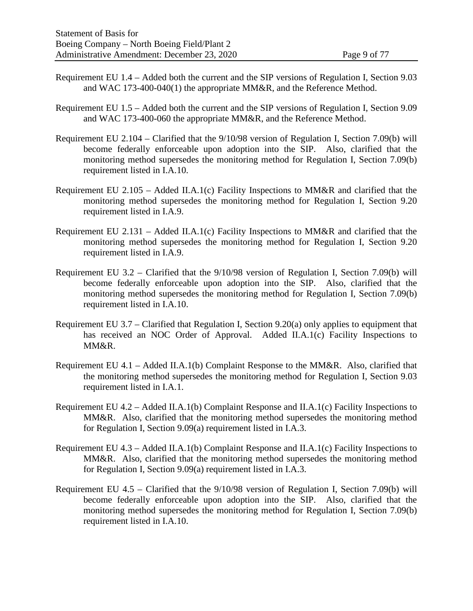- Requirement EU 1.4 Added both the current and the SIP versions of Regulation I, Section 9.03 and WAC 173-400-040(1) the appropriate MM&R, and the Reference Method.
- Requirement EU 1.5 Added both the current and the SIP versions of Regulation I, Section 9.09 and WAC 173-400-060 the appropriate MM&R, and the Reference Method.
- Requirement EU 2.104 Clarified that the 9/10/98 version of Regulation I, Section 7.09(b) will become federally enforceable upon adoption into the SIP. Also, clarified that the monitoring method supersedes the monitoring method for Regulation I, Section 7.09(b) requirement listed in I.A.10.
- Requirement EU 2.105 Added II.A.1(c) Facility Inspections to MM&R and clarified that the monitoring method supersedes the monitoring method for Regulation I, Section 9.20 requirement listed in I.A.9.
- Requirement EU 2.131 Added II.A.1(c) Facility Inspections to MM&R and clarified that the monitoring method supersedes the monitoring method for Regulation I, Section 9.20 requirement listed in I.A.9.
- Requirement EU 3.2 Clarified that the 9/10/98 version of Regulation I, Section 7.09(b) will become federally enforceable upon adoption into the SIP. Also, clarified that the monitoring method supersedes the monitoring method for Regulation I, Section 7.09(b) requirement listed in I.A.10.
- Requirement EU 3.7 Clarified that Regulation I, Section 9.20(a) only applies to equipment that has received an NOC Order of Approval. Added II.A.1(c) Facility Inspections to MM&R.
- Requirement EU 4.1 Added II.A.1(b) Complaint Response to the MM&R. Also, clarified that the monitoring method supersedes the monitoring method for Regulation I, Section 9.03 requirement listed in I.A.1.
- Requirement EU 4.2 Added II.A.1(b) Complaint Response and II.A.1(c) Facility Inspections to MM&R. Also, clarified that the monitoring method supersedes the monitoring method for Regulation I, Section 9.09(a) requirement listed in I.A.3.
- Requirement EU 4.3 Added II.A.1(b) Complaint Response and II.A.1(c) Facility Inspections to MM&R. Also, clarified that the monitoring method supersedes the monitoring method for Regulation I, Section 9.09(a) requirement listed in I.A.3.
- Requirement EU 4.5 Clarified that the 9/10/98 version of Regulation I, Section 7.09(b) will become federally enforceable upon adoption into the SIP. Also, clarified that the monitoring method supersedes the monitoring method for Regulation I, Section 7.09(b) requirement listed in I.A.10.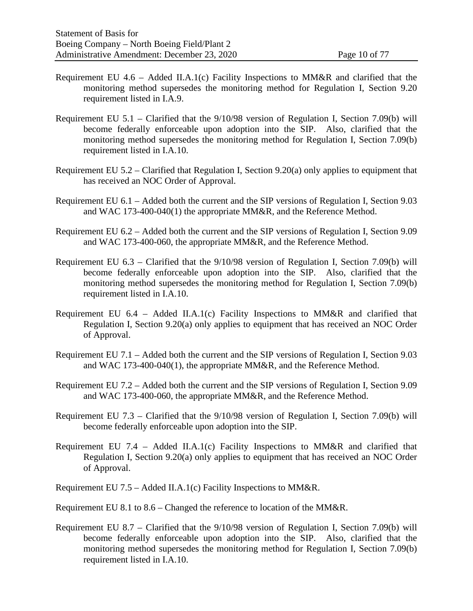- Requirement EU  $4.6$  Added II.A.1(c) Facility Inspections to MM&R and clarified that the monitoring method supersedes the monitoring method for Regulation I, Section 9.20 requirement listed in I.A.9.
- Requirement EU 5.1 Clarified that the 9/10/98 version of Regulation I, Section 7.09(b) will become federally enforceable upon adoption into the SIP. Also, clarified that the monitoring method supersedes the monitoring method for Regulation I, Section 7.09(b) requirement listed in I.A.10.
- Requirement EU 5.2 Clarified that Regulation I, Section 9.20(a) only applies to equipment that has received an NOC Order of Approval.
- Requirement EU 6.1 Added both the current and the SIP versions of Regulation I, Section 9.03 and WAC 173-400-040(1) the appropriate MM&R, and the Reference Method.
- Requirement EU 6.2 Added both the current and the SIP versions of Regulation I, Section 9.09 and WAC 173-400-060, the appropriate MM&R, and the Reference Method.
- Requirement EU 6.3 Clarified that the 9/10/98 version of Regulation I, Section 7.09(b) will become federally enforceable upon adoption into the SIP. Also, clarified that the monitoring method supersedes the monitoring method for Regulation I, Section 7.09(b) requirement listed in I.A.10.
- Requirement EU 6.4 Added II.A.1(c) Facility Inspections to MM&R and clarified that Regulation I, Section 9.20(a) only applies to equipment that has received an NOC Order of Approval.
- Requirement EU 7.1 Added both the current and the SIP versions of Regulation I, Section 9.03 and WAC 173-400-040(1), the appropriate MM&R, and the Reference Method.
- Requirement EU 7.2 Added both the current and the SIP versions of Regulation I, Section 9.09 and WAC 173-400-060, the appropriate MM&R, and the Reference Method.
- Requirement EU 7.3 Clarified that the 9/10/98 version of Regulation I, Section 7.09(b) will become federally enforceable upon adoption into the SIP.
- Requirement EU 7.4 Added II.A.1(c) Facility Inspections to MM&R and clarified that Regulation I, Section 9.20(a) only applies to equipment that has received an NOC Order of Approval.
- Requirement EU 7.5 Added II.A.1(c) Facility Inspections to MM&R.
- Requirement EU 8.1 to 8.6 Changed the reference to location of the MM&R.
- Requirement EU 8.7 Clarified that the 9/10/98 version of Regulation I, Section 7.09(b) will become federally enforceable upon adoption into the SIP. Also, clarified that the monitoring method supersedes the monitoring method for Regulation I, Section 7.09(b) requirement listed in I.A.10.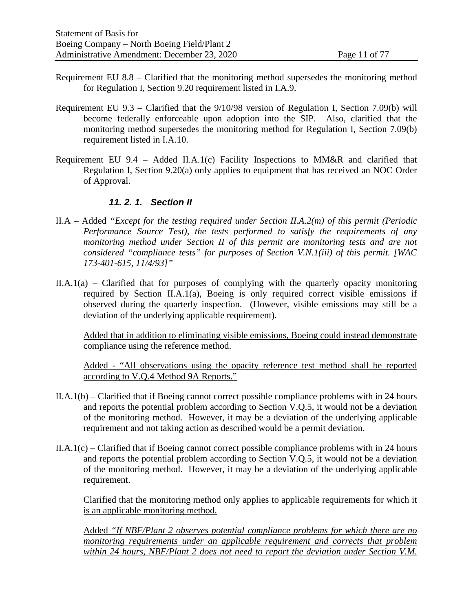- Requirement EU 8.8 Clarified that the monitoring method supersedes the monitoring method for Regulation I, Section 9.20 requirement listed in I.A.9.
- Requirement EU 9.3 Clarified that the 9/10/98 version of Regulation I, Section 7.09(b) will become federally enforceable upon adoption into the SIP. Also, clarified that the monitoring method supersedes the monitoring method for Regulation I, Section 7.09(b) requirement listed in I.A.10.
- Requirement EU 9.4 Added II.A.1(c) Facility Inspections to MM&R and clarified that Regulation I, Section 9.20(a) only applies to equipment that has received an NOC Order of Approval.

### *11. 2. 1. Section II*

- II.A Added *"Except for the testing required under Section II.A.2(m) of this permit (Periodic Performance Source Test), the tests performed to satisfy the requirements of any monitoring method under Section II of this permit are monitoring tests and are not considered "compliance tests" for purposes of Section V.N.1(iii) of this permit. [WAC 173-401-615, 11/4/93]"*
- $II.A.1(a)$  Clarified that for purposes of complying with the quarterly opacity monitoring required by Section II.A.1(a), Boeing is only required correct visible emissions if observed during the quarterly inspection. (However, visible emissions may still be a deviation of the underlying applicable requirement).

Added that in addition to eliminating visible emissions, Boeing could instead demonstrate compliance using the reference method.

Added - "All observations using the opacity reference test method shall be reported according to V.Q.4 Method 9A Reports."

- II.A.1(b) Clarified that if Boeing cannot correct possible compliance problems with in 24 hours and reports the potential problem according to Section V.Q.5, it would not be a deviation of the monitoring method. However, it may be a deviation of the underlying applicable requirement and not taking action as described would be a permit deviation.
- II.A.1(c) Clarified that if Boeing cannot correct possible compliance problems with in 24 hours and reports the potential problem according to Section V.Q.5, it would not be a deviation of the monitoring method. However, it may be a deviation of the underlying applicable requirement.

Clarified that the monitoring method only applies to applicable requirements for which it is an applicable monitoring method.

Added *"If NBF/Plant 2 observes potential compliance problems for which there are no monitoring requirements under an applicable requirement and corrects that problem within 24 hours, NBF/Plant 2 does not need to report the deviation under Section V.M.*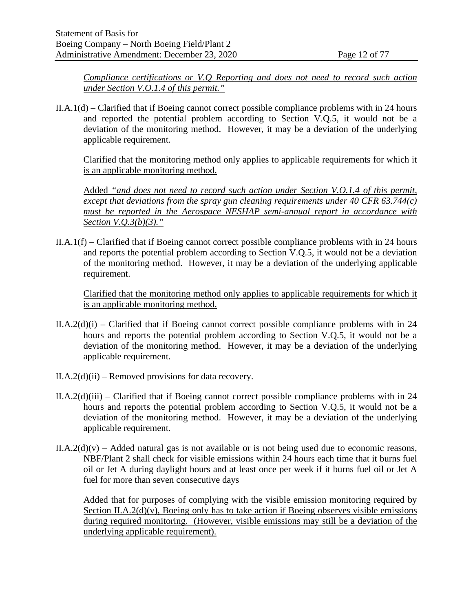*Compliance certifications or V.Q Reporting and does not need to record such action under Section V.O.1.4 of this permit."*

II.A.1(d) – Clarified that if Boeing cannot correct possible compliance problems with in 24 hours and reported the potential problem according to Section V.Q.5, it would not be a deviation of the monitoring method. However, it may be a deviation of the underlying applicable requirement.

Clarified that the monitoring method only applies to applicable requirements for which it is an applicable monitoring method.

Added *"and does not need to record such action under Section V.O.1.4 of this permit, except that deviations from the spray gun cleaning requirements under 40 CFR 63.744(c) must be reported in the Aerospace NESHAP semi-annual report in accordance with Section V.Q.3(b)(3)."*

II.A.1(f) – Clarified that if Boeing cannot correct possible compliance problems with in 24 hours and reports the potential problem according to Section V.Q.5, it would not be a deviation of the monitoring method. However, it may be a deviation of the underlying applicable requirement.

Clarified that the monitoring method only applies to applicable requirements for which it is an applicable monitoring method.

- $II.A.2(d)(i)$  Clarified that if Boeing cannot correct possible compliance problems with in 24 hours and reports the potential problem according to Section V.Q.5, it would not be a deviation of the monitoring method. However, it may be a deviation of the underlying applicable requirement.
- $II.A.2(d)(ii)$  Removed provisions for data recovery.
- $II.A.2(d)(iii) Clarified that if Boeing cannot correct possible compliance problems with in 24$ hours and reports the potential problem according to Section V.Q.5, it would not be a deviation of the monitoring method. However, it may be a deviation of the underlying applicable requirement.
- $II.A.2(d)(v) Added natural gas$  is not available or is not being used due to economic reasons, NBF/Plant 2 shall check for visible emissions within 24 hours each time that it burns fuel oil or Jet A during daylight hours and at least once per week if it burns fuel oil or Jet A fuel for more than seven consecutive days

Added that for purposes of complying with the visible emission monitoring required by Section II.A.2(d)(v), Boeing only has to take action if Boeing observes visible emissions during required monitoring. (However, visible emissions may still be a deviation of the underlying applicable requirement).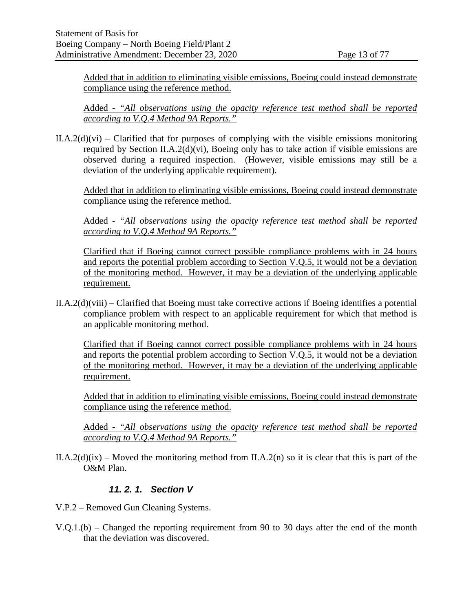Added that in addition to eliminating visible emissions, Boeing could instead demonstrate compliance using the reference method.

Added - *"All observations using the opacity reference test method shall be reported according to V.Q.4 Method 9A Reports."*

 $II.A.2(d)(vi)$  – Clarified that for purposes of complying with the visible emissions monitoring required by Section II.A.2(d)(vi), Boeing only has to take action if visible emissions are observed during a required inspection. (However, visible emissions may still be a deviation of the underlying applicable requirement).

Added that in addition to eliminating visible emissions, Boeing could instead demonstrate compliance using the reference method.

Added - *"All observations using the opacity reference test method shall be reported according to V.Q.4 Method 9A Reports."*

Clarified that if Boeing cannot correct possible compliance problems with in 24 hours and reports the potential problem according to Section V.Q.5, it would not be a deviation of the monitoring method. However, it may be a deviation of the underlying applicable requirement.

 $II.A.2(d)(viii) - Clarified that Boeing must take corrective actions if Boeing identities a potential$ compliance problem with respect to an applicable requirement for which that method is an applicable monitoring method.

Clarified that if Boeing cannot correct possible compliance problems with in 24 hours and reports the potential problem according to Section V.Q.5, it would not be a deviation of the monitoring method. However, it may be a deviation of the underlying applicable requirement.

Added that in addition to eliminating visible emissions, Boeing could instead demonstrate compliance using the reference method.

Added - *"All observations using the opacity reference test method shall be reported according to V.Q.4 Method 9A Reports."*

II.A.2(d)(ix) – Moved the monitoring method from II.A.2(n) so it is clear that this is part of the O&M Plan.

### *11. 2. 1. Section V*

- V.P.2 Removed Gun Cleaning Systems.
- V.Q.1.(b) Changed the reporting requirement from 90 to 30 days after the end of the month that the deviation was discovered.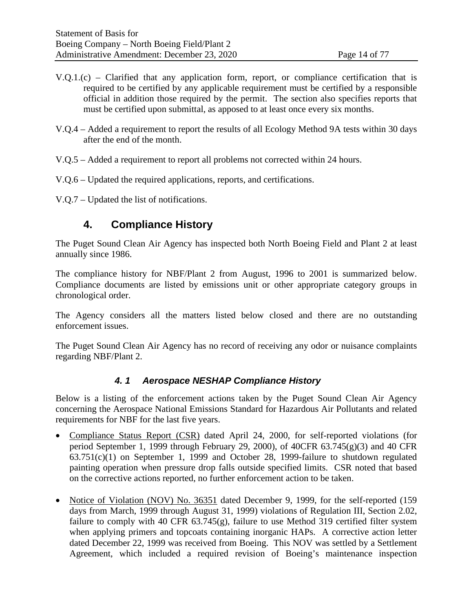- $V.O.1.(c)$  Clarified that any application form, report, or compliance certification that is required to be certified by any applicable requirement must be certified by a responsible official in addition those required by the permit. The section also specifies reports that must be certified upon submittal, as apposed to at least once every six months.
- V.Q.4 Added a requirement to report the results of all Ecology Method 9A tests within 30 days after the end of the month.
- V.Q.5 Added a requirement to report all problems not corrected within 24 hours.
- V.Q.6 Updated the required applications, reports, and certifications.
- <span id="page-13-0"></span>V.Q.7 – Updated the list of notifications.

# **4. Compliance History**

The Puget Sound Clean Air Agency has inspected both North Boeing Field and Plant 2 at least annually since 1986.

The compliance history for NBF/Plant 2 from August, 1996 to 2001 is summarized below. Compliance documents are listed by emissions unit or other appropriate category groups in chronological order.

The Agency considers all the matters listed below closed and there are no outstanding enforcement issues.

The Puget Sound Clean Air Agency has no record of receiving any odor or nuisance complaints regarding NBF/Plant 2.

### *4. 1 Aerospace NESHAP Compliance History*

Below is a listing of the enforcement actions taken by the Puget Sound Clean Air Agency concerning the Aerospace National Emissions Standard for Hazardous Air Pollutants and related requirements for NBF for the last five years.

- Compliance Status Report (CSR) dated April 24, 2000, for self-reported violations (for period September 1, 1999 through February 29, 2000), of  $40CFR$  63.745 $(g)(3)$  and 40 CFR 63.751(c)(1) on September 1, 1999 and October 28, 1999-failure to shutdown regulated painting operation when pressure drop falls outside specified limits. CSR noted that based on the corrective actions reported, no further enforcement action to be taken.
- Notice of Violation (NOV) No. 36351 dated December 9, 1999, for the self-reported (159) days from March, 1999 through August 31, 1999) violations of Regulation III, Section 2.02, failure to comply with 40 CFR 63.745(g), failure to use Method 319 certified filter system when applying primers and topcoats containing inorganic HAPs. A corrective action letter dated December 22, 1999 was received from Boeing. This NOV was settled by a Settlement Agreement, which included a required revision of Boeing's maintenance inspection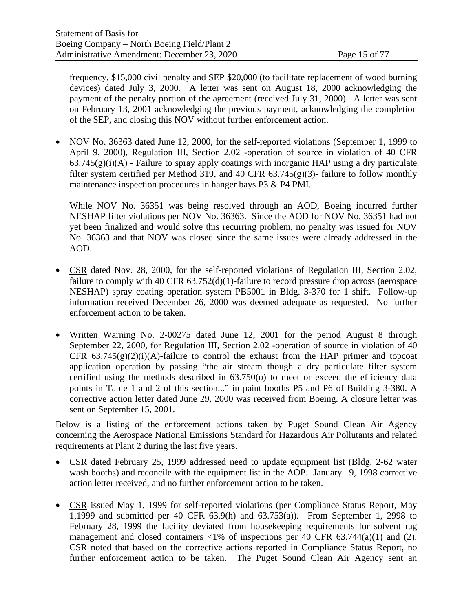frequency, \$15,000 civil penalty and SEP \$20,000 (to facilitate replacement of wood burning devices) dated July 3, 2000. A letter was sent on August 18, 2000 acknowledging the payment of the penalty portion of the agreement (received July 31, 2000). A letter was sent on February 13, 2001 acknowledging the previous payment, acknowledging the completion of the SEP, and closing this NOV without further enforcement action.

• NOV No. 36363 dated June 12, 2000, for the self-reported violations (September 1, 1999 to April 9, 2000), Regulation III, Section 2.02 -operation of source in violation of 40 CFR  $63.745(g)(i)(A)$  - Failure to spray apply coatings with inorganic HAP using a dry particulate filter system certified per Method 319, and 40 CFR  $63.745(g)(3)$ - failure to follow monthly maintenance inspection procedures in hanger bays P3 & P4 PMI.

While NOV No. 36351 was being resolved through an AOD, Boeing incurred further NESHAP filter violations per NOV No. 36363. Since the AOD for NOV No. 36351 had not yet been finalized and would solve this recurring problem, no penalty was issued for NOV No. 36363 and that NOV was closed since the same issues were already addressed in the AOD.

- CSR dated Nov. 28, 2000, for the self-reported violations of Regulation III, Section 2.02, failure to comply with 40 CFR 63.752(d)(1)-failure to record pressure drop across (aerospace NESHAP) spray coating operation system PB5001 in Bldg. 3-370 for 1 shift. Follow-up information received December 26, 2000 was deemed adequate as requested. No further enforcement action to be taken.
- Written Warning No. 2-00275 dated June 12, 2001 for the period August 8 through September 22, 2000, for Regulation III, Section 2.02 -operation of source in violation of 40 CFR  $63.745(g)(2)(i)(A)$ -failure to control the exhaust from the HAP primer and topcoat application operation by passing "the air stream though a dry particulate filter system certified using the methods described in 63.750(o) to meet or exceed the efficiency data points in Table 1 and 2 of this section..." in paint booths P5 and P6 of Building 3-380. A corrective action letter dated June 29, 2000 was received from Boeing. A closure letter was sent on September 15, 2001.

Below is a listing of the enforcement actions taken by Puget Sound Clean Air Agency concerning the Aerospace National Emissions Standard for Hazardous Air Pollutants and related requirements at Plant 2 during the last five years.

- CSR dated February 25, 1999 addressed need to update equipment list (Bldg. 2-62 water wash booths) and reconcile with the equipment list in the AOP. January 19, 1998 corrective action letter received, and no further enforcement action to be taken.
- CSR issued May 1, 1999 for self-reported violations (per Compliance Status Report, May 1,1999 and submitted per 40 CFR 63.9(h) and 63.753(a)). From September 1, 2998 to February 28, 1999 the facility deviated from housekeeping requirements for solvent rag management and closed containers  $\langle 1\% \rangle$  of inspections per 40 CFR 63.744(a)(1) and (2). CSR noted that based on the corrective actions reported in Compliance Status Report, no further enforcement action to be taken. The Puget Sound Clean Air Agency sent an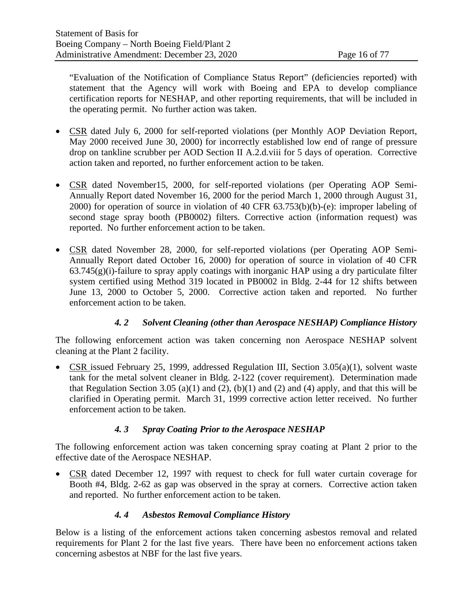"Evaluation of the Notification of Compliance Status Report" (deficiencies reported) with statement that the Agency will work with Boeing and EPA to develop compliance certification reports for NESHAP, and other reporting requirements, that will be included in the operating permit. No further action was taken.

- CSR dated July 6, 2000 for self-reported violations (per Monthly AOP Deviation Report, May 2000 received June 30, 2000) for incorrectly established low end of range of pressure drop on tankline scrubber per AOD Section II A.2.d.viii for 5 days of operation. Corrective action taken and reported, no further enforcement action to be taken.
- CSR dated November15, 2000, for self-reported violations (per Operating AOP Semi-Annually Report dated November 16, 2000 for the period March 1, 2000 through August 31, 2000) for operation of source in violation of 40 CFR 63.753(b)(b)-(e): improper labeling of second stage spray booth (PB0002) filters. Corrective action (information request) was reported. No further enforcement action to be taken.
- CSR dated November 28, 2000, for self-reported violations (per Operating AOP Semi-Annually Report dated October 16, 2000) for operation of source in violation of 40 CFR  $63.745(g)(i)$ -failure to spray apply coatings with inorganic HAP using a dry particulate filter system certified using Method 319 located in PB0002 in Bldg. 2-44 for 12 shifts between June 13, 2000 to October 5, 2000. Corrective action taken and reported. No further enforcement action to be taken.

### *4. 2 Solvent Cleaning (other than Aerospace NESHAP) Compliance History*

The following enforcement action was taken concerning non Aerospace NESHAP solvent cleaning at the Plant 2 facility.

• CSR issued February 25, 1999, addressed Regulation III, Section 3.05(a)(1), solvent waste tank for the metal solvent cleaner in Bldg. 2-122 (cover requirement). Determination made that Regulation Section 3.05 (a)(1) and (2), (b)(1) and (2) and (4) apply, and that this will be clarified in Operating permit. March 31, 1999 corrective action letter received. No further enforcement action to be taken.

# *4. 3 Spray Coating Prior to the Aerospace NESHAP*

The following enforcement action was taken concerning spray coating at Plant 2 prior to the effective date of the Aerospace NESHAP.

• CSR dated December 12, 1997 with request to check for full water curtain coverage for Booth #4, Bldg. 2-62 as gap was observed in the spray at corners. Corrective action taken and reported. No further enforcement action to be taken.

### *4. 4 Asbestos Removal Compliance History*

<span id="page-15-0"></span>Below is a listing of the enforcement actions taken concerning asbestos removal and related requirements for Plant 2 for the last five years. There have been no enforcement actions taken concerning asbestos at NBF for the last five years.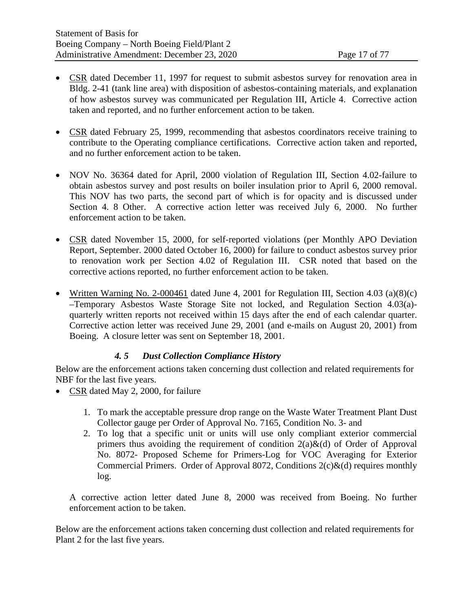- CSR dated December 11, 1997 for request to submit asbestos survey for renovation area in Bldg. 2-41 (tank line area) with disposition of asbestos-containing materials, and explanation of how asbestos survey was communicated per Regulation III, Article 4. Corrective action taken and reported, and no further enforcement action to be taken.
- CSR dated February 25, 1999, recommending that asbestos coordinators receive training to contribute to the Operating compliance certifications. Corrective action taken and reported, and no further enforcement action to be taken.
- NOV No. 36364 dated for April, 2000 violation of Regulation III, Section 4.02-failure to obtain asbestos survey and post results on boiler insulation prior to April 6, 2000 removal. This NOV has two parts, the second part of which is for opacity and is discussed under Section [4. 8](#page-17-0) [Other.](#page-17-0) A corrective action letter was received July 6, 2000. No further enforcement action to be taken.
- CSR dated November 15, 2000, for self-reported violations (per Monthly APO Deviation Report, September. 2000 dated October 16, 2000) for failure to conduct asbestos survey prior to renovation work per Section 4.02 of Regulation III. CSR noted that based on the corrective actions reported, no further enforcement action to be taken.
- Written Warning No. 2-000461 dated June 4, 2001 for Regulation III, Section 4.03 (a)(8)(c) –Temporary Asbestos Waste Storage Site not locked, and Regulation Section 4.03(a) quarterly written reports not received within 15 days after the end of each calendar quarter. Corrective action letter was received June 29, 2001 (and e-mails on August 20, 2001) from Boeing. A closure letter was sent on September 18, 2001.

### *4. 5 Dust Collection Compliance History*

Below are the enforcement actions taken concerning dust collection and related requirements for NBF for the last five years.

- CSR dated May 2, 2000, for failure
	- 1. To mark the acceptable pressure drop range on the Waste Water Treatment Plant Dust Collector gauge per Order of Approval No. 7165, Condition No. 3- and
	- 2. To log that a specific unit or units will use only compliant exterior commercial primers thus avoiding the requirement of condition  $2(a)\&(d)$  of Order of Approval No. 8072- Proposed Scheme for Primers-Log for VOC Averaging for Exterior Commercial Primers. Order of Approval 8072, Conditions  $2(c)\&(d)$  requires monthly log.

A corrective action letter dated June 8, 2000 was received from Boeing. No further enforcement action to be taken.

Below are the enforcement actions taken concerning dust collection and related requirements for Plant 2 for the last five years.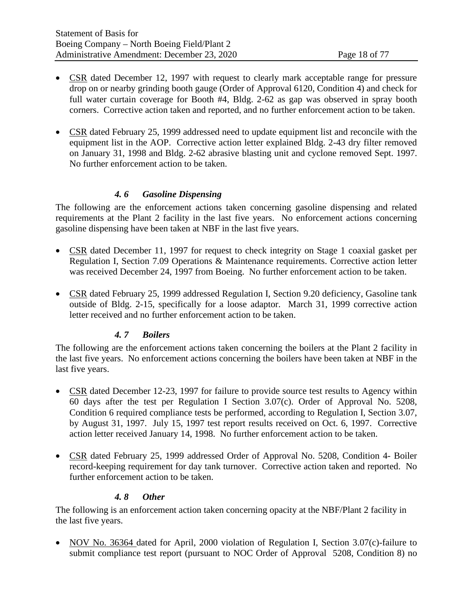- CSR dated December 12, 1997 with request to clearly mark acceptable range for pressure drop on or nearby grinding booth gauge (Order of Approval 6120, Condition 4) and check for full water curtain coverage for Booth #4, Bldg. 2-62 as gap was observed in spray booth corners. Corrective action taken and reported, and no further enforcement action to be taken.
- CSR dated February 25, 1999 addressed need to update equipment list and reconcile with the equipment list in the AOP. Corrective action letter explained Bldg. 2-43 dry filter removed on January 31, 1998 and Bldg. 2-62 abrasive blasting unit and cyclone removed Sept. 1997. No further enforcement action to be taken.

### *4. 6 Gasoline Dispensing*

The following are the enforcement actions taken concerning gasoline dispensing and related requirements at the Plant 2 facility in the last five years. No enforcement actions concerning gasoline dispensing have been taken at NBF in the last five years.

- CSR dated December 11, 1997 for request to check integrity on Stage 1 coaxial gasket per Regulation I, Section 7.09 Operations & Maintenance requirements. Corrective action letter was received December 24, 1997 from Boeing. No further enforcement action to be taken.
- CSR dated February 25, 1999 addressed Regulation I, Section 9.20 deficiency, Gasoline tank outside of Bldg. 2-15, specifically for a loose adaptor. March 31, 1999 corrective action letter received and no further enforcement action to be taken.

### *4. 7 Boilers*

The following are the enforcement actions taken concerning the boilers at the Plant 2 facility in the last five years. No enforcement actions concerning the boilers have been taken at NBF in the last five years.

- CSR dated December 12-23, 1997 for failure to provide source test results to Agency within 60 days after the test per Regulation I Section 3.07(c). Order of Approval No. 5208, Condition 6 required compliance tests be performed, according to Regulation I, Section 3.07, by August 31, 1997. July 15, 1997 test report results received on Oct. 6, 1997. Corrective action letter received January 14, 1998. No further enforcement action to be taken.
- CSR dated February 25, 1999 addressed Order of Approval No. 5208, Condition 4- Boiler record-keeping requirement for day tank turnover. Corrective action taken and reported. No further enforcement action to be taken.

### *4. 8 Other*

<span id="page-17-0"></span>The following is an enforcement action taken concerning opacity at the NBF/Plant 2 facility in the last five years.

• NOV No. 36364 dated for April, 2000 violation of Regulation I, Section 3.07(c)-failure to submit compliance test report (pursuant to NOC Order of Approval 5208, Condition 8) no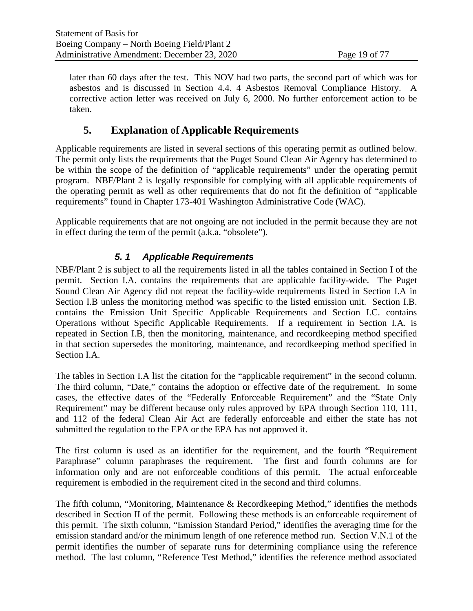later than 60 days after the test. This NOV had two parts, the second part of which was for asbestos and is discussed in Section [4.4. 4](#page-15-0) [Asbestos Removal Compliance History.](#page-15-0) A corrective action letter was received on July 6, 2000. No further enforcement action to be taken.

# **5. Explanation of Applicable Requirements**

Applicable requirements are listed in several sections of this operating permit as outlined below. The permit only lists the requirements that the Puget Sound Clean Air Agency has determined to be within the scope of the definition of "applicable requirements" under the operating permit program. NBF/Plant 2 is legally responsible for complying with all applicable requirements of the operating permit as well as other requirements that do not fit the definition of "applicable requirements" found in Chapter 173-401 Washington Administrative Code (WAC).

Applicable requirements that are not ongoing are not included in the permit because they are not in effect during the term of the permit (a.k.a. "obsolete").

# *5. 1 Applicable Requirements*

NBF/Plant 2 is subject to all the requirements listed in all the tables contained in Section I of the permit. Section I.A. contains the requirements that are applicable facility-wide. The Puget Sound Clean Air Agency did not repeat the facility-wide requirements listed in Section I.A in Section I.B unless the monitoring method was specific to the listed emission unit. Section I.B. contains the Emission Unit Specific Applicable Requirements and Section I.C. contains Operations without Specific Applicable Requirements. If a requirement in Section I.A. is repeated in Section I.B, then the monitoring, maintenance, and recordkeeping method specified in that section supersedes the monitoring, maintenance, and recordkeeping method specified in Section I.A.

The tables in Section I.A list the citation for the "applicable requirement" in the second column. The third column, "Date," contains the adoption or effective date of the requirement. In some cases, the effective dates of the "Federally Enforceable Requirement" and the "State Only Requirement" may be different because only rules approved by EPA through Section 110, 111, and 112 of the federal Clean Air Act are federally enforceable and either the state has not submitted the regulation to the EPA or the EPA has not approved it.

The first column is used as an identifier for the requirement, and the fourth "Requirement Paraphrase" column paraphrases the requirement. The first and fourth columns are for information only and are not enforceable conditions of this permit. The actual enforceable requirement is embodied in the requirement cited in the second and third columns.

The fifth column, "Monitoring, Maintenance & Recordkeeping Method," identifies the methods described in Section II of the permit. Following these methods is an enforceable requirement of this permit. The sixth column, "Emission Standard Period," identifies the averaging time for the emission standard and/or the minimum length of one reference method run. Section V.N.1 of the permit identifies the number of separate runs for determining compliance using the reference method. The last column, "Reference Test Method," identifies the reference method associated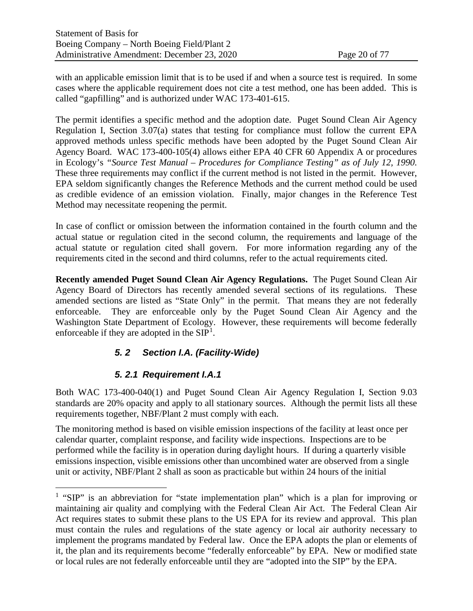with an applicable emission limit that is to be used if and when a source test is required. In some cases where the applicable requirement does not cite a test method, one has been added. This is called "gapfilling" and is authorized under WAC 173-401-615.

The permit identifies a specific method and the adoption date. Puget Sound Clean Air Agency Regulation I, Section 3.07(a) states that testing for compliance must follow the current EPA approved methods unless specific methods have been adopted by the Puget Sound Clean Air Agency Board. WAC 173-400-105(4) allows either EPA 40 CFR 60 Appendix A or procedures in Ecology's *"Source Test Manual – Procedures for Compliance Testing" as of July 12, 1990.* These three requirements may conflict if the current method is not listed in the permit. However, EPA seldom significantly changes the Reference Methods and the current method could be used as credible evidence of an emission violation. Finally, major changes in the Reference Test Method may necessitate reopening the permit.

In case of conflict or omission between the information contained in the fourth column and the actual statue or regulation cited in the second column, the requirements and language of the actual statute or regulation cited shall govern. For more information regarding any of the requirements cited in the second and third columns, refer to the actual requirements cited.

**Recently amended Puget Sound Clean Air Agency Regulations.** The Puget Sound Clean Air Agency Board of Directors has recently amended several sections of its regulations. These amended sections are listed as "State Only" in the permit. That means they are not federally enforceable. They are enforceable only by the Puget Sound Clean Air Agency and the Washington State Department of Ecology. However, these requirements will become federally enforceable if they are adopted in the  $SIP<sup>1</sup>$  $SIP<sup>1</sup>$  $SIP<sup>1</sup>$ .

# *5. 2 Section I.A. (Facility-Wide)*

# *5. 2.1 Requirement I.A.1*

Both WAC 173-400-040(1) and Puget Sound Clean Air Agency Regulation I, Section 9.03 standards are 20% opacity and apply to all stationary sources. Although the permit lists all these requirements together, NBF/Plant 2 must comply with each.

The monitoring method is based on visible emission inspections of the facility at least once per calendar quarter, complaint response, and facility wide inspections. Inspections are to be performed while the facility is in operation during daylight hours. If during a quarterly visible emissions inspection, visible emissions other than uncombined water are observed from a single unit or activity, NBF/Plant 2 shall as soon as practicable but within 24 hours of the initial

<span id="page-19-0"></span><sup>&</sup>lt;sup>1</sup> "SIP" is an abbreviation for "state implementation plan" which is a plan for improving or maintaining air quality and complying with the Federal Clean Air Act. The Federal Clean Air Act requires states to submit these plans to the US EPA for its review and approval. This plan must contain the rules and regulations of the state agency or local air authority necessary to implement the programs mandated by Federal law. Once the EPA adopts the plan or elements of it, the plan and its requirements become "federally enforceable" by EPA. New or modified state or local rules are not federally enforceable until they are "adopted into the SIP" by the EPA.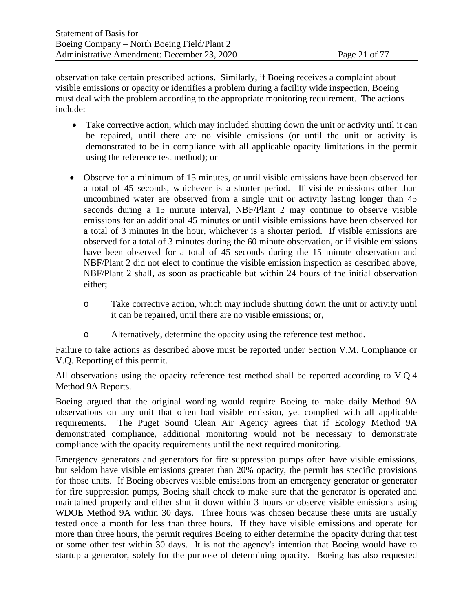observation take certain prescribed actions. Similarly, if Boeing receives a complaint about visible emissions or opacity or identifies a problem during a facility wide inspection, Boeing must deal with the problem according to the appropriate monitoring requirement. The actions include:

- Take corrective action, which may included shutting down the unit or activity until it can be repaired, until there are no visible emissions (or until the unit or activity is demonstrated to be in compliance with all applicable opacity limitations in the permit using the reference test method); or
- Observe for a minimum of 15 minutes, or until visible emissions have been observed for a total of 45 seconds, whichever is a shorter period. If visible emissions other than uncombined water are observed from a single unit or activity lasting longer than 45 seconds during a 15 minute interval, NBF/Plant 2 may continue to observe visible emissions for an additional 45 minutes or until visible emissions have been observed for a total of 3 minutes in the hour, whichever is a shorter period. If visible emissions are observed for a total of 3 minutes during the 60 minute observation, or if visible emissions have been observed for a total of 45 seconds during the 15 minute observation and NBF/Plant 2 did not elect to continue the visible emission inspection as described above, NBF/Plant 2 shall, as soon as practicable but within 24 hours of the initial observation either;
	- o Take corrective action, which may include shutting down the unit or activity until it can be repaired, until there are no visible emissions; or,
	- o Alternatively, determine the opacity using the reference test method.

Failure to take actions as described above must be reported under Section V.M. Compliance or V.Q. Reporting of this permit.

All observations using the opacity reference test method shall be reported according to V.Q.4 Method 9A Reports.

Boeing argued that the original wording would require Boeing to make daily Method 9A observations on any unit that often had visible emission, yet complied with all applicable requirements. The Puget Sound Clean Air Agency agrees that if Ecology Method 9A demonstrated compliance, additional monitoring would not be necessary to demonstrate compliance with the opacity requirements until the next required monitoring.

Emergency generators and generators for fire suppression pumps often have visible emissions, but seldom have visible emissions greater than 20% opacity, the permit has specific provisions for those units. If Boeing observes visible emissions from an emergency generator or generator for fire suppression pumps, Boeing shall check to make sure that the generator is operated and maintained properly and either shut it down within 3 hours or observe visible emissions using WDOE Method 9A within 30 days. Three hours was chosen because these units are usually tested once a month for less than three hours. If they have visible emissions and operate for more than three hours, the permit requires Boeing to either determine the opacity during that test or some other test within 30 days. It is not the agency's intention that Boeing would have to startup a generator, solely for the purpose of determining opacity. Boeing has also requested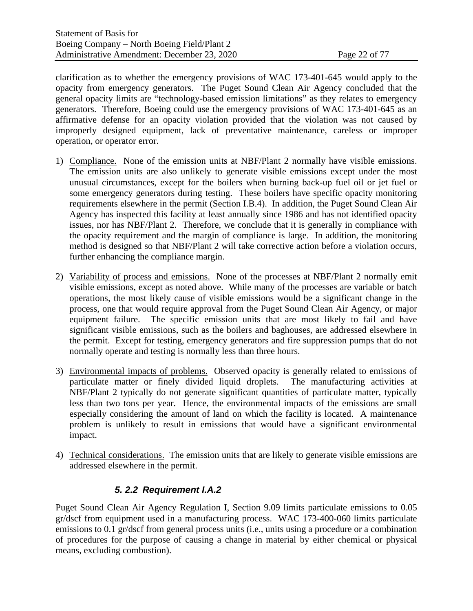clarification as to whether the emergency provisions of WAC 173-401-645 would apply to the opacity from emergency generators. The Puget Sound Clean Air Agency concluded that the general opacity limits are "technology-based emission limitations" as they relates to emergency generators. Therefore, Boeing could use the emergency provisions of WAC 173-401-645 as an affirmative defense for an opacity violation provided that the violation was not caused by improperly designed equipment, lack of preventative maintenance, careless or improper operation, or operator error.

- 1) Compliance. None of the emission units at NBF/Plant 2 normally have visible emissions. The emission units are also unlikely to generate visible emissions except under the most unusual circumstances, except for the boilers when burning back-up fuel oil or jet fuel or some emergency generators during testing. These boilers have specific opacity monitoring requirements elsewhere in the permit (Section I.B.4). In addition, the Puget Sound Clean Air Agency has inspected this facility at least annually since 1986 and has not identified opacity issues, nor has NBF/Plant 2. Therefore, we conclude that it is generally in compliance with the opacity requirement and the margin of compliance is large. In addition, the monitoring method is designed so that NBF/Plant 2 will take corrective action before a violation occurs, further enhancing the compliance margin.
- 2) Variability of process and emissions. None of the processes at NBF/Plant 2 normally emit visible emissions, except as noted above. While many of the processes are variable or batch operations, the most likely cause of visible emissions would be a significant change in the process, one that would require approval from the Puget Sound Clean Air Agency, or major equipment failure. The specific emission units that are most likely to fail and have significant visible emissions, such as the boilers and baghouses, are addressed elsewhere in the permit. Except for testing, emergency generators and fire suppression pumps that do not normally operate and testing is normally less than three hours.
- 3) Environmental impacts of problems. Observed opacity is generally related to emissions of particulate matter or finely divided liquid droplets. The manufacturing activities at NBF/Plant 2 typically do not generate significant quantities of particulate matter, typically less than two tons per year. Hence, the environmental impacts of the emissions are small especially considering the amount of land on which the facility is located. A maintenance problem is unlikely to result in emissions that would have a significant environmental impact.
- <span id="page-21-0"></span>4) Technical considerations. The emission units that are likely to generate visible emissions are addressed elsewhere in the permit.

# *5. 2.2 Requirement I.A.2*

Puget Sound Clean Air Agency Regulation I, Section 9.09 limits particulate emissions to 0.05 gr/dscf from equipment used in a manufacturing process. WAC 173-400-060 limits particulate emissions to 0.1 gr/dscf from general process units (i.e., units using a procedure or a combination of procedures for the purpose of causing a change in material by either chemical or physical means, excluding combustion).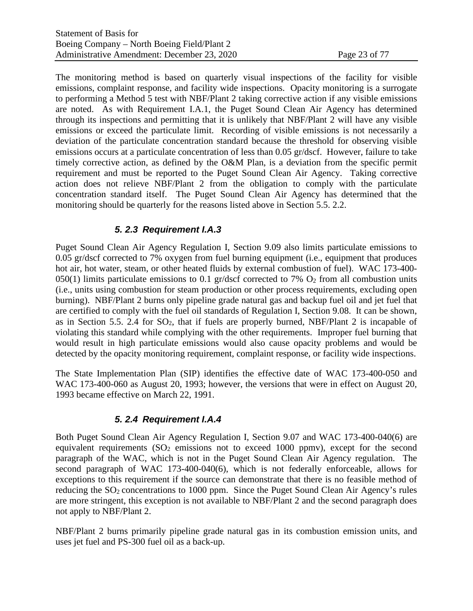The monitoring method is based on quarterly visual inspections of the facility for visible emissions, complaint response, and facility wide inspections. Opacity monitoring is a surrogate to performing a Method 5 test with NBF/Plant 2 taking corrective action if any visible emissions are noted. As with Requirement I.A.1, the Puget Sound Clean Air Agency has determined through its inspections and permitting that it is unlikely that NBF/Plant 2 will have any visible emissions or exceed the particulate limit. Recording of visible emissions is not necessarily a deviation of the particulate concentration standard because the threshold for observing visible emissions occurs at a particulate concentration of less than 0.05 gr/dscf. However, failure to take timely corrective action, as defined by the O&M Plan, is a deviation from the specific permit requirement and must be reported to the Puget Sound Clean Air Agency. Taking corrective action does not relieve NBF/Plant 2 from the obligation to comply with the particulate concentration standard itself. The Puget Sound Clean Air Agency has determined that the monitoring should be quarterly for the reasons listed above in Section [5.5. 2.2.](#page-21-0)

### *5. 2.3 Requirement I.A.3*

Puget Sound Clean Air Agency Regulation I, Section 9.09 also limits particulate emissions to 0.05 gr/dscf corrected to 7% oxygen from fuel burning equipment (i.e., equipment that produces hot air, hot water, steam, or other heated fluids by external combustion of fuel). WAC 173-400- 050(1) limits particulate emissions to 0.1 gr/dscf corrected to 7%  $O_2$  from all combustion units (i.e., units using combustion for steam production or other process requirements, excluding open burning). NBF/Plant 2 burns only pipeline grade natural gas and backup fuel oil and jet fuel that are certified to comply with the fuel oil standards of Regulation I, Section 9.08. It can be shown, as in Section [5.5. 2.4](#page-22-0) for  $SO<sub>2</sub>$ , that if fuels are properly burned, NBF/Plant 2 is incapable of violating this standard while complying with the other requirements. Improper fuel burning that would result in high particulate emissions would also cause opacity problems and would be detected by the opacity monitoring requirement, complaint response, or facility wide inspections.

The State Implementation Plan (SIP) identifies the effective date of WAC 173-400-050 and WAC 173-400-060 as August 20, 1993; however, the versions that were in effect on August 20, 1993 became effective on March 22, 1991.

# *5. 2.4 Requirement I.A.4*

<span id="page-22-0"></span>Both Puget Sound Clean Air Agency Regulation I, Section 9.07 and WAC 173-400-040(6) are equivalent requirements  $(SO<sub>2</sub>$  emissions not to exceed 1000 ppmv), except for the second paragraph of the WAC, which is not in the Puget Sound Clean Air Agency regulation. The second paragraph of WAC 173-400-040(6), which is not federally enforceable, allows for exceptions to this requirement if the source can demonstrate that there is no feasible method of reducing the SO<sub>2</sub> concentrations to 1000 ppm. Since the Puget Sound Clean Air Agency's rules are more stringent, this exception is not available to NBF/Plant 2 and the second paragraph does not apply to NBF/Plant 2.

NBF/Plant 2 burns primarily pipeline grade natural gas in its combustion emission units, and uses jet fuel and PS-300 fuel oil as a back-up.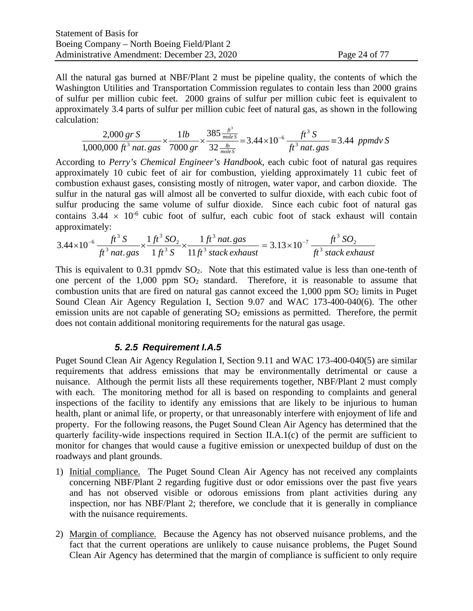All the natural gas burned at NBF/Plant 2 must be pipeline quality, the contents of which the Washington Utilities and Transportation Commission regulates to contain less than 2000 grains of sulfur per million cubic feet. 2000 grains of sulfur per million cubic feet is equivalent to approximately 3.4 parts of sulfur per million cubic feet of natural gas, as shown in the following calculation:

$$
\frac{2,000 \text{ gr S}}{1,000,000 \text{ ft}^3 \text{ nat. gas}} \times \frac{1 \text{ lb}}{7000 \text{ gr}} \times \frac{385 \frac{\text{ft}^3}{\text{moles}}}{32 \frac{\text{lb}}{\text{moles}}} = 3.44 \times 10^{-6} \frac{\text{ft}^3 \text{ S}}{\text{ft}^3 \text{ nat. gas}} = 3.44 \text{ ppmd}v \text{ S}
$$

According to *Perry's Chemical Engineer's Handbook*, each cubic foot of natural gas requires approximately 10 cubic feet of air for combustion, yielding approximately 11 cubic feet of combustion exhaust gases, consisting mostly of nitrogen, water vapor, and carbon dioxide. The sulfur in the natural gas will almost all be converted to sulfur dioxide, with each cubic foot of sulfur producing the same volume of sulfur dioxide. Since each cubic foot of natural gas contains  $3.44 \times 10^{-6}$  cubic foot of sulfur, each cubic foot of stack exhaust will contain approximately:

$$
3.44 \times 10^{-6} \frac{ft^3 S}{ft^3 n \, \text{at. gas}} \times \frac{1 \, \text{ft}^3 \, \text{SO}_2}{1 \, \text{ft}^3 \, \text{S}} \times \frac{1 \, \text{ft}^3 n \, \text{at. gas}}{11 \, \text{ft}^3 \, \text{stack exhaust}} = 3.13 \times 10^{-7} \frac{ft^3 \, \text{SO}_2}{ft^3 \, \text{stack exhaust}}
$$

This is equivalent to 0.31 ppmdv  $SO_2$ . Note that this estimated value is less than one-tenth of one percent of the  $1,000$  ppm  $SO<sub>2</sub>$  standard. Therefore, it is reasonable to assume that combustion units that are fired on natural gas cannot exceed the  $1,000$  ppm  $SO<sub>2</sub>$  limits in Puget Sound Clean Air Agency Regulation I, Section 9.07 and WAC 173-400-040(6). The other emission units are not capable of generating  $SO<sub>2</sub>$  emissions as permitted. Therefore, the permit does not contain additional monitoring requirements for the natural gas usage.

### *5. 2.5 Requirement I.A.5*

Puget Sound Clean Air Agency Regulation I, Section 9.11 and WAC 173-400-040(5) are similar requirements that address emissions that may be environmentally detrimental or cause a nuisance. Although the permit lists all these requirements together, NBF/Plant 2 must comply with each. The monitoring method for all is based on responding to complaints and general inspections of the facility to identify any emissions that are likely to be injurious to human health, plant or animal life, or property, or that unreasonably interfere with enjoyment of life and property. For the following reasons, the Puget Sound Clean Air Agency has determined that the quarterly facility-wide inspections required in Section II.A.1(c) of the permit are sufficient to monitor for changes that would cause a fugitive emission or unexpected buildup of dust on the roadways and plant grounds.

- 1) Initial compliance. The Puget Sound Clean Air Agency has not received any complaints concerning NBF/Plant 2 regarding fugitive dust or odor emissions over the past five years and has not observed visible or odorous emissions from plant activities during any inspection, nor has NBF/Plant 2; therefore, we conclude that it is generally in compliance with the nuisance requirements.
- 2) Margin of compliance. Because the Agency has not observed nuisance problems, and the fact that the current operations are unlikely to cause nuisance problems, the Puget Sound Clean Air Agency has determined that the margin of compliance is sufficient to only require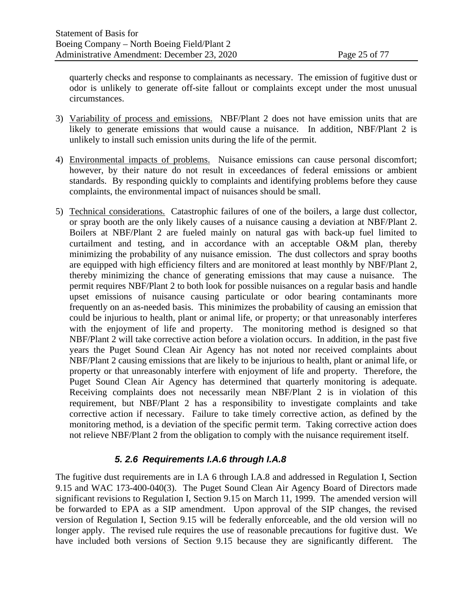quarterly checks and response to complainants as necessary. The emission of fugitive dust or odor is unlikely to generate off-site fallout or complaints except under the most unusual circumstances.

- 3) Variability of process and emissions. NBF/Plant 2 does not have emission units that are likely to generate emissions that would cause a nuisance. In addition, NBF/Plant 2 is unlikely to install such emission units during the life of the permit.
- 4) Environmental impacts of problems. Nuisance emissions can cause personal discomfort; however, by their nature do not result in exceedances of federal emissions or ambient standards. By responding quickly to complaints and identifying problems before they cause complaints, the environmental impact of nuisances should be small.
- 5) Technical considerations. Catastrophic failures of one of the boilers, a large dust collector, or spray booth are the only likely causes of a nuisance causing a deviation at NBF/Plant 2. Boilers at NBF/Plant 2 are fueled mainly on natural gas with back-up fuel limited to curtailment and testing, and in accordance with an acceptable O&M plan, thereby minimizing the probability of any nuisance emission. The dust collectors and spray booths are equipped with high efficiency filters and are monitored at least monthly by NBF/Plant 2, thereby minimizing the chance of generating emissions that may cause a nuisance. The permit requires NBF/Plant 2 to both look for possible nuisances on a regular basis and handle upset emissions of nuisance causing particulate or odor bearing contaminants more frequently on an as-needed basis. This minimizes the probability of causing an emission that could be injurious to health, plant or animal life, or property; or that unreasonably interferes with the enjoyment of life and property. The monitoring method is designed so that NBF/Plant 2 will take corrective action before a violation occurs. In addition, in the past five years the Puget Sound Clean Air Agency has not noted nor received complaints about NBF/Plant 2 causing emissions that are likely to be injurious to health, plant or animal life, or property or that unreasonably interfere with enjoyment of life and property. Therefore, the Puget Sound Clean Air Agency has determined that quarterly monitoring is adequate. Receiving complaints does not necessarily mean NBF/Plant 2 is in violation of this requirement, but NBF/Plant 2 has a responsibility to investigate complaints and take corrective action if necessary. Failure to take timely corrective action, as defined by the monitoring method, is a deviation of the specific permit term. Taking corrective action does not relieve NBF/Plant 2 from the obligation to comply with the nuisance requirement itself.

# *5. 2.6 Requirements I.A.6 through I.A.8*

The fugitive dust requirements are in I.A 6 through I.A.8 and addressed in Regulation I, Section 9.15 and WAC 173-400-040(3). The Puget Sound Clean Air Agency Board of Directors made significant revisions to Regulation I, Section 9.15 on March 11, 1999. The amended version will be forwarded to EPA as a SIP amendment. Upon approval of the SIP changes, the revised version of Regulation I, Section 9.15 will be federally enforceable, and the old version will no longer apply. The revised rule requires the use of reasonable precautions for fugitive dust. We have included both versions of Section 9.15 because they are significantly different. The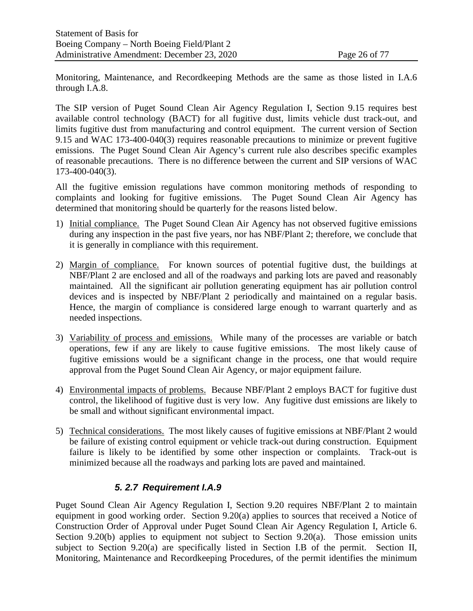Monitoring, Maintenance, and Recordkeeping Methods are the same as those listed in I.A.6 through I.A.8.

The SIP version of Puget Sound Clean Air Agency Regulation I, Section 9.15 requires best available control technology (BACT) for all fugitive dust, limits vehicle dust track-out, and limits fugitive dust from manufacturing and control equipment. The current version of Section 9.15 and WAC 173-400-040(3) requires reasonable precautions to minimize or prevent fugitive emissions. The Puget Sound Clean Air Agency's current rule also describes specific examples of reasonable precautions. There is no difference between the current and SIP versions of WAC 173-400-040(3).

All the fugitive emission regulations have common monitoring methods of responding to complaints and looking for fugitive emissions. The Puget Sound Clean Air Agency has determined that monitoring should be quarterly for the reasons listed below.

- 1) Initial compliance. The Puget Sound Clean Air Agency has not observed fugitive emissions during any inspection in the past five years, nor has NBF/Plant 2; therefore, we conclude that it is generally in compliance with this requirement.
- 2) Margin of compliance. For known sources of potential fugitive dust, the buildings at NBF/Plant 2 are enclosed and all of the roadways and parking lots are paved and reasonably maintained. All the significant air pollution generating equipment has air pollution control devices and is inspected by NBF/Plant 2 periodically and maintained on a regular basis. Hence, the margin of compliance is considered large enough to warrant quarterly and as needed inspections.
- 3) Variability of process and emissions. While many of the processes are variable or batch operations, few if any are likely to cause fugitive emissions. The most likely cause of fugitive emissions would be a significant change in the process, one that would require approval from the Puget Sound Clean Air Agency, or major equipment failure.
- 4) Environmental impacts of problems. Because NBF/Plant 2 employs BACT for fugitive dust control, the likelihood of fugitive dust is very low. Any fugitive dust emissions are likely to be small and without significant environmental impact.
- 5) Technical considerations. The most likely causes of fugitive emissions at NBF/Plant 2 would be failure of existing control equipment or vehicle track-out during construction. Equipment failure is likely to be identified by some other inspection or complaints. Track-out is minimized because all the roadways and parking lots are paved and maintained.

# *5. 2.7 Requirement I.A.9*

Puget Sound Clean Air Agency Regulation I, Section 9.20 requires NBF/Plant 2 to maintain equipment in good working order. Section 9.20(a) applies to sources that received a Notice of Construction Order of Approval under Puget Sound Clean Air Agency Regulation I, Article 6. Section 9.20(b) applies to equipment not subject to Section 9.20(a). Those emission units subject to Section 9.20(a) are specifically listed in Section I.B of the permit. Section II, Monitoring, Maintenance and Recordkeeping Procedures, of the permit identifies the minimum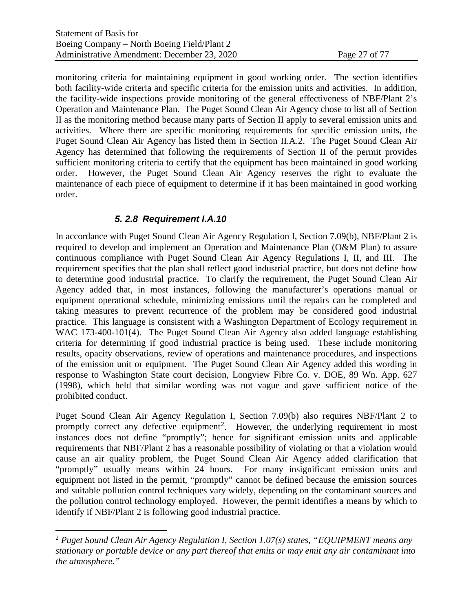monitoring criteria for maintaining equipment in good working order. The section identifies both facility-wide criteria and specific criteria for the emission units and activities. In addition, the facility-wide inspections provide monitoring of the general effectiveness of NBF/Plant 2's Operation and Maintenance Plan. The Puget Sound Clean Air Agency chose to list all of Section II as the monitoring method because many parts of Section II apply to several emission units and activities. Where there are specific monitoring requirements for specific emission units, the Puget Sound Clean Air Agency has listed them in Section II.A.2. The Puget Sound Clean Air Agency has determined that following the requirements of Section II of the permit provides sufficient monitoring criteria to certify that the equipment has been maintained in good working order. However, the Puget Sound Clean Air Agency reserves the right to evaluate the maintenance of each piece of equipment to determine if it has been maintained in good working order.

### *5. 2.8 Requirement I.A.10*

In accordance with Puget Sound Clean Air Agency Regulation I, Section 7.09(b), NBF/Plant 2 is required to develop and implement an Operation and Maintenance Plan (O&M Plan) to assure continuous compliance with Puget Sound Clean Air Agency Regulations I, II, and III. The requirement specifies that the plan shall reflect good industrial practice, but does not define how to determine good industrial practice. To clarify the requirement, the Puget Sound Clean Air Agency added that, in most instances, following the manufacturer's operations manual or equipment operational schedule, minimizing emissions until the repairs can be completed and taking measures to prevent recurrence of the problem may be considered good industrial practice. This language is consistent with a Washington Department of Ecology requirement in WAC 173-400-101(4). The Puget Sound Clean Air Agency also added language establishing criteria for determining if good industrial practice is being used. These include monitoring results, opacity observations, review of operations and maintenance procedures, and inspections of the emission unit or equipment. The Puget Sound Clean Air Agency added this wording in response to Washington State court decision, Longview Fibre Co. v. DOE, 89 Wn. App. 627 (1998), which held that similar wording was not vague and gave sufficient notice of the prohibited conduct.

Puget Sound Clean Air Agency Regulation I, Section 7.09(b) also requires NBF/Plant 2 to promptly correct any defective equipment<sup>[2](#page-26-0)</sup>. However, the underlying requirement in most instances does not define "promptly"; hence for significant emission units and applicable requirements that NBF/Plant 2 has a reasonable possibility of violating or that a violation would cause an air quality problem, the Puget Sound Clean Air Agency added clarification that "promptly" usually means within 24 hours. For many insignificant emission units and equipment not listed in the permit, "promptly" cannot be defined because the emission sources and suitable pollution control techniques vary widely, depending on the contaminant sources and the pollution control technology employed. However, the permit identifies a means by which to identify if NBF/Plant 2 is following good industrial practice.

<span id="page-26-0"></span><sup>2</sup> *Puget Sound Clean Air Agency Regulation I, Section 1.07(s) states, "EQUIPMENT means any stationary or portable device or any part thereof that emits or may emit any air contaminant into the atmosphere."*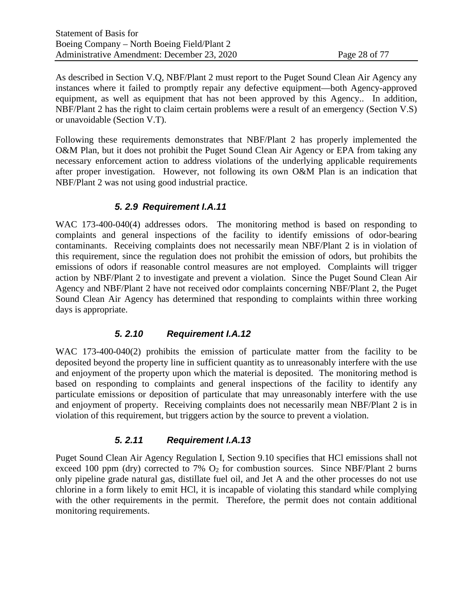As described in Section V.Q, NBF/Plant 2 must report to the Puget Sound Clean Air Agency any instances where it failed to promptly repair any defective equipment—both Agency-approved equipment, as well as equipment that has not been approved by this Agency.. In addition, NBF/Plant 2 has the right to claim certain problems were a result of an emergency (Section V.S) or unavoidable (Section V.T).

Following these requirements demonstrates that NBF/Plant 2 has properly implemented the O&M Plan, but it does not prohibit the Puget Sound Clean Air Agency or EPA from taking any necessary enforcement action to address violations of the underlying applicable requirements after proper investigation. However, not following its own O&M Plan is an indication that NBF/Plant 2 was not using good industrial practice.

### *5. 2.9 Requirement I.A.11*

WAC 173-400-040(4) addresses odors. The monitoring method is based on responding to complaints and general inspections of the facility to identify emissions of odor-bearing contaminants. Receiving complaints does not necessarily mean NBF/Plant 2 is in violation of this requirement, since the regulation does not prohibit the emission of odors, but prohibits the emissions of odors if reasonable control measures are not employed. Complaints will trigger action by NBF/Plant 2 to investigate and prevent a violation. Since the Puget Sound Clean Air Agency and NBF/Plant 2 have not received odor complaints concerning NBF/Plant 2, the Puget Sound Clean Air Agency has determined that responding to complaints within three working days is appropriate.

### *5. 2.10 Requirement I.A.12*

WAC 173-400-040(2) prohibits the emission of particulate matter from the facility to be deposited beyond the property line in sufficient quantity as to unreasonably interfere with the use and enjoyment of the property upon which the material is deposited. The monitoring method is based on responding to complaints and general inspections of the facility to identify any particulate emissions or deposition of particulate that may unreasonably interfere with the use and enjoyment of property. Receiving complaints does not necessarily mean NBF/Plant 2 is in violation of this requirement, but triggers action by the source to prevent a violation.

# *5. 2.11 Requirement I.A.13*

Puget Sound Clean Air Agency Regulation I, Section 9.10 specifies that HCl emissions shall not exceed 100 ppm (dry) corrected to 7%  $O_2$  for combustion sources. Since NBF/Plant 2 burns only pipeline grade natural gas, distillate fuel oil, and Jet A and the other processes do not use chlorine in a form likely to emit HCl, it is incapable of violating this standard while complying with the other requirements in the permit. Therefore, the permit does not contain additional monitoring requirements.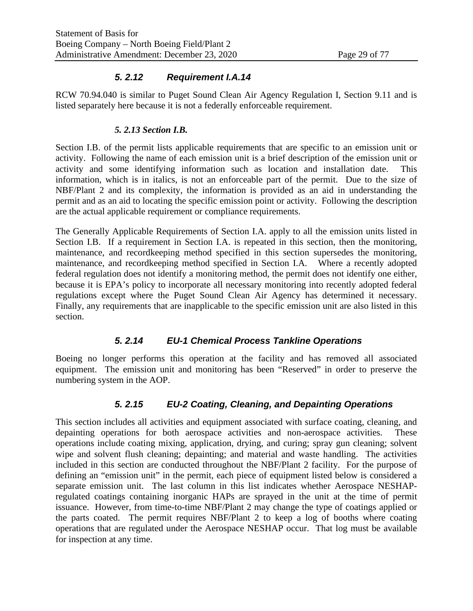### *5. 2.12 Requirement I.A.14*

RCW 70.94.040 is similar to Puget Sound Clean Air Agency Regulation I, Section 9.11 and is listed separately here because it is not a federally enforceable requirement.

### *5. 2.13 Section I.B.*

Section I.B. of the permit lists applicable requirements that are specific to an emission unit or activity. Following the name of each emission unit is a brief description of the emission unit or activity and some identifying information such as location and installation date. This information, which is in italics, is not an enforceable part of the permit. Due to the size of NBF/Plant 2 and its complexity, the information is provided as an aid in understanding the permit and as an aid to locating the specific emission point or activity. Following the description are the actual applicable requirement or compliance requirements.

The Generally Applicable Requirements of Section I.A. apply to all the emission units listed in Section I.B. If a requirement in Section I.A. is repeated in this section, then the monitoring, maintenance, and recordkeeping method specified in this section supersedes the monitoring, maintenance, and recordkeeping method specified in Section I.A. Where a recently adopted federal regulation does not identify a monitoring method, the permit does not identify one either, because it is EPA's policy to incorporate all necessary monitoring into recently adopted federal regulations except where the Puget Sound Clean Air Agency has determined it necessary. Finally, any requirements that are inapplicable to the specific emission unit are also listed in this section.

# *5. 2.14 EU-1 Chemical Process Tankline Operations*

Boeing no longer performs this operation at the facility and has removed all associated equipment. The emission unit and monitoring has been "Reserved" in order to preserve the numbering system in the AOP.

# *5. 2.15 EU-2 Coating, Cleaning, and Depainting Operations*

This section includes all activities and equipment associated with surface coating, cleaning, and depainting operations for both aerospace activities and non-aerospace activities. These operations include coating mixing, application, drying, and curing; spray gun cleaning; solvent wipe and solvent flush cleaning; depainting; and material and waste handling. The activities included in this section are conducted throughout the NBF/Plant 2 facility. For the purpose of defining an "emission unit" in the permit, each piece of equipment listed below is considered a separate emission unit. The last column in this list indicates whether Aerospace NESHAPregulated coatings containing inorganic HAPs are sprayed in the unit at the time of permit issuance. However, from time-to-time NBF/Plant 2 may change the type of coatings applied or the parts coated. The permit requires NBF/Plant 2 to keep a log of booths where coating operations that are regulated under the Aerospace NESHAP occur. That log must be available for inspection at any time.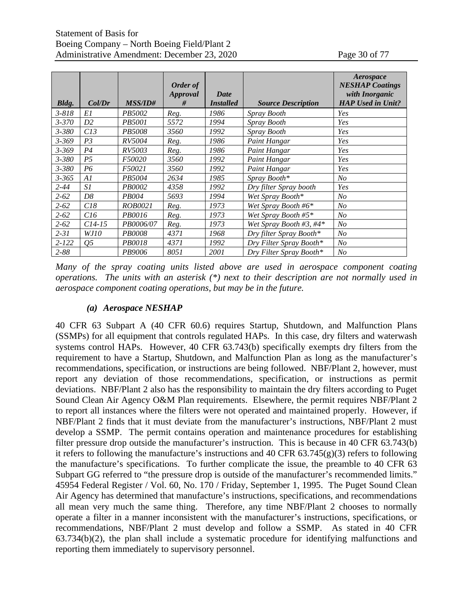|           |                |                | Order of      |                                 |                           | Aerospace<br><b>NESHAP Coatings</b>        |
|-----------|----------------|----------------|---------------|---------------------------------|---------------------------|--------------------------------------------|
| Bldg.     | Col/Dr         | <b>MSS/ID#</b> | Approval<br># | Date<br><i><b>Installed</b></i> | <b>Source Description</b> | with Inorganic<br><b>HAP Used in Unit?</b> |
| $3 - 818$ | E1             | PB5002         | Reg.          | 1986                            | Spray Booth               | Yes                                        |
| $3 - 370$ | D <sub>2</sub> | <i>PB5001</i>  | 5572          | 1994                            | Spray Booth               | Yes                                        |
| $3 - 380$ | C13            | <i>PB5008</i>  | 3560          | 1992                            | Spray Booth               | Yes                                        |
| $3 - 369$ | P <sub>3</sub> | <i>RV5004</i>  | Reg.          | 1986                            | Paint Hangar              | Yes                                        |
| $3 - 369$ | P <sub>4</sub> | RV5003         | Reg.          | 1986                            | Paint Hangar              | Yes                                        |
| $3 - 380$ | P <sub>5</sub> | F50020         | 3560          | 1992                            | Paint Hangar              | Yes                                        |
| $3 - 380$ | P6             | F50021         | 3560          | 1992                            | Paint Hangar              | Yes                                        |
| $3 - 365$ | A1             | PB5004         | 2634          | 1985                            | Spray Booth*              | N <sub>O</sub>                             |
| $2 - 44$  | S1             | PB0002         | 4358          | 1992                            | Dry filter Spray booth    | Yes                                        |
| $2 - 62$  | D8             | <i>PB004</i>   | 5693          | 1994                            | Wet Spray Booth*          | N <sub>O</sub>                             |
| $2 - 62$  | C18            | ROB0021        | Reg.          | 1973                            | Wet Spray Booth #6*       | N <sub>O</sub>                             |
| $2 - 62$  | C16            | PB0016         | Reg.          | 1973                            | Wet Spray Booth #5*       | N <sub>O</sub>                             |
| $2 - 62$  | $C14-15$       | PB0006/07      | Reg.          | 1973                            | Wet Spray Booth #3, #4*   | N <sub>O</sub>                             |
| $2 - 31$  | WJ10           | <b>PB0008</b>  | 4371          | 1968                            | Dry filter Spray Booth*   | N <sub>O</sub>                             |
| $2 - 122$ | 05             | PB0018         | 4371          | 1992                            | Dry Filter Spray Booth*   | N <sub>O</sub>                             |
| $2 - 88$  |                | PB9006         | 8051          | 2001                            | Dry Filter Spray Booth*   | N <sub>O</sub>                             |

*Many of the spray coating units listed above are used in aerospace component coating operations. The units with an asterisk (\*) next to their description are not normally used in aerospace component coating operations, but may be in the future.*

#### *(a) Aerospace NESHAP*

40 CFR 63 Subpart A (40 CFR 60.6) requires Startup, Shutdown, and Malfunction Plans (SSMPs) for all equipment that controls regulated HAPs. In this case, dry filters and waterwash systems control HAPs. However, 40 CFR 63.743(b) specifically exempts dry filters from the requirement to have a Startup, Shutdown, and Malfunction Plan as long as the manufacturer's recommendations, specification, or instructions are being followed. NBF/Plant 2, however, must report any deviation of those recommendations, specification, or instructions as permit deviations. NBF/Plant 2 also has the responsibility to maintain the dry filters according to Puget Sound Clean Air Agency O&M Plan requirements. Elsewhere, the permit requires NBF/Plant 2 to report all instances where the filters were not operated and maintained properly. However, if NBF/Plant 2 finds that it must deviate from the manufacturer's instructions, NBF/Plant 2 must develop a SSMP. The permit contains operation and maintenance procedures for establishing filter pressure drop outside the manufacturer's instruction. This is because in 40 CFR 63.743(b) it refers to following the manufacture's instructions and 40 CFR  $63.745(g)(3)$  refers to following the manufacture's specifications. To further complicate the issue, the preamble to 40 CFR 63 Subpart GG referred to "the pressure drop is outside of the manufacturer's recommended limits." 45954 Federal Register / Vol. 60, No. 170 / Friday, September 1, 1995. The Puget Sound Clean Air Agency has determined that manufacture's instructions, specifications, and recommendations all mean very much the same thing. Therefore, any time NBF/Plant 2 chooses to normally operate a filter in a manner inconsistent with the manufacturer's instructions, specifications, or recommendations, NBF/Plant 2 must develop and follow a SSMP. As stated in 40 CFR 63.734(b)(2), the plan shall include a systematic procedure for identifying malfunctions and reporting them immediately to supervisory personnel.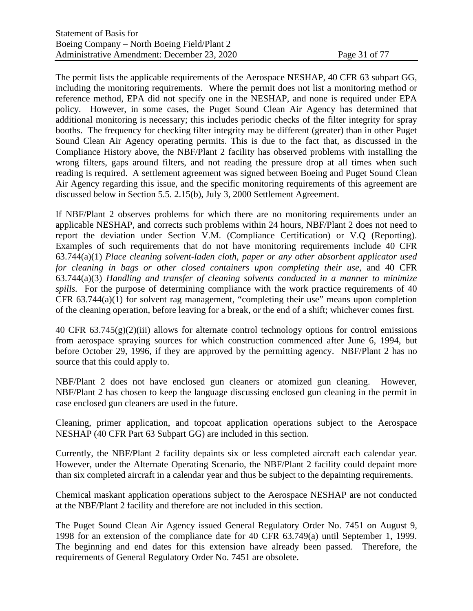The permit lists the applicable requirements of the Aerospace NESHAP, 40 CFR 63 subpart GG, including the monitoring requirements. Where the permit does not list a monitoring method or reference method, EPA did not specify one in the NESHAP, and none is required under EPA policy. However, in some cases, the Puget Sound Clean Air Agency has determined that additional monitoring is necessary; this includes periodic checks of the filter integrity for spray booths. The frequency for checking filter integrity may be different (greater) than in other Puget Sound Clean Air Agency operating permits. This is due to the fact that, as discussed in the [Compliance History](#page-13-0) above, the NBF/Plant 2 facility has observed problems with installing the wrong filters, gaps around filters, and not reading the pressure drop at all times when such reading is required. A settlement agreement was signed between Boeing and Puget Sound Clean Air Agency regarding this issue, and the specific monitoring requirements of this agreement are discussed below in Section [5.5. 2.15\(b\), July 3, 2000 Settlement Agreement.](#page-31-0)

If NBF/Plant 2 observes problems for which there are no monitoring requirements under an applicable NESHAP, and corrects such problems within 24 hours, NBF/Plant 2 does not need to report the deviation under Section V.M. (Compliance Certification) or V.Q (Reporting). Examples of such requirements that do not have monitoring requirements include 40 CFR 63.744(a)(1) *Place cleaning solvent-laden cloth, paper or any other absorbent applicator used for cleaning in bags or other closed containers upon completing their use*, and 40 CFR 63.744(a)(3) *Handling and transfer of cleaning solvents conducted in a manner to minimize spills.* For the purpose of determining compliance with the work practice requirements of 40 CFR 63.744(a)(1) for solvent rag management, "completing their use" means upon completion of the cleaning operation, before leaving for a break, or the end of a shift; whichever comes first.

40 CFR 63.745(g)(2)(iii) allows for alternate control technology options for control emissions from aerospace spraying sources for which construction commenced after June 6, 1994, but before October 29, 1996, if they are approved by the permitting agency. NBF/Plant 2 has no source that this could apply to.

NBF/Plant 2 does not have enclosed gun cleaners or atomized gun cleaning. However, NBF/Plant 2 has chosen to keep the language discussing enclosed gun cleaning in the permit in case enclosed gun cleaners are used in the future.

Cleaning, primer application, and topcoat application operations subject to the Aerospace NESHAP (40 CFR Part 63 Subpart GG) are included in this section.

Currently, the NBF/Plant 2 facility depaints six or less completed aircraft each calendar year. However, under the Alternate Operating Scenario, the NBF/Plant 2 facility could depaint more than six completed aircraft in a calendar year and thus be subject to the depainting requirements.

Chemical maskant application operations subject to the Aerospace NESHAP are not conducted at the NBF/Plant 2 facility and therefore are not included in this section.

The Puget Sound Clean Air Agency issued General Regulatory Order No. 7451 on August 9, 1998 for an extension of the compliance date for 40 CFR 63.749(a) until September 1, 1999. The beginning and end dates for this extension have already been passed. Therefore, the requirements of General Regulatory Order No. 7451 are obsolete.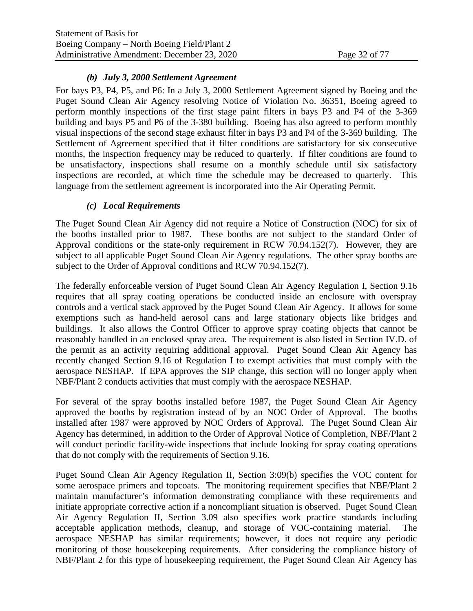### *(b) July 3, 2000 Settlement Agreement*

<span id="page-31-0"></span>For bays P3, P4, P5, and P6: In a July 3, 2000 Settlement Agreement signed by Boeing and the Puget Sound Clean Air Agency resolving Notice of Violation No. 36351, Boeing agreed to perform monthly inspections of the first stage paint filters in bays P3 and P4 of the 3-369 building and bays P5 and P6 of the 3-380 building. Boeing has also agreed to perform monthly visual inspections of the second stage exhaust filter in bays P3 and P4 of the 3-369 building. The Settlement of Agreement specified that if filter conditions are satisfactory for six consecutive months, the inspection frequency may be reduced to quarterly. If filter conditions are found to be unsatisfactory, inspections shall resume on a monthly schedule until six satisfactory inspections are recorded, at which time the schedule may be decreased to quarterly. This language from the settlement agreement is incorporated into the Air Operating Permit.

### *(c) Local Requirements*

The Puget Sound Clean Air Agency did not require a Notice of Construction (NOC) for six of the booths installed prior to 1987. These booths are not subject to the standard Order of Approval conditions or the state-only requirement in RCW 70.94.152(7). However, they are subject to all applicable Puget Sound Clean Air Agency regulations. The other spray booths are subject to the Order of Approval conditions and RCW 70.94.152(7).

The federally enforceable version of Puget Sound Clean Air Agency Regulation I, Section 9.16 requires that all spray coating operations be conducted inside an enclosure with overspray controls and a vertical stack approved by the Puget Sound Clean Air Agency. It allows for some exemptions such as hand-held aerosol cans and large stationary objects like bridges and buildings. It also allows the Control Officer to approve spray coating objects that cannot be reasonably handled in an enclosed spray area. The requirement is also listed in Section IV.D. of the permit as an activity requiring additional approval. Puget Sound Clean Air Agency has recently changed Section 9.16 of Regulation I to exempt activities that must comply with the aerospace NESHAP. If EPA approves the SIP change, this section will no longer apply when NBF/Plant 2 conducts activities that must comply with the aerospace NESHAP.

For several of the spray booths installed before 1987, the Puget Sound Clean Air Agency approved the booths by registration instead of by an NOC Order of Approval. The booths installed after 1987 were approved by NOC Orders of Approval. The Puget Sound Clean Air Agency has determined, in addition to the Order of Approval Notice of Completion, NBF/Plant 2 will conduct periodic facility-wide inspections that include looking for spray coating operations that do not comply with the requirements of Section 9.16.

Puget Sound Clean Air Agency Regulation II, Section 3:09(b) specifies the VOC content for some aerospace primers and topcoats. The monitoring requirement specifies that NBF/Plant 2 maintain manufacturer's information demonstrating compliance with these requirements and initiate appropriate corrective action if a noncompliant situation is observed. Puget Sound Clean Air Agency Regulation II, Section 3.09 also specifies work practice standards including acceptable application methods, cleanup, and storage of VOC-containing material. The aerospace NESHAP has similar requirements; however, it does not require any periodic monitoring of those housekeeping requirements. After considering the compliance history of NBF/Plant 2 for this type of housekeeping requirement, the Puget Sound Clean Air Agency has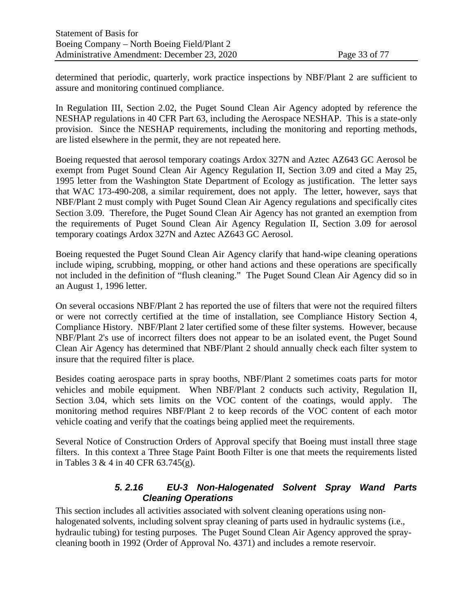determined that periodic, quarterly, work practice inspections by NBF/Plant 2 are sufficient to assure and monitoring continued compliance.

In Regulation III, Section 2.02, the Puget Sound Clean Air Agency adopted by reference the NESHAP regulations in 40 CFR Part 63, including the Aerospace NESHAP. This is a state-only provision. Since the NESHAP requirements, including the monitoring and reporting methods, are listed elsewhere in the permit, they are not repeated here.

Boeing requested that aerosol temporary coatings Ardox 327N and Aztec AZ643 GC Aerosol be exempt from Puget Sound Clean Air Agency Regulation II, Section 3.09 and cited a May 25, 1995 letter from the Washington State Department of Ecology as justification. The letter says that WAC 173-490-208, a similar requirement, does not apply. The letter, however, says that NBF/Plant 2 must comply with Puget Sound Clean Air Agency regulations and specifically cites Section 3.09. Therefore, the Puget Sound Clean Air Agency has not granted an exemption from the requirements of Puget Sound Clean Air Agency Regulation II, Section 3.09 for aerosol temporary coatings Ardox 327N and Aztec AZ643 GC Aerosol.

Boeing requested the Puget Sound Clean Air Agency clarify that hand-wipe cleaning operations include wiping, scrubbing, mopping, or other hand actions and these operations are specifically not included in the definition of "flush cleaning." The Puget Sound Clean Air Agency did so in an August 1, 1996 letter.

On several occasions NBF/Plant 2 has reported the use of filters that were not the required filters or were not correctly certified at the time of installation, see Compliance History Section [4,](#page-13-0) [Compliance History.](#page-13-0) NBF/Plant 2 later certified some of these filter systems. However, because NBF/Plant 2's use of incorrect filters does not appear to be an isolated event, the Puget Sound Clean Air Agency has determined that NBF/Plant 2 should annually check each filter system to insure that the required filter is place.

Besides coating aerospace parts in spray booths, NBF/Plant 2 sometimes coats parts for motor vehicles and mobile equipment. When NBF/Plant 2 conducts such activity, Regulation II, Section 3.04, which sets limits on the VOC content of the coatings, would apply. The monitoring method requires NBF/Plant 2 to keep records of the VOC content of each motor vehicle coating and verify that the coatings being applied meet the requirements.

Several Notice of Construction Orders of Approval specify that Boeing must install three stage filters. In this context a Three Stage Paint Booth Filter is one that meets the requirements listed in Tables 3 & 4 in 40 CFR 63.745(g).

### *5. 2.16 EU-3 Non-Halogenated Solvent Spray Wand Parts Cleaning Operations*

This section includes all activities associated with solvent cleaning operations using nonhalogenated solvents, including solvent spray cleaning of parts used in hydraulic systems (i.e., hydraulic tubing) for testing purposes. The Puget Sound Clean Air Agency approved the spraycleaning booth in 1992 (Order of Approval No. 4371) and includes a remote reservoir.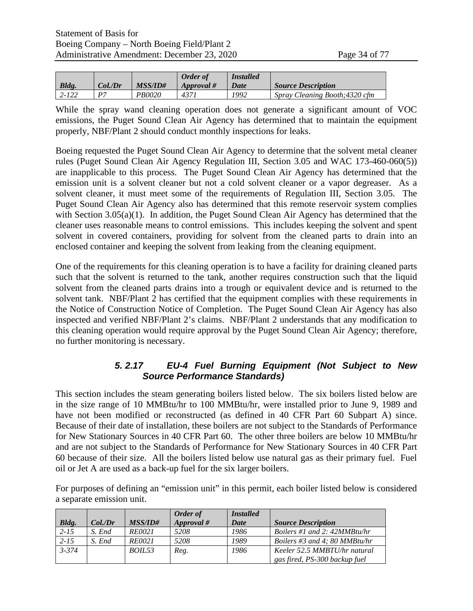|           |              |               | Order of   | <b>Installed</b> |                                |
|-----------|--------------|---------------|------------|------------------|--------------------------------|
| Bldg.     | Col.Dr       | MSS/ID#       | Approval # | Date             | <b>Source Description</b>      |
| $2 - 122$ | $\mathbf{p}$ | <i>PB0020</i> | 437 i      | 1992             | Spray Cleaning Booth; 4320 cfm |

While the spray wand cleaning operation does not generate a significant amount of VOC emissions, the Puget Sound Clean Air Agency has determined that to maintain the equipment properly, NBF/Plant 2 should conduct monthly inspections for leaks.

Boeing requested the Puget Sound Clean Air Agency to determine that the solvent metal cleaner rules (Puget Sound Clean Air Agency Regulation III, Section 3.05 and WAC 173-460-060(5)) are inapplicable to this process. The Puget Sound Clean Air Agency has determined that the emission unit is a solvent cleaner but not a cold solvent cleaner or a vapor degreaser. As a solvent cleaner, it must meet some of the requirements of Regulation III, Section 3.05. The Puget Sound Clean Air Agency also has determined that this remote reservoir system complies with Section 3.05(a)(1). In addition, the Puget Sound Clean Air Agency has determined that the cleaner uses reasonable means to control emissions. This includes keeping the solvent and spent solvent in covered containers, providing for solvent from the cleaned parts to drain into an enclosed container and keeping the solvent from leaking from the cleaning equipment.

One of the requirements for this cleaning operation is to have a facility for draining cleaned parts such that the solvent is returned to the tank, another requires construction such that the liquid solvent from the cleaned parts drains into a trough or equivalent device and is returned to the solvent tank. NBF/Plant 2 has certified that the equipment complies with these requirements in the Notice of Construction Notice of Completion. The Puget Sound Clean Air Agency has also inspected and verified NBF/Plant 2's claims. NBF/Plant 2 understands that any modification to this cleaning operation would require approval by the Puget Sound Clean Air Agency; therefore, no further monitoring is necessary.

### *5. 2.17 EU-4 Fuel Burning Equipment (Not Subject to New Source Performance Standards)*

This section includes the steam generating boilers listed below. The six boilers listed below are in the size range of 10 MMBtu/hr to 100 MMBtu/hr, were installed prior to June 9, 1989 and have not been modified or reconstructed (as defined in 40 CFR Part 60 Subpart A) since. Because of their date of installation, these boilers are not subject to the Standards of Performance for New Stationary Sources in 40 CFR Part 60. The other three boilers are below 10 MMBtu/hr and are not subject to the Standards of Performance for New Stationary Sources in 40 CFR Part 60 because of their size. All the boilers listed below use natural gas as their primary fuel. Fuel oil or Jet A are used as a back-up fuel for the six larger boilers.

For purposes of defining an "emission unit" in this permit, each boiler listed below is considered a separate emission unit.

|              |            |                | Order of   | <i>Installed</i> |                                |
|--------------|------------|----------------|------------|------------------|--------------------------------|
| <b>Bldg.</b> | $Col$ ./Dr | <i>MSS/ID#</i> | Approval # | Date             | <b>Source Description</b>      |
| $2 - 15$     | S. End     | <i>RE0021</i>  | 5208       | 1986             | Boilers #1 and 2: $42MMBtu/hr$ |
| $2 - 15$     | S. End     | <i>RE0021</i>  | 5208       | 1989             | Boilers #3 and 4: 80 MMBtu/hr  |
| $3 - 374$    |            | BOIL53         | Reg.       | 1986             | Keeler 52.5 MMBTU/hr natural   |
|              |            |                |            |                  | gas fired, PS-300 backup fuel  |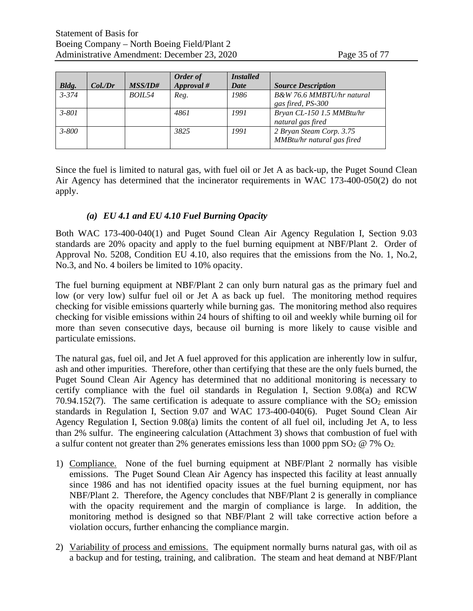|           |            |                | Order of   | <b>Installed</b> |                                                        |
|-----------|------------|----------------|------------|------------------|--------------------------------------------------------|
| Bldg.     | $Col$ ./Dr | <i>MSS/ID#</i> | Approval # | Date             | <b>Source Description</b>                              |
| $3 - 374$ |            | <i>BOIL54</i>  | Reg.       | 1986             | B&W 76.6 MMBTU/hr natural<br>gas fired, PS-300         |
| $3 - 801$ |            |                | 4861       | 1991             | Bryan CL-150 1.5 MMBtu/hr<br>natural gas fired         |
| $3 - 800$ |            |                | 3825       | 1991             | 2 Bryan Steam Corp. 3.75<br>MMBtu/hr natural gas fired |

Since the fuel is limited to natural gas, with fuel oil or Jet A as back-up, the Puget Sound Clean Air Agency has determined that the incinerator requirements in WAC 173-400-050(2) do not apply.

#### *(a) EU 4.1 and EU 4.10 Fuel Burning Opacity*

Both WAC 173-400-040(1) and Puget Sound Clean Air Agency Regulation I, Section 9.03 standards are 20% opacity and apply to the fuel burning equipment at NBF/Plant 2. Order of Approval No. 5208, Condition EU 4.10, also requires that the emissions from the No. 1, No.2, No.3, and No. 4 boilers be limited to 10% opacity.

The fuel burning equipment at NBF/Plant 2 can only burn natural gas as the primary fuel and low (or very low) sulfur fuel oil or Jet A as back up fuel. The monitoring method requires checking for visible emissions quarterly while burning gas. The monitoring method also requires checking for visible emissions within 24 hours of shifting to oil and weekly while burning oil for more than seven consecutive days, because oil burning is more likely to cause visible and particulate emissions.

The natural gas, fuel oil, and Jet A fuel approved for this application are inherently low in sulfur, ash and other impurities. Therefore, other than certifying that these are the only fuels burned, the Puget Sound Clean Air Agency has determined that no additional monitoring is necessary to certify compliance with the fuel oil standards in Regulation I, Section 9.08(a) and RCW 70.94.152(7). The same certification is adequate to assure compliance with the  $SO_2$  emission standards in Regulation I, Section 9.07 and WAC 173-400-040(6). Puget Sound Clean Air Agency Regulation I, Section 9.08(a) limits the content of all fuel oil, including Jet A, to less than 2% sulfur. The engineering calculation (Attachment 3) shows that combustion of fuel with a sulfur content not greater than 2% generates emissions less than 1000 ppm  $SO_2 \otimes 7\%$   $O_2$ .

- 1) Compliance. None of the fuel burning equipment at NBF/Plant 2 normally has visible emissions. The Puget Sound Clean Air Agency has inspected this facility at least annually since 1986 and has not identified opacity issues at the fuel burning equipment, nor has NBF/Plant 2. Therefore, the Agency concludes that NBF/Plant 2 is generally in compliance with the opacity requirement and the margin of compliance is large. In addition, the monitoring method is designed so that NBF/Plant 2 will take corrective action before a violation occurs, further enhancing the compliance margin.
- 2) Variability of process and emissions. The equipment normally burns natural gas, with oil as a backup and for testing, training, and calibration. The steam and heat demand at NBF/Plant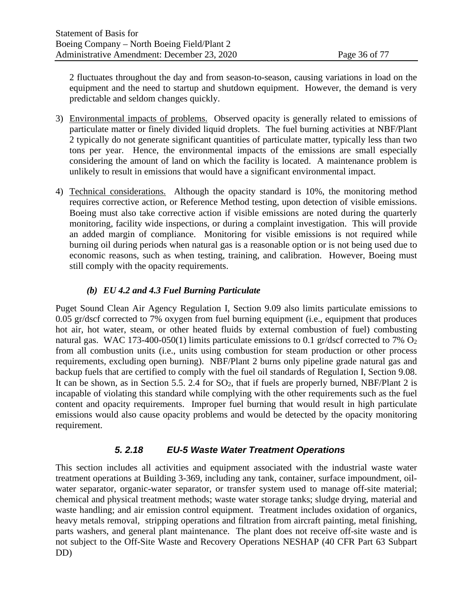2 fluctuates throughout the day and from season-to-season, causing variations in load on the equipment and the need to startup and shutdown equipment. However, the demand is very predictable and seldom changes quickly.

- 3) Environmental impacts of problems. Observed opacity is generally related to emissions of particulate matter or finely divided liquid droplets. The fuel burning activities at NBF/Plant 2 typically do not generate significant quantities of particulate matter, typically less than two tons per year. Hence, the environmental impacts of the emissions are small especially considering the amount of land on which the facility is located. A maintenance problem is unlikely to result in emissions that would have a significant environmental impact.
- 4) Technical considerations. Although the opacity standard is 10%, the monitoring method requires corrective action, or Reference Method testing, upon detection of visible emissions. Boeing must also take corrective action if visible emissions are noted during the quarterly monitoring, facility wide inspections, or during a complaint investigation. This will provide an added margin of compliance. Monitoring for visible emissions is not required while burning oil during periods when natural gas is a reasonable option or is not being used due to economic reasons, such as when testing, training, and calibration. However, Boeing must still comply with the opacity requirements.

### *(b) EU 4.2 and 4.3 Fuel Burning Particulate*

Puget Sound Clean Air Agency Regulation I, Section 9.09 also limits particulate emissions to 0.05 gr/dscf corrected to 7% oxygen from fuel burning equipment (i.e., equipment that produces hot air, hot water, steam, or other heated fluids by external combustion of fuel) combusting natural gas. WAC 173-400-050(1) limits particulate emissions to 0.1 gr/dscf corrected to 7%  $O_2$ from all combustion units (i.e., units using combustion for steam production or other process requirements, excluding open burning). NBF/Plant 2 burns only pipeline grade natural gas and backup fuels that are certified to comply with the fuel oil standards of Regulation I, Section 9.08. It can be shown, as in Section [5.5. 2.4](#page-22-0) for  $SO<sub>2</sub>$ , that if fuels are properly burned, NBF/Plant 2 is incapable of violating this standard while complying with the other requirements such as the fuel content and opacity requirements. Improper fuel burning that would result in high particulate emissions would also cause opacity problems and would be detected by the opacity monitoring requirement.

# *5. 2.18 EU-5 Waste Water Treatment Operations*

This section includes all activities and equipment associated with the industrial waste water treatment operations at Building 3-369, including any tank, container, surface impoundment, oilwater separator, organic-water separator, or transfer system used to manage off-site material; chemical and physical treatment methods; waste water storage tanks; sludge drying, material and waste handling; and air emission control equipment. Treatment includes oxidation of organics, heavy metals removal, stripping operations and filtration from aircraft painting, metal finishing, parts washers, and general plant maintenance. The plant does not receive off-site waste and is not subject to the Off-Site Waste and Recovery Operations NESHAP (40 CFR Part 63 Subpart DD)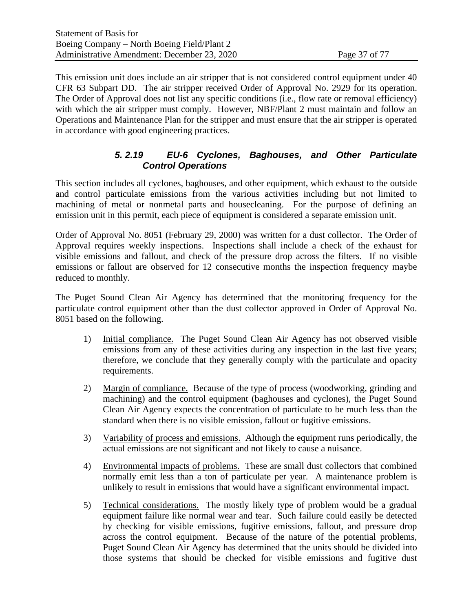This emission unit does include an air stripper that is not considered control equipment under 40 CFR 63 Subpart DD. The air stripper received Order of Approval No. 2929 for its operation. The Order of Approval does not list any specific conditions (i.e., flow rate or removal efficiency) with which the air stripper must comply. However, NBF/Plant 2 must maintain and follow an Operations and Maintenance Plan for the stripper and must ensure that the air stripper is operated in accordance with good engineering practices.

## *5. 2.19 EU-6 Cyclones, Baghouses, and Other Particulate Control Operations*

<span id="page-36-0"></span>This section includes all cyclones, baghouses, and other equipment, which exhaust to the outside and control particulate emissions from the various activities including but not limited to machining of metal or nonmetal parts and housecleaning. For the purpose of defining an emission unit in this permit, each piece of equipment is considered a separate emission unit.

Order of Approval No. 8051 (February 29, 2000) was written for a dust collector. The Order of Approval requires weekly inspections. Inspections shall include a check of the exhaust for visible emissions and fallout, and check of the pressure drop across the filters. If no visible emissions or fallout are observed for 12 consecutive months the inspection frequency maybe reduced to monthly.

The Puget Sound Clean Air Agency has determined that the monitoring frequency for the particulate control equipment other than the dust collector approved in Order of Approval No. 8051 based on the following.

- 1) Initial compliance. The Puget Sound Clean Air Agency has not observed visible emissions from any of these activities during any inspection in the last five years; therefore, we conclude that they generally comply with the particulate and opacity requirements.
- 2) Margin of compliance. Because of the type of process (woodworking, grinding and machining) and the control equipment (baghouses and cyclones), the Puget Sound Clean Air Agency expects the concentration of particulate to be much less than the standard when there is no visible emission, fallout or fugitive emissions.
- 3) Variability of process and emissions. Although the equipment runs periodically, the actual emissions are not significant and not likely to cause a nuisance.
- 4) Environmental impacts of problems. These are small dust collectors that combined normally emit less than a ton of particulate per year. A maintenance problem is unlikely to result in emissions that would have a significant environmental impact.
- 5) Technical considerations. The mostly likely type of problem would be a gradual equipment failure like normal wear and tear. Such failure could easily be detected by checking for visible emissions, fugitive emissions, fallout, and pressure drop across the control equipment. Because of the nature of the potential problems, Puget Sound Clean Air Agency has determined that the units should be divided into those systems that should be checked for visible emissions and fugitive dust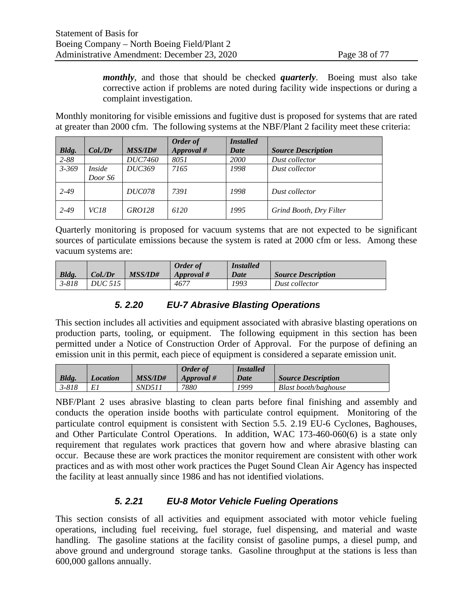*monthly*, and those that should be checked *quarterly*. Boeing must also take corrective action if problems are noted during facility wide inspections or during a complaint investigation.

Monthly monitoring for visible emissions and fugitive dust is proposed for systems that are rated at greater than 2000 cfm. The following systems at the NBF/Plant 2 facility meet these criteria:

|           |             |                | Order of   | <i>Installed</i> |                           |
|-----------|-------------|----------------|------------|------------------|---------------------------|
| Bldg.     | $Col$ ./Dr  | <i>MSS/ID#</i> | Approval # | Date             | <b>Source Description</b> |
| $2 - 88$  |             | <i>DUC7460</i> | 8051       | 2000             | Dust collector            |
| $3 - 369$ | Inside      | <i>DUC369</i>  | 7165       | 1998             | Dust collector            |
|           | Door S6     |                |            |                  |                           |
| $2 - 49$  |             | <b>DUC078</b>  | 7391       | 1998             | Dust collector            |
| $2 - 49$  | <i>VC18</i> | GRO128         | 6120       | 1995             | Grind Booth, Dry Filter   |

Quarterly monitoring is proposed for vacuum systems that are not expected to be significant sources of particulate emissions because the system is rated at 2000 cfm or less. Among these vacuum systems are:

|              |                |                | Order of   | <i>Installed</i> |                           |
|--------------|----------------|----------------|------------|------------------|---------------------------|
| <b>Bldg.</b> | Col./Dr        | <i>MSS/ID#</i> | Approval # | Date             | <i>Source Description</i> |
| $3 - 818$    | <i>DUC 515</i> |                | 4677       | 1993             | Dust collector            |

## *5. 2.20 EU-7 Abrasive Blasting Operations*

This section includes all activities and equipment associated with abrasive blasting operations on production parts, tooling, or equipment. The following equipment in this section has been permitted under a Notice of Construction Order of Approval. For the purpose of defining an emission unit in this permit, each piece of equipment is considered a separate emission unit.

|           |          |                | <b>Order</b> of | <i>Installed</i> |                           |
|-----------|----------|----------------|-----------------|------------------|---------------------------|
| $Bldg$ .  | Location | <i>MSS/ID#</i> | Approval #      | Date             | <i>Source Description</i> |
| $3 - 818$ |          | SND511         | 7880            | 1999             | Blast booth/baghouse      |

NBF/Plant 2 uses abrasive blasting to clean parts before final finishing and assembly and conducts the operation inside booths with particulate control equipment. Monitoring of the particulate control equipment is consistent with Section [5.5. 2.19](#page-36-0) [EU-6 Cyclones, Baghouses,](#page-36-0)  [and Other Particulate Control Operations.](#page-36-0) In addition, WAC 173-460-060(6) is a state only requirement that regulates work practices that govern how and where abrasive blasting can occur. Because these are work practices the monitor requirement are consistent with other work practices and as with most other work practices the Puget Sound Clean Air Agency has inspected the facility at least annually since 1986 and has not identified violations.

## *5. 2.21 EU-8 Motor Vehicle Fueling Operations*

This section consists of all activities and equipment associated with motor vehicle fueling operations, including fuel receiving, fuel storage, fuel dispensing, and material and waste handling. The gasoline stations at the facility consist of gasoline pumps, a diesel pump, and above ground and underground storage tanks. Gasoline throughput at the stations is less than 600,000 gallons annually.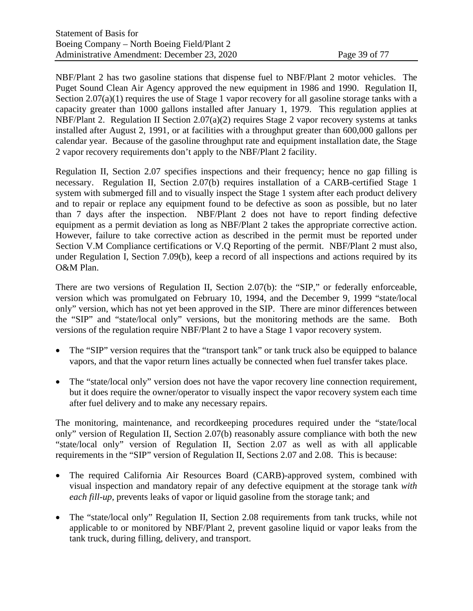NBF/Plant 2 has two gasoline stations that dispense fuel to NBF/Plant 2 motor vehicles. The Puget Sound Clean Air Agency approved the new equipment in 1986 and 1990. Regulation II, Section 2.07(a)(1) requires the use of Stage 1 vapor recovery for all gasoline storage tanks with a capacity greater than 1000 gallons installed after January 1, 1979. This regulation applies at NBF/Plant 2. Regulation II Section 2.07(a)(2) requires Stage 2 vapor recovery systems at tanks installed after August 2, 1991, or at facilities with a throughput greater than 600,000 gallons per calendar year. Because of the gasoline throughput rate and equipment installation date, the Stage 2 vapor recovery requirements don't apply to the NBF/Plant 2 facility.

Regulation II, Section 2.07 specifies inspections and their frequency; hence no gap filling is necessary. Regulation II, Section 2.07(b) requires installation of a CARB-certified Stage 1 system with submerged fill and to visually inspect the Stage 1 system after each product delivery and to repair or replace any equipment found to be defective as soon as possible, but no later than 7 days after the inspection. NBF/Plant 2 does not have to report finding defective equipment as a permit deviation as long as NBF/Plant 2 takes the appropriate corrective action. However, failure to take corrective action as described in the permit must be reported under Section V.M Compliance certifications or V.Q Reporting of the permit. NBF/Plant 2 must also, under Regulation I, Section 7.09(b), keep a record of all inspections and actions required by its O&M Plan.

There are two versions of Regulation II, Section 2.07(b): the "SIP," or federally enforceable, version which was promulgated on February 10, 1994, and the December 9, 1999 "state/local only" version, which has not yet been approved in the SIP. There are minor differences between the "SIP" and "state/local only" versions, but the monitoring methods are the same. Both versions of the regulation require NBF/Plant 2 to have a Stage 1 vapor recovery system.

- The "SIP" version requires that the "transport tank" or tank truck also be equipped to balance vapors, and that the vapor return lines actually be connected when fuel transfer takes place.
- The "state/local only" version does not have the vapor recovery line connection requirement, but it does require the owner/operator to visually inspect the vapor recovery system each time after fuel delivery and to make any necessary repairs.

The monitoring, maintenance, and recordkeeping procedures required under the "state/local only" version of Regulation II, Section 2.07(b) reasonably assure compliance with both the new "state/local only" version of Regulation II, Section 2.07 as well as with all applicable requirements in the "SIP" version of Regulation II, Sections 2.07 and 2.08. This is because:

- The required California Air Resources Board (CARB)-approved system, combined with visual inspection and mandatory repair of any defective equipment at the storage tank *with each fill-up*, prevents leaks of vapor or liquid gasoline from the storage tank; and
- The "state/local only" Regulation II, Section 2.08 requirements from tank trucks, while not applicable to or monitored by NBF/Plant 2, prevent gasoline liquid or vapor leaks from the tank truck, during filling, delivery, and transport.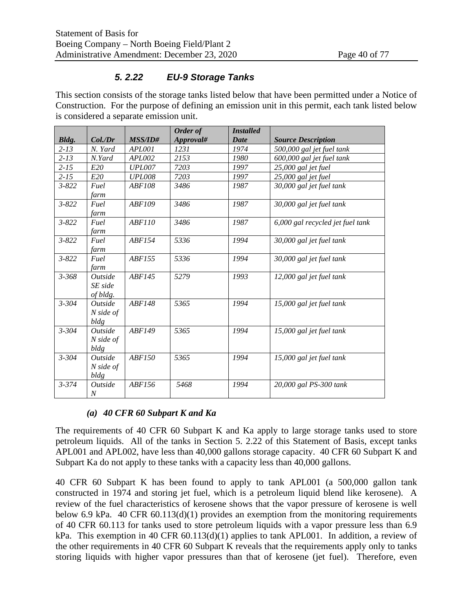## *5. 2.22 EU-9 Storage Tanks*

<span id="page-39-0"></span>This section consists of the storage tanks listed below that have been permitted under a Notice of Construction. For the purpose of defining an emission unit in this permit, each tank listed below is considered a separate emission unit.

|              |                              |                | Order of  | <b>Installed</b> |                                  |
|--------------|------------------------------|----------------|-----------|------------------|----------------------------------|
| <b>Bldg.</b> | Col./Dr                      | <b>MSS/ID#</b> | Approval# | Date             | <b>Source Description</b>        |
| $2 - 13$     | N. Yard                      | APL001         | 1231      | 1974             | 500,000 gal jet fuel tank        |
| $2 - 13$     | N.Yard                       | APL002         | 2153      | 1980             | 600,000 gal jet fuel tank        |
| $2 - 15$     | E20                          | <b>UPL007</b>  | 7203      | 1997             | 25,000 gal jet fuel              |
| $2 - 15$     | E20                          | <b>UPL008</b>  | 7203      | 1997             | 25,000 gal jet fuel              |
| $3 - 822$    | Fuel                         | <b>ABF108</b>  | 3486      | 1987             | 30,000 gal jet fuel tank         |
|              | farm                         |                |           |                  |                                  |
| $3 - 822$    | Fuel                         | ABF109         | 3486      | 1987             | 30,000 gal jet fuel tank         |
|              | farm                         |                |           |                  |                                  |
| $3 - 822$    | Fuel                         | <b>ABF110</b>  | 3486      | 1987             | 6,000 gal recycled jet fuel tank |
|              | farm                         |                |           |                  |                                  |
| $3 - 822$    | Fuel                         | ABF154         | 5336      | 1994             | 30,000 gal jet fuel tank         |
|              | farm                         |                |           |                  |                                  |
| $3 - 822$    | Fuel                         | <i>ABF155</i>  | 5336      | 1994             | 30,000 gal jet fuel tank         |
|              | farm                         |                |           |                  |                                  |
| $3 - 368$    | Outside                      | ABF145         | 5279      | 1993             | 12,000 gal jet fuel tank         |
|              | SE side                      |                |           |                  |                                  |
|              | of bldg.                     |                |           |                  |                                  |
| $3 - 304$    | Outside                      | ABF148         | 5365      | 1994             | 15,000 gal jet fuel tank         |
|              | $N$ side of                  |                |           |                  |                                  |
|              | bldg                         |                |           |                  |                                  |
| $3 - 304$    | Outside                      | ABF149         | 5365      | 1994             | 15,000 gal jet fuel tank         |
|              | $N$ side of                  |                |           |                  |                                  |
|              | bldg                         |                |           |                  |                                  |
| $3 - 304$    | Outside                      | <b>ABF150</b>  | 5365      | 1994             | 15,000 gal jet fuel tank         |
|              | $N$ side of                  |                |           |                  |                                  |
|              | bldg                         |                |           |                  |                                  |
| $3 - 374$    | <i><u><b>Outside</b></u></i> | ABF156         | 5468      | 1994             | 20,000 gal PS-300 tank           |
|              | $\boldsymbol{N}$             |                |           |                  |                                  |

## *(a) 40 CFR 60 Subpart K and Ka*

The requirements of 40 CFR 60 Subpart K and Ka apply to large storage tanks used to store petroleum liquids. All of the tanks in Section [5. 2.22](#page-39-0) of this Statement of Basis, except tanks APL001 and APL002, have less than 40,000 gallons storage capacity. 40 CFR 60 Subpart K and Subpart Ka do not apply to these tanks with a capacity less than 40,000 gallons.

40 CFR 60 Subpart K has been found to apply to tank APL001 (a 500,000 gallon tank constructed in 1974 and storing jet fuel, which is a petroleum liquid blend like kerosene). A review of the fuel characteristics of kerosene shows that the vapor pressure of kerosene is well below 6.9 kPa. 40 CFR 60.113(d)(1) provides an exemption from the monitoring requirements of 40 CFR 60.113 for tanks used to store petroleum liquids with a vapor pressure less than 6.9 kPa. This exemption in 40 CFR  $60.113(d)(1)$  applies to tank APL001. In addition, a review of the other requirements in 40 CFR 60 Subpart K reveals that the requirements apply only to tanks storing liquids with higher vapor pressures than that of kerosene (jet fuel). Therefore, even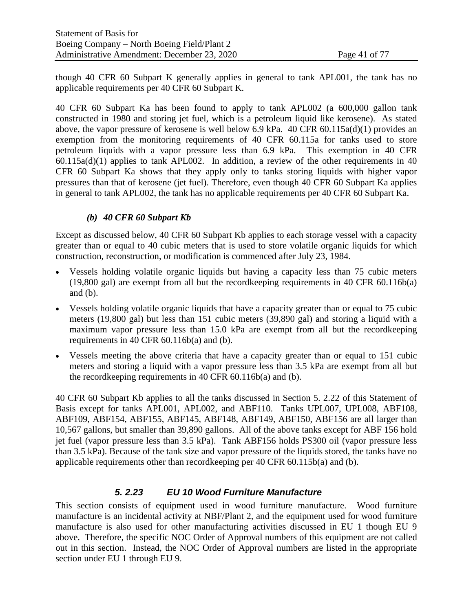though 40 CFR 60 Subpart K generally applies in general to tank APL001, the tank has no applicable requirements per 40 CFR 60 Subpart K.

40 CFR 60 Subpart Ka has been found to apply to tank APL002 (a 600,000 gallon tank constructed in 1980 and storing jet fuel, which is a petroleum liquid like kerosene). As stated above, the vapor pressure of kerosene is well below 6.9 kPa. 40 CFR 60.115a(d)(1) provides an exemption from the monitoring requirements of 40 CFR 60.115a for tanks used to store petroleum liquids with a vapor pressure less than 6.9 kPa. This exemption in 40 CFR 60.115a(d)(1) applies to tank APL002. In addition, a review of the other requirements in 40 CFR 60 Subpart Ka shows that they apply only to tanks storing liquids with higher vapor pressures than that of kerosene (jet fuel). Therefore, even though 40 CFR 60 Subpart Ka applies in general to tank APL002, the tank has no applicable requirements per 40 CFR 60 Subpart Ka.

## *(b) 40 CFR 60 Subpart Kb*

Except as discussed below, 40 CFR 60 Subpart Kb applies to each storage vessel with a capacity greater than or equal to 40 cubic meters that is used to store volatile organic liquids for which construction, reconstruction, or modification is commenced after July 23, 1984.

- Vessels holding volatile organic liquids but having a capacity less than 75 cubic meters (19,800 gal) are exempt from all but the recordkeeping requirements in 40 CFR 60.116b(a) and  $(b)$ .
- Vessels holding volatile organic liquids that have a capacity greater than or equal to 75 cubic meters (19,800 gal) but less than 151 cubic meters (39,890 gal) and storing a liquid with a maximum vapor pressure less than 15.0 kPa are exempt from all but the recordkeeping requirements in 40 CFR 60.116b(a) and (b).
- Vessels meeting the above criteria that have a capacity greater than or equal to 151 cubic meters and storing a liquid with a vapor pressure less than 3.5 kPa are exempt from all but the recordkeeping requirements in 40 CFR 60.116b(a) and (b).

40 CFR 60 Subpart Kb applies to all the tanks discussed in Section [5. 2.22](#page-39-0) of this Statement of Basis except for tanks APL001, APL002, and ABF110. Tanks UPL007, UPL008, ABF108, ABF109, ABF154, ABF155, ABF145, ABF148, ABF149, ABF150, ABF156 are all larger than 10,567 gallons, but smaller than 39,890 gallons. All of the above tanks except for ABF 156 hold jet fuel (vapor pressure less than 3.5 kPa). Tank ABF156 holds PS300 oil (vapor pressure less than 3.5 kPa). Because of the tank size and vapor pressure of the liquids stored, the tanks have no applicable requirements other than recordkeeping per 40 CFR 60.115b(a) and (b).

## *5. 2.23 EU 10 Wood Furniture Manufacture*

This section consists of equipment used in wood furniture manufacture. Wood furniture manufacture is an incidental activity at NBF/Plant 2, and the equipment used for wood furniture manufacture is also used for other manufacturing activities discussed in EU 1 though EU 9 above. Therefore, the specific NOC Order of Approval numbers of this equipment are not called out in this section. Instead, the NOC Order of Approval numbers are listed in the appropriate section under EU 1 through EU 9.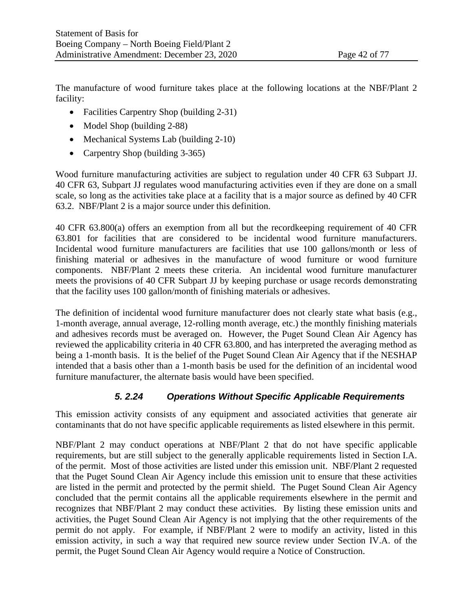The manufacture of wood furniture takes place at the following locations at the NBF/Plant 2 facility:

- Facilities Carpentry Shop (building 2-31)
- Model Shop (building 2-88)
- Mechanical Systems Lab (building 2-10)
- Carpentry Shop (building 3-365)

Wood furniture manufacturing activities are subject to regulation under 40 CFR 63 Subpart JJ. 40 CFR 63, Subpart JJ regulates wood manufacturing activities even if they are done on a small scale, so long as the activities take place at a facility that is a major source as defined by 40 CFR 63.2. NBF/Plant 2 is a major source under this definition.

40 CFR 63.800(a) offers an exemption from all but the recordkeeping requirement of 40 CFR 63.801 for facilities that are considered to be incidental wood furniture manufacturers. Incidental wood furniture manufacturers are facilities that use 100 gallons/month or less of finishing material or adhesives in the manufacture of wood furniture or wood furniture components. NBF/Plant 2 meets these criteria. An incidental wood furniture manufacturer meets the provisions of 40 CFR Subpart JJ by keeping purchase or usage records demonstrating that the facility uses 100 gallon/month of finishing materials or adhesives.

The definition of incidental wood furniture manufacturer does not clearly state what basis (e.g., 1-month average, annual average, 12-rolling month average, etc.) the monthly finishing materials and adhesives records must be averaged on. However, the Puget Sound Clean Air Agency has reviewed the applicability criteria in 40 CFR 63.800, and has interpreted the averaging method as being a 1-month basis. It is the belief of the Puget Sound Clean Air Agency that if the NESHAP intended that a basis other than a 1-month basis be used for the definition of an incidental wood furniture manufacturer, the alternate basis would have been specified.

## *5. 2.24 Operations Without Specific Applicable Requirements*

This emission activity consists of any equipment and associated activities that generate air contaminants that do not have specific applicable requirements as listed elsewhere in this permit.

NBF/Plant 2 may conduct operations at NBF/Plant 2 that do not have specific applicable requirements, but are still subject to the generally applicable requirements listed in Section I.A. of the permit. Most of those activities are listed under this emission unit. NBF/Plant 2 requested that the Puget Sound Clean Air Agency include this emission unit to ensure that these activities are listed in the permit and protected by the permit shield. The Puget Sound Clean Air Agency concluded that the permit contains all the applicable requirements elsewhere in the permit and recognizes that NBF/Plant 2 may conduct these activities. By listing these emission units and activities, the Puget Sound Clean Air Agency is not implying that the other requirements of the permit do not apply. For example, if NBF/Plant 2 were to modify an activity, listed in this emission activity, in such a way that required new source review under Section IV.A. of the permit, the Puget Sound Clean Air Agency would require a Notice of Construction.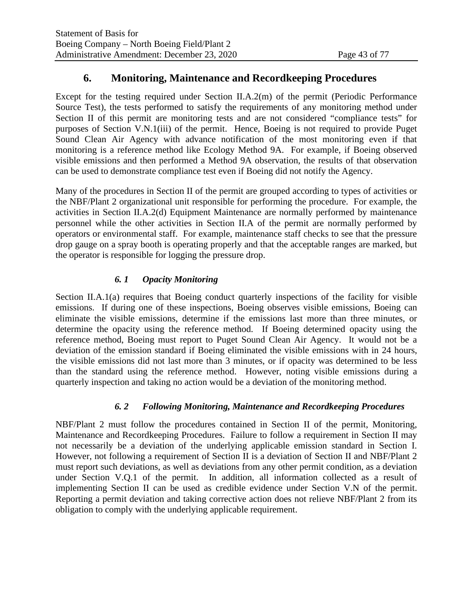## **6. Monitoring, Maintenance and Recordkeeping Procedures**

Except for the testing required under Section II.A.2(m) of the permit (Periodic Performance Source Test), the tests performed to satisfy the requirements of any monitoring method under Section II of this permit are monitoring tests and are not considered "compliance tests" for purposes of Section V.N.1(iii) of the permit. Hence, Boeing is not required to provide Puget Sound Clean Air Agency with advance notification of the most monitoring even if that monitoring is a reference method like Ecology Method 9A. For example, if Boeing observed visible emissions and then performed a Method 9A observation, the results of that observation can be used to demonstrate compliance test even if Boeing did not notify the Agency.

Many of the procedures in Section II of the permit are grouped according to types of activities or the NBF/Plant 2 organizational unit responsible for performing the procedure. For example, the activities in Section II.A.2(d) Equipment Maintenance are normally performed by maintenance personnel while the other activities in Section II.A of the permit are normally performed by operators or environmental staff. For example, maintenance staff checks to see that the pressure drop gauge on a spray booth is operating properly and that the acceptable ranges are marked, but the operator is responsible for logging the pressure drop.

## *6. 1 Opacity Monitoring*

Section II.A.1(a) requires that Boeing conduct quarterly inspections of the facility for visible emissions. If during one of these inspections, Boeing observes visible emissions, Boeing can eliminate the visible emissions, determine if the emissions last more than three minutes, or determine the opacity using the reference method. If Boeing determined opacity using the reference method, Boeing must report to Puget Sound Clean Air Agency. It would not be a deviation of the emission standard if Boeing eliminated the visible emissions with in 24 hours, the visible emissions did not last more than 3 minutes, or if opacity was determined to be less than the standard using the reference method. However, noting visible emissions during a quarterly inspection and taking no action would be a deviation of the monitoring method.

## *6. 2 Following Monitoring, Maintenance and Recordkeeping Procedures*

NBF/Plant 2 must follow the procedures contained in Section II of the permit, Monitoring, Maintenance and Recordkeeping Procedures. Failure to follow a requirement in Section II may not necessarily be a deviation of the underlying applicable emission standard in Section I. However, not following a requirement of Section II is a deviation of Section II and NBF/Plant 2 must report such deviations, as well as deviations from any other permit condition, as a deviation under Section V.Q.1 of the permit. In addition, all information collected as a result of implementing Section II can be used as credible evidence under Section V.N of the permit. Reporting a permit deviation and taking corrective action does not relieve NBF/Plant 2 from its obligation to comply with the underlying applicable requirement.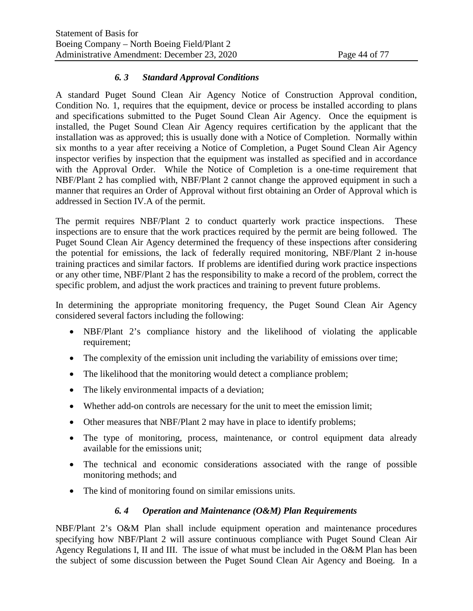## *6. 3 Standard Approval Conditions*

A standard Puget Sound Clean Air Agency Notice of Construction Approval condition, Condition No. 1, requires that the equipment, device or process be installed according to plans and specifications submitted to the Puget Sound Clean Air Agency. Once the equipment is installed, the Puget Sound Clean Air Agency requires certification by the applicant that the installation was as approved; this is usually done with a Notice of Completion. Normally within six months to a year after receiving a Notice of Completion, a Puget Sound Clean Air Agency inspector verifies by inspection that the equipment was installed as specified and in accordance with the Approval Order. While the Notice of Completion is a one-time requirement that NBF/Plant 2 has complied with, NBF/Plant 2 cannot change the approved equipment in such a manner that requires an Order of Approval without first obtaining an Order of Approval which is addressed in Section IV.A of the permit.

The permit requires NBF/Plant 2 to conduct quarterly work practice inspections. These inspections are to ensure that the work practices required by the permit are being followed. The Puget Sound Clean Air Agency determined the frequency of these inspections after considering the potential for emissions, the lack of federally required monitoring, NBF/Plant 2 in-house training practices and similar factors. If problems are identified during work practice inspections or any other time, NBF/Plant 2 has the responsibility to make a record of the problem, correct the specific problem, and adjust the work practices and training to prevent future problems.

In determining the appropriate monitoring frequency, the Puget Sound Clean Air Agency considered several factors including the following:

- NBF/Plant 2's compliance history and the likelihood of violating the applicable requirement;
- The complexity of the emission unit including the variability of emissions over time;
- The likelihood that the monitoring would detect a compliance problem;
- The likely environmental impacts of a deviation;
- Whether add-on controls are necessary for the unit to meet the emission limit;
- Other measures that NBF/Plant 2 may have in place to identify problems;
- The type of monitoring, process, maintenance, or control equipment data already available for the emissions unit;
- The technical and economic considerations associated with the range of possible monitoring methods; and
- The kind of monitoring found on similar emissions units.

## *6. 4 Operation and Maintenance (O&M) Plan Requirements*

NBF/Plant 2's O&M Plan shall include equipment operation and maintenance procedures specifying how NBF/Plant 2 will assure continuous compliance with Puget Sound Clean Air Agency Regulations I, II and III. The issue of what must be included in the O&M Plan has been the subject of some discussion between the Puget Sound Clean Air Agency and Boeing. In a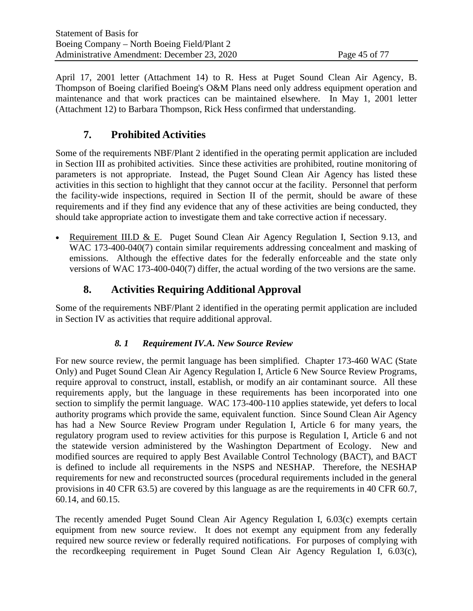April 17, 2001 letter (Attachment 14) to R. Hess at Puget Sound Clean Air Agency, B. Thompson of Boeing clarified Boeing's O&M Plans need only address equipment operation and maintenance and that work practices can be maintained elsewhere. In May 1, 2001 letter (Attachment 12) to Barbara Thompson, Rick Hess confirmed that understanding.

# **7. Prohibited Activities**

Some of the requirements NBF/Plant 2 identified in the operating permit application are included in Section III as prohibited activities. Since these activities are prohibited, routine monitoring of parameters is not appropriate. Instead, the Puget Sound Clean Air Agency has listed these activities in this section to highlight that they cannot occur at the facility. Personnel that perform the facility-wide inspections, required in Section II of the permit, should be aware of these requirements and if they find any evidence that any of these activities are being conducted, they should take appropriate action to investigate them and take corrective action if necessary.

Requirement III.D & E. Puget Sound Clean Air Agency Regulation I, Section 9.13, and WAC 173-400-040(7) contain similar requirements addressing concealment and masking of emissions. Although the effective dates for the federally enforceable and the state only versions of WAC 173-400-040(7) differ, the actual wording of the two versions are the same.

# **8. Activities Requiring Additional Approval**

Some of the requirements NBF/Plant 2 identified in the operating permit application are included in Section IV as activities that require additional approval.

## *8. 1 Requirement IV.A. New Source Review*

For new source review, the permit language has been simplified. Chapter 173-460 WAC (State Only) and Puget Sound Clean Air Agency Regulation I, Article 6 New Source Review Programs, require approval to construct, install, establish, or modify an air contaminant source. All these requirements apply, but the language in these requirements has been incorporated into one section to simplify the permit language. WAC 173-400-110 applies statewide, yet defers to local authority programs which provide the same, equivalent function. Since Sound Clean Air Agency has had a New Source Review Program under Regulation I, Article 6 for many years, the regulatory program used to review activities for this purpose is Regulation I, Article 6 and not the statewide version administered by the Washington Department of Ecology. New and modified sources are required to apply Best Available Control Technology (BACT), and BACT is defined to include all requirements in the NSPS and NESHAP. Therefore, the NESHAP requirements for new and reconstructed sources (procedural requirements included in the general provisions in 40 CFR 63.5) are covered by this language as are the requirements in 40 CFR 60.7, 60.14, and 60.15.

The recently amended Puget Sound Clean Air Agency Regulation I, 6.03(c) exempts certain equipment from new source review. It does not exempt any equipment from any federally required new source review or federally required notifications. For purposes of complying with the recordkeeping requirement in Puget Sound Clean Air Agency Regulation I, 6.03(c),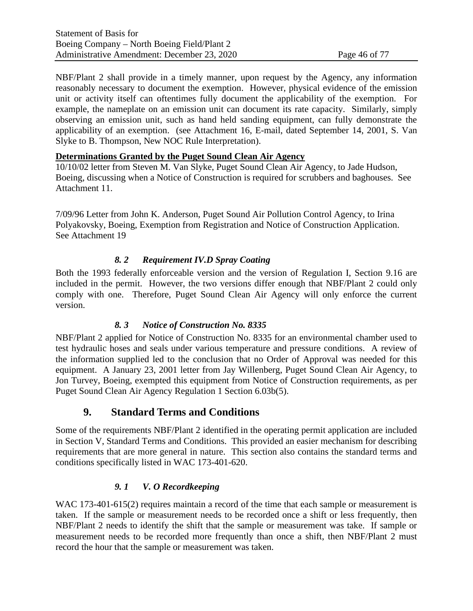NBF/Plant 2 shall provide in a timely manner, upon request by the Agency, any information reasonably necessary to document the exemption. However, physical evidence of the emission unit or activity itself can oftentimes fully document the applicability of the exemption. For example, the nameplate on an emission unit can document its rate capacity. Similarly, simply observing an emission unit, such as hand held sanding equipment, can fully demonstrate the applicability of an exemption. (see Attachment 16, E-mail, dated September 14, 2001, S. Van Slyke to B. Thompson, New NOC Rule Interpretation).

#### **Determinations Granted by the Puget Sound Clean Air Agency**

10/10/02 letter from Steven M. Van Slyke, Puget Sound Clean Air Agency, to Jade Hudson, Boeing, discussing when a Notice of Construction is required for scrubbers and baghouses. See Attachment 11.

7/09/96 Letter from John K. Anderson, Puget Sound Air Pollution Control Agency, to Irina Polyakovsky, Boeing, Exemption from Registration and Notice of Construction Application. See Attachment 19

## *8. 2 Requirement IV.D Spray Coating*

Both the 1993 federally enforceable version and the version of Regulation I, Section 9.16 are included in the permit. However, the two versions differ enough that NBF/Plant 2 could only comply with one. Therefore, Puget Sound Clean Air Agency will only enforce the current version.

## *8. 3 Notice of Construction No. 8335*

NBF/Plant 2 applied for Notice of Construction No. 8335 for an environmental chamber used to test hydraulic hoses and seals under various temperature and pressure conditions. A review of the information supplied led to the conclusion that no Order of Approval was needed for this equipment. A January 23, 2001 letter from Jay Willenberg, Puget Sound Clean Air Agency, to Jon Turvey, Boeing, exempted this equipment from Notice of Construction requirements, as per Puget Sound Clean Air Agency Regulation 1 Section 6.03b(5).

## **9. Standard Terms and Conditions**

Some of the requirements NBF/Plant 2 identified in the operating permit application are included in Section V, Standard Terms and Conditions. This provided an easier mechanism for describing requirements that are more general in nature. This section also contains the standard terms and conditions specifically listed in WAC 173-401-620.

## *9. 1 V. O Recordkeeping*

WAC 173-401-615(2) requires maintain a record of the time that each sample or measurement is taken. If the sample or measurement needs to be recorded once a shift or less frequently, then NBF/Plant 2 needs to identify the shift that the sample or measurement was take. If sample or measurement needs to be recorded more frequently than once a shift, then NBF/Plant 2 must record the hour that the sample or measurement was taken.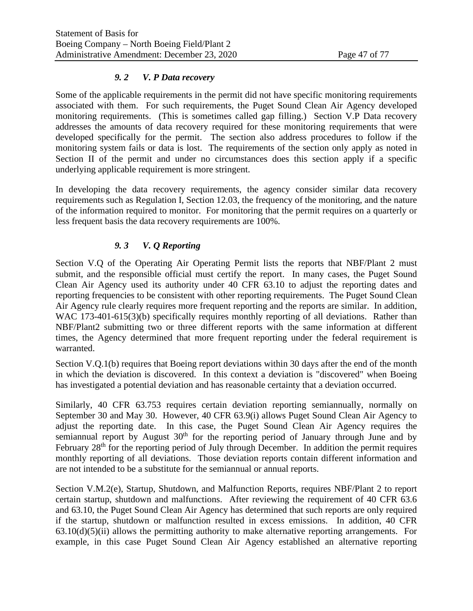#### *9. 2 V. P Data recovery*

Some of the applicable requirements in the permit did not have specific monitoring requirements associated with them. For such requirements, the Puget Sound Clean Air Agency developed monitoring requirements. (This is sometimes called gap filling.) Section V.P Data recovery addresses the amounts of data recovery required for these monitoring requirements that were developed specifically for the permit. The section also address procedures to follow if the monitoring system fails or data is lost. The requirements of the section only apply as noted in Section II of the permit and under no circumstances does this section apply if a specific underlying applicable requirement is more stringent.

In developing the data recovery requirements, the agency consider similar data recovery requirements such as Regulation I, Section 12.03, the frequency of the monitoring, and the nature of the information required to monitor. For monitoring that the permit requires on a quarterly or less frequent basis the data recovery requirements are 100%.

## *9. 3 V. Q Reporting*

Section V.Q of the Operating Air Operating Permit lists the reports that NBF/Plant 2 must submit, and the responsible official must certify the report. In many cases, the Puget Sound Clean Air Agency used its authority under 40 CFR 63.10 to adjust the reporting dates and reporting frequencies to be consistent with other reporting requirements. The Puget Sound Clean Air Agency rule clearly requires more frequent reporting and the reports are similar. In addition, WAC 173-401-615(3)(b) specifically requires monthly reporting of all deviations. Rather than NBF/Plant2 submitting two or three different reports with the same information at different times, the Agency determined that more frequent reporting under the federal requirement is warranted.

Section V.Q.1(b) requires that Boeing report deviations within 30 days after the end of the month in which the deviation is discovered. In this context a deviation is "discovered" when Boeing has investigated a potential deviation and has reasonable certainty that a deviation occurred.

Similarly, 40 CFR 63.753 requires certain deviation reporting semiannually, normally on September 30 and May 30. However, 40 CFR 63.9(i) allows Puget Sound Clean Air Agency to adjust the reporting date. In this case, the Puget Sound Clean Air Agency requires the semiannual report by August  $30<sup>th</sup>$  for the reporting period of January through June and by February  $28<sup>th</sup>$  for the reporting period of July through December. In addition the permit requires monthly reporting of all deviations. Those deviation reports contain different information and are not intended to be a substitute for the semiannual or annual reports.

Section V.M.2(e), Startup, Shutdown, and Malfunction Reports, requires NBF/Plant 2 to report certain startup, shutdown and malfunctions. After reviewing the requirement of 40 CFR 63.6 and 63.10, the Puget Sound Clean Air Agency has determined that such reports are only required if the startup, shutdown or malfunction resulted in excess emissions. In addition, 40 CFR  $63.10(d)(5)(ii)$  allows the permitting authority to make alternative reporting arrangements. For example, in this case Puget Sound Clean Air Agency established an alternative reporting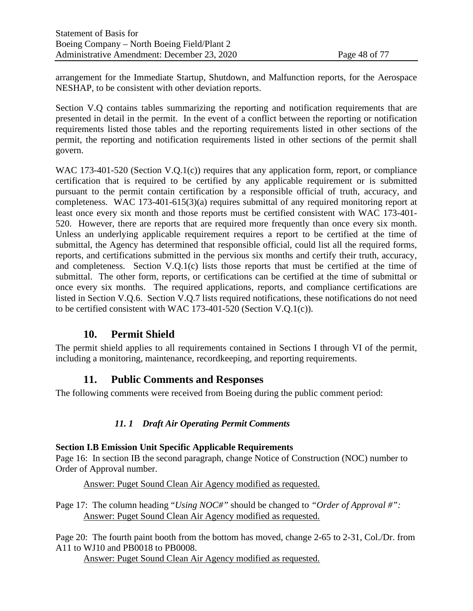arrangement for the Immediate Startup, Shutdown, and Malfunction reports, for the Aerospace NESHAP, to be consistent with other deviation reports.

Section V.Q contains tables summarizing the reporting and notification requirements that are presented in detail in the permit. In the event of a conflict between the reporting or notification requirements listed those tables and the reporting requirements listed in other sections of the permit, the reporting and notification requirements listed in other sections of the permit shall govern.

WAC 173-401-520 (Section V.O.1(c)) requires that any application form, report, or compliance certification that is required to be certified by any applicable requirement or is submitted pursuant to the permit contain certification by a responsible official of truth, accuracy, and completeness. WAC 173-401-615(3)(a) requires submittal of any required monitoring report at least once every six month and those reports must be certified consistent with WAC 173-401- 520. However, there are reports that are required more frequently than once every six month. Unless an underlying applicable requirement requires a report to be certified at the time of submittal, the Agency has determined that responsible official, could list all the required forms, reports, and certifications submitted in the pervious six months and certify their truth, accuracy, and completeness. Section V.Q.1(c) lists those reports that must be certified at the time of submittal. The other form, reports, or certifications can be certified at the time of submittal or once every six months. The required applications, reports, and compliance certifications are listed in Section V.Q.6. Section V.Q.7 lists required notifications, these notifications do not need to be certified consistent with WAC 173-401-520 (Section V.Q.1(c)).

## **10. Permit Shield**

The permit shield applies to all requirements contained in Sections I through VI of the permit, including a monitoring, maintenance, recordkeeping, and reporting requirements.

## **11. Public Comments and Responses**

The following comments were received from Boeing during the public comment period:

## *11. 1 Draft Air Operating Permit Comments*

## **Section I.B Emission Unit Specific Applicable Requirements**

Page 16: In section IB the second paragraph, change Notice of Construction (NOC) number to Order of Approval number.

Answer: Puget Sound Clean Air Agency modified as requested.

Page 17: The column heading "*Using NOC#"* should be changed to *"Order of Approval #":* Answer: Puget Sound Clean Air Agency modified as requested.

Page 20: The fourth paint booth from the bottom has moved, change 2-65 to 2-31, Col./Dr. from A11 to WJ10 and PB0018 to PB0008.

Answer: Puget Sound Clean Air Agency modified as requested.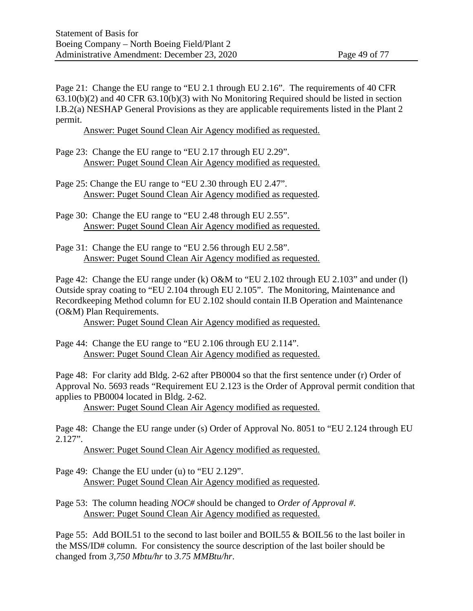Page 21: Change the EU range to "EU 2.1 through EU 2.16". The requirements of 40 CFR 63.10(b)(2) and 40 CFR 63.10(b)(3) with No Monitoring Required should be listed in section I.B.2(a) NESHAP General Provisions as they are applicable requirements listed in the Plant 2 permit.

Answer: Puget Sound Clean Air Agency modified as requested.

- Page 23: Change the EU range to "EU 2.17 through EU 2.29". Answer: Puget Sound Clean Air Agency modified as requested.
- Page 25: Change the EU range to "EU 2.30 through EU 2.47". Answer: Puget Sound Clean Air Agency modified as requested.
- Page 30: Change the EU range to "EU 2.48 through EU 2.55". Answer: Puget Sound Clean Air Agency modified as requested.
- Page 31: Change the EU range to "EU 2.56 through EU 2.58". Answer: Puget Sound Clean Air Agency modified as requested.

Page 42: Change the EU range under (k) O&M to "EU 2.102 through EU 2.103" and under (l) Outside spray coating to "EU 2.104 through EU 2.105". The Monitoring, Maintenance and Recordkeeping Method column for EU 2.102 should contain II.B Operation and Maintenance (O&M) Plan Requirements.

Answer: Puget Sound Clean Air Agency modified as requested.

Page 44: Change the EU range to "EU 2.106 through EU 2.114". Answer: Puget Sound Clean Air Agency modified as requested.

Page 48: For clarity add Bldg. 2-62 after PB0004 so that the first sentence under (r) Order of Approval No. 5693 reads "Requirement EU 2.123 is the Order of Approval permit condition that applies to PB0004 located in Bldg. 2-62.

Answer: Puget Sound Clean Air Agency modified as requested.

Page 48: Change the EU range under (s) Order of Approval No. 8051 to "EU 2.124 through EU 2.127".

Answer: Puget Sound Clean Air Agency modified as requested.

Page 49: Change the EU under (u) to "EU 2.129". Answer: Puget Sound Clean Air Agency modified as requested.

Page 53: The column heading *NOC#* should be changed to *Order of Approval #.* Answer: Puget Sound Clean Air Agency modified as requested.

Page 55: Add BOIL51 to the second to last boiler and BOIL55 & BOIL56 to the last boiler in the MSS/ID# column. For consistency the source description of the last boiler should be changed from *3,750 Mbtu/hr* to *3.75 MMBtu/hr*.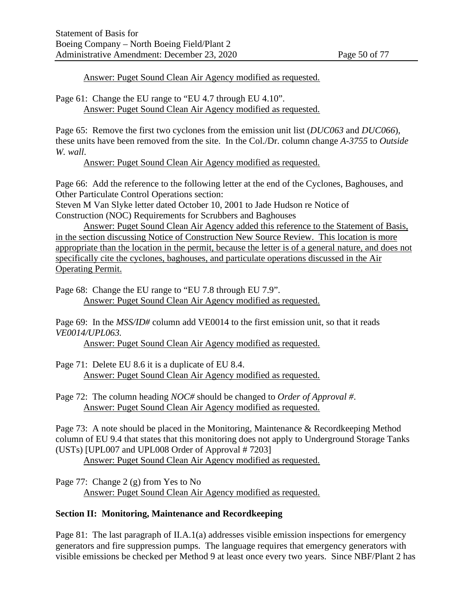Answer: Puget Sound Clean Air Agency modified as requested.

Page 61: Change the EU range to "EU 4.7 through EU 4.10". Answer: Puget Sound Clean Air Agency modified as requested.

Page 65: Remove the first two cyclones from the emission unit list (*DUC063* and *DUC066*), these units have been removed from the site. In the Col./Dr. column change *A-3755* to *Outside W. wall*.

Answer: Puget Sound Clean Air Agency modified as requested.

Page 66: Add the reference to the following letter at the end of the Cyclones, Baghouses, and Other Particulate Control Operations section:

Steven M Van Slyke letter dated October 10, 2001 to Jade Hudson re Notice of Construction (NOC) Requirements for Scrubbers and Baghouses

Answer: Puget Sound Clean Air Agency added this reference to the Statement of Basis, in the section discussing Notice of Construction New Source Review. This location is more appropriate than the location in the permit, because the letter is of a general nature, and does not specifically cite the cyclones, baghouses, and particulate operations discussed in the Air Operating Permit.

Page 68: Change the EU range to "EU 7.8 through EU 7.9". Answer: Puget Sound Clean Air Agency modified as requested.

Page 69: In the *MSS/ID#* column add VE0014 to the first emission unit, so that it reads *VE0014/UPL063.*

Answer: Puget Sound Clean Air Agency modified as requested.

- Page 71: Delete EU 8.6 it is a duplicate of EU 8.4. Answer: Puget Sound Clean Air Agency modified as requested.
- Page 72: The column heading *NOC#* should be changed to *Order of Approval #*. Answer: Puget Sound Clean Air Agency modified as requested.

Page 73: A note should be placed in the Monitoring, Maintenance & Recordkeeping Method column of EU 9.4 that states that this monitoring does not apply to Underground Storage Tanks (USTs) [UPL007 and UPL008 Order of Approval # 7203]

Answer: Puget Sound Clean Air Agency modified as requested.

Page 77: Change 2 (g) from Yes to No Answer: Puget Sound Clean Air Agency modified as requested.

## **Section II: Monitoring, Maintenance and Recordkeeping**

Page 81: The last paragraph of II.A.1(a) addresses visible emission inspections for emergency generators and fire suppression pumps. The language requires that emergency generators with visible emissions be checked per Method 9 at least once every two years. Since NBF/Plant 2 has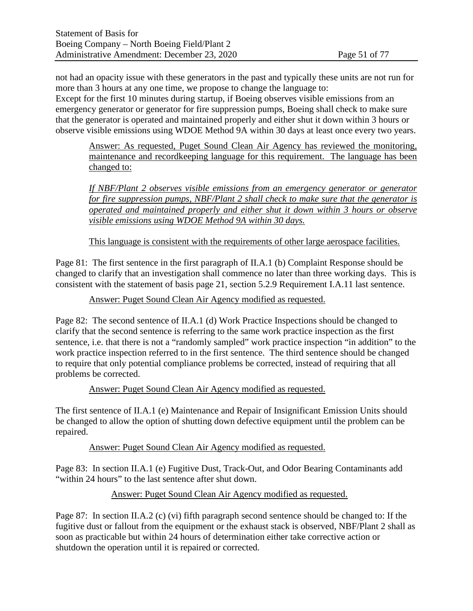not had an opacity issue with these generators in the past and typically these units are not run for more than 3 hours at any one time, we propose to change the language to: Except for the first 10 minutes during startup, if Boeing observes visible emissions from an emergency generator or generator for fire suppression pumps, Boeing shall check to make sure

that the generator is operated and maintained properly and either shut it down within 3 hours or observe visible emissions using WDOE Method 9A within 30 days at least once every two years.

Answer: As requested, Puget Sound Clean Air Agency has reviewed the monitoring, maintenance and recordkeeping language for this requirement. The language has been changed to:

*If NBF/Plant 2 observes visible emissions from an emergency generator or generator for fire suppression pumps, NBF/Plant 2 shall check to make sure that the generator is operated and maintained properly and either shut it down within 3 hours or observe visible emissions using WDOE Method 9A within 30 days.*

This language is consistent with the requirements of other large aerospace facilities.

Page 81: The first sentence in the first paragraph of II.A.1 (b) Complaint Response should be changed to clarify that an investigation shall commence no later than three working days. This is consistent with the statement of basis page 21, section 5.2.9 Requirement I.A.11 last sentence.

Answer: Puget Sound Clean Air Agency modified as requested.

Page 82: The second sentence of II.A.1 (d) Work Practice Inspections should be changed to clarify that the second sentence is referring to the same work practice inspection as the first sentence, i.e. that there is not a "randomly sampled" work practice inspection "in addition" to the work practice inspection referred to in the first sentence. The third sentence should be changed to require that only potential compliance problems be corrected, instead of requiring that all problems be corrected.

Answer: Puget Sound Clean Air Agency modified as requested.

The first sentence of II.A.1 (e) Maintenance and Repair of Insignificant Emission Units should be changed to allow the option of shutting down defective equipment until the problem can be repaired.

Answer: Puget Sound Clean Air Agency modified as requested.

Page 83: In section II.A.1 (e) Fugitive Dust, Track-Out, and Odor Bearing Contaminants add "within 24 hours" to the last sentence after shut down.

Answer: Puget Sound Clean Air Agency modified as requested.

Page 87: In section II.A.2 (c) (vi) fifth paragraph second sentence should be changed to: If the fugitive dust or fallout from the equipment or the exhaust stack is observed, NBF/Plant 2 shall as soon as practicable but within 24 hours of determination either take corrective action or shutdown the operation until it is repaired or corrected.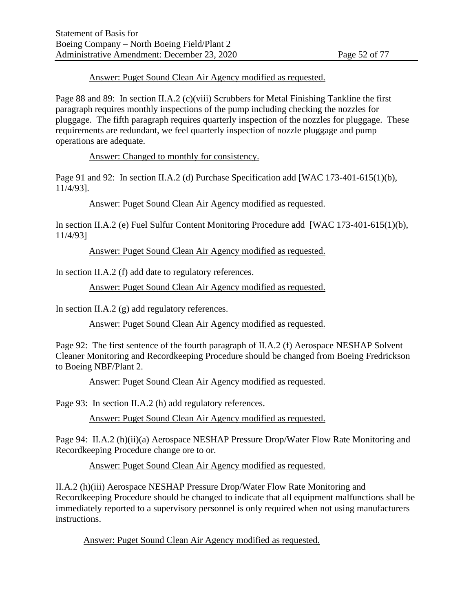#### Answer: Puget Sound Clean Air Agency modified as requested.

Page 88 and 89: In section II.A.2 (c)(viii) Scrubbers for Metal Finishing Tankline the first paragraph requires monthly inspections of the pump including checking the nozzles for pluggage. The fifth paragraph requires quarterly inspection of the nozzles for pluggage. These requirements are redundant, we feel quarterly inspection of nozzle pluggage and pump operations are adequate.

Answer: Changed to monthly for consistency.

Page 91 and 92: In section II.A.2 (d) Purchase Specification add [WAC 173-401-615(1)(b), 11/4/93].

Answer: Puget Sound Clean Air Agency modified as requested.

In section II.A.2 (e) Fuel Sulfur Content Monitoring Procedure add [WAC 173-401-615(1)(b), 11/4/93]

Answer: Puget Sound Clean Air Agency modified as requested.

In section II.A.2 (f) add date to regulatory references.

Answer: Puget Sound Clean Air Agency modified as requested.

In section II.A.2 (g) add regulatory references.

Answer: Puget Sound Clean Air Agency modified as requested.

Page 92: The first sentence of the fourth paragraph of II.A.2 (f) Aerospace NESHAP Solvent Cleaner Monitoring and Recordkeeping Procedure should be changed from Boeing Fredrickson to Boeing NBF/Plant 2.

Answer: Puget Sound Clean Air Agency modified as requested.

Page 93: In section II.A.2 (h) add regulatory references.

Answer: Puget Sound Clean Air Agency modified as requested.

Page 94: II.A.2 (h)(ii)(a) Aerospace NESHAP Pressure Drop/Water Flow Rate Monitoring and Recordkeeping Procedure change ore to or.

Answer: Puget Sound Clean Air Agency modified as requested.

II.A.2 (h)(iii) Aerospace NESHAP Pressure Drop/Water Flow Rate Monitoring and Recordkeeping Procedure should be changed to indicate that all equipment malfunctions shall be immediately reported to a supervisory personnel is only required when not using manufacturers instructions.

Answer: Puget Sound Clean Air Agency modified as requested.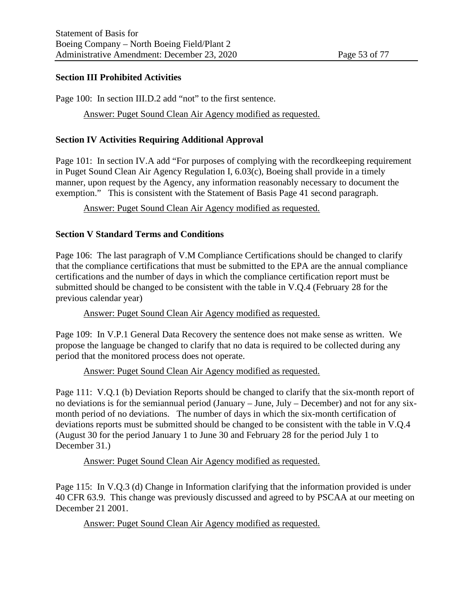#### **Section III Prohibited Activities**

Page 100: In section III.D.2 add "not" to the first sentence.

Answer: Puget Sound Clean Air Agency modified as requested.

#### **Section IV Activities Requiring Additional Approval**

Page 101: In section IV.A add "For purposes of complying with the record keeping requirement in Puget Sound Clean Air Agency Regulation I, 6.03(c), Boeing shall provide in a timely manner, upon request by the Agency, any information reasonably necessary to document the exemption." This is consistent with the Statement of Basis Page 41 second paragraph.

Answer: Puget Sound Clean Air Agency modified as requested.

#### **Section V Standard Terms and Conditions**

Page 106: The last paragraph of V.M Compliance Certifications should be changed to clarify that the compliance certifications that must be submitted to the EPA are the annual compliance certifications and the number of days in which the compliance certification report must be submitted should be changed to be consistent with the table in V.Q.4 (February 28 for the previous calendar year)

Answer: Puget Sound Clean Air Agency modified as requested.

Page 109: In V.P.1 General Data Recovery the sentence does not make sense as written. We propose the language be changed to clarify that no data is required to be collected during any period that the monitored process does not operate.

Answer: Puget Sound Clean Air Agency modified as requested.

Page 111: V.Q.1 (b) Deviation Reports should be changed to clarify that the six-month report of no deviations is for the semiannual period (January – June, July – December) and not for any sixmonth period of no deviations. The number of days in which the six-month certification of deviations reports must be submitted should be changed to be consistent with the table in V.Q.4 (August 30 for the period January 1 to June 30 and February 28 for the period July 1 to December 31.)

Answer: Puget Sound Clean Air Agency modified as requested.

Page 115: In V.Q.3 (d) Change in Information clarifying that the information provided is under 40 CFR 63.9. This change was previously discussed and agreed to by PSCAA at our meeting on December 21 2001.

Answer: Puget Sound Clean Air Agency modified as requested.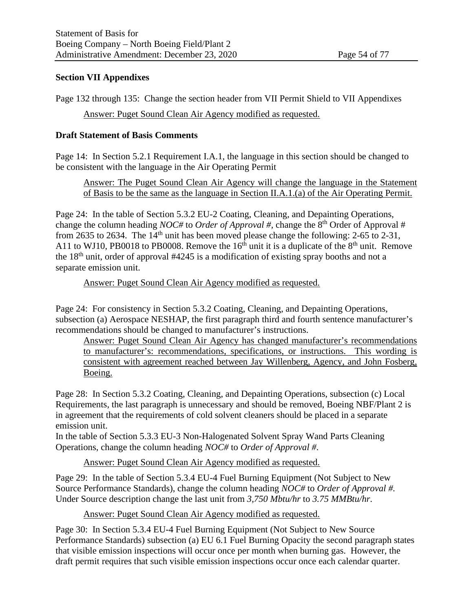#### **Section VII Appendixes**

Page 132 through 135: Change the section header from VII Permit Shield to VII Appendixes Answer: Puget Sound Clean Air Agency modified as requested.

#### **Draft Statement of Basis Comments**

Page 14: In Section 5.2.1 Requirement I.A.1, the language in this section should be changed to be consistent with the language in the Air Operating Permit

Answer: The Puget Sound Clean Air Agency will change the language in the Statement of Basis to be the same as the language in Section II.A.1.(a) of the Air Operating Permit.

Page 24: In the table of Section 5.3.2 EU-2 Coating, Cleaning, and Depainting Operations, change the column heading *NOC#* to *Order of Approval #*, change the 8<sup>th</sup> Order of Approval # from 2635 to 2634. The  $14<sup>th</sup>$  unit has been moved please change the following: 2-65 to 2-31, A11 to WJ10, PB0018 to PB0008. Remove the  $16<sup>th</sup>$  unit it is a duplicate of the  $8<sup>th</sup>$  unit. Remove the  $18<sup>th</sup>$  unit, order of approval #4245 is a modification of existing spray booths and not a separate emission unit.

#### Answer: Puget Sound Clean Air Agency modified as requested.

Page 24: For consistency in Section 5.3.2 Coating, Cleaning, and Depainting Operations, subsection (a) Aerospace NESHAP, the first paragraph third and fourth sentence manufacturer's recommendations should be changed to manufacturer's instructions.

Answer: Puget Sound Clean Air Agency has changed manufacturer's recommendations to manufacturer's: recommendations, specifications, or instructions. This wording is consistent with agreement reached between Jay Willenberg, Agency, and John Fosberg, Boeing.

Page 28: In Section 5.3.2 Coating, Cleaning, and Depainting Operations, subsection (c) Local Requirements, the last paragraph is unnecessary and should be removed, Boeing NBF/Plant 2 is in agreement that the requirements of cold solvent cleaners should be placed in a separate emission unit.

In the table of Section 5.3.3 EU-3 Non-Halogenated Solvent Spray Wand Parts Cleaning Operations, change the column heading *NOC#* to *Order of Approval #*.

Answer: Puget Sound Clean Air Agency modified as requested.

Page 29: In the table of Section 5.3.4 EU-4 Fuel Burning Equipment (Not Subject to New Source Performance Standards), change the column heading *NOC#* to *Order of Approval #.* Under Source description change the last unit from *3,750 Mbtu/hr* to *3.75 MMBtu/hr*.

Answer: Puget Sound Clean Air Agency modified as requested.

Page 30: In Section 5.3.4 EU-4 Fuel Burning Equipment (Not Subject to New Source Performance Standards) subsection (a) EU 6.1 Fuel Burning Opacity the second paragraph states that visible emission inspections will occur once per month when burning gas. However, the draft permit requires that such visible emission inspections occur once each calendar quarter.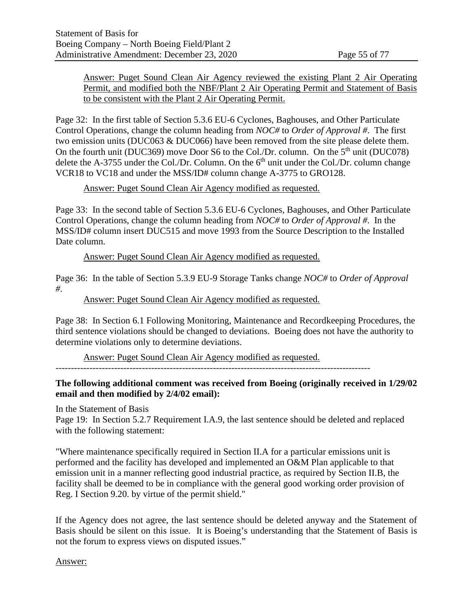#### Answer: Puget Sound Clean Air Agency reviewed the existing Plant 2 Air Operating Permit, and modified both the NBF/Plant 2 Air Operating Permit and Statement of Basis to be consistent with the Plant 2 Air Operating Permit.

Page 32: In the first table of Section 5.3.6 EU-6 Cyclones, Baghouses, and Other Particulate Control Operations, change the column heading from *NOC#* to *Order of Approval #*. The first two emission units (DUC063 & DUC066) have been removed from the site please delete them. On the fourth unit (DUC369) move Door S6 to the Col./Dr. column. On the 5<sup>th</sup> unit (DUC078) delete the A-3755 under the Col./Dr. Column. On the  $6<sup>th</sup>$  unit under the Col./Dr. column change VCR18 to VC18 and under the MSS/ID# column change A-3775 to GRO128.

## Answer: Puget Sound Clean Air Agency modified as requested.

Page 33: In the second table of Section 5.3.6 EU-6 Cyclones, Baghouses, and Other Particulate Control Operations, change the column heading from *NOC#* to *Order of Approval #*. In the MSS/ID# column insert DUC515 and move 1993 from the Source Description to the Installed Date column.

#### Answer: Puget Sound Clean Air Agency modified as requested.

Page 36: In the table of Section 5.3.9 EU-9 Storage Tanks change *NOC#* to *Order of Approval #*.

#### Answer: Puget Sound Clean Air Agency modified as requested.

Page 38: In Section 6.1 Following Monitoring, Maintenance and Recordkeeping Procedures, the third sentence violations should be changed to deviations. Boeing does not have the authority to determine violations only to determine deviations.

Answer: Puget Sound Clean Air Agency modified as requested.

------------------------------------------------------------------------------------------------------

## **The following additional comment was received from Boeing (originally received in 1/29/02 email and then modified by 2/4/02 email):**

In the Statement of Basis

Page 19: In Section 5.2.7 Requirement I.A.9, the last sentence should be deleted and replaced with the following statement:

"Where maintenance specifically required in Section II.A for a particular emissions unit is performed and the facility has developed and implemented an O&M Plan applicable to that emission unit in a manner reflecting good industrial practice, as required by Section II.B, the facility shall be deemed to be in compliance with the general good working order provision of Reg. I Section 9.20. by virtue of the permit shield."

If the Agency does not agree, the last sentence should be deleted anyway and the Statement of Basis should be silent on this issue. It is Boeing's understanding that the Statement of Basis is not the forum to express views on disputed issues."

Answer: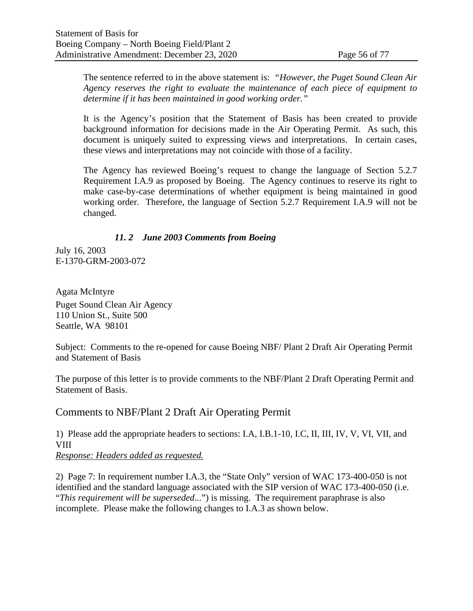The sentence referred to in the above statement is: *"However, the Puget Sound Clean Air Agency reserves the right to evaluate the maintenance of each piece of equipment to determine if it has been maintained in good working order."*

It is the Agency's position that the Statement of Basis has been created to provide background information for decisions made in the Air Operating Permit. As such, this document is uniquely suited to expressing views and interpretations. In certain cases, these views and interpretations may not coincide with those of a facility.

The Agency has reviewed Boeing's request to change the language of Section 5.2.7 Requirement I.A.9 as proposed by Boeing. The Agency continues to reserve its right to make case-by-case determinations of whether equipment is being maintained in good working order. Therefore, the language of Section 5.2.7 Requirement I.A.9 will not be changed.

## *11. 2 June 2003 Comments from Boeing*

July 16, 2003 E-1370-GRM-2003-072

Agata McIntyre Puget Sound Clean Air Agency 110 Union St., Suite 500 Seattle, WA 98101

Subject: Comments to the re-opened for cause Boeing NBF/ Plant 2 Draft Air Operating Permit and Statement of Basis

The purpose of this letter is to provide comments to the NBF/Plant 2 Draft Operating Permit and Statement of Basis.

Comments to NBF/Plant 2 Draft Air Operating Permit

1) Please add the appropriate headers to sections: I.A, I.B.1-10, I.C, II, III, IV, V, VI, VII, and VIII *Response: Headers added as requested.*

2) Page 7: In requirement number I.A.3, the "State Only" version of WAC 173-400-050 is not identified and the standard language associated with the SIP version of WAC 173-400-050 (i.e. "*This requirement will be superseded*...") is missing. The requirement paraphrase is also incomplete. Please make the following changes to I.A.3 as shown below.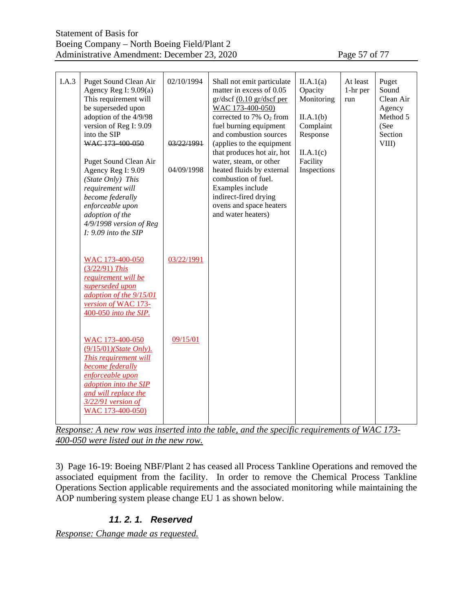| I.A.3 | Puget Sound Clean Air<br>Agency Reg I: $9.09(a)$<br>This requirement will<br>be superseded upon<br>adoption of the 4/9/98<br>version of Reg I: 9.09<br>into the SIP<br>WAC 173 400 050<br>Puget Sound Clean Air<br>Agency Reg I: 9.09<br>(State Only) This<br>requirement will<br>become federally<br>enforceable upon<br>adoption of the<br>4/9/1998 version of Reg<br>$I: 9.09$ into the SIP | 02/10/1994<br>03/22/1991<br>04/09/1998 | Shall not emit particulate<br>matter in excess of 0.05<br>$gr/dscf$ (0.10 $gr/dscf$ per<br>WAC 173-400-050)<br>corrected to $7\%$ O <sub>2</sub> from<br>fuel burning equipment<br>and combustion sources<br>(applies to the equipment<br>that produces hot air, hot<br>water, steam, or other<br>heated fluids by external<br>combustion of fuel.<br>Examples include<br>indirect-fired drying<br>ovens and space heaters<br>and water heaters) | II.A.1(a)<br>Opacity<br>Monitoring<br>II.A.1(b)<br>Complaint<br>Response<br>II.A.1(c)<br>Facility<br>Inspections | At least<br>1-hr per<br>run | Puget<br>Sound<br>Clean Air<br>Agency<br>Method 5<br>(See<br>Section<br>VIII) |
|-------|------------------------------------------------------------------------------------------------------------------------------------------------------------------------------------------------------------------------------------------------------------------------------------------------------------------------------------------------------------------------------------------------|----------------------------------------|--------------------------------------------------------------------------------------------------------------------------------------------------------------------------------------------------------------------------------------------------------------------------------------------------------------------------------------------------------------------------------------------------------------------------------------------------|------------------------------------------------------------------------------------------------------------------|-----------------------------|-------------------------------------------------------------------------------|
|       | WAC 173-400-050<br>$(3/22/91)$ This<br>requirement will be<br>superseded upon<br>adoption of the 9/15/01<br>version of WAC 173-<br>400-050 into the SIP.                                                                                                                                                                                                                                       | 03/22/1991                             |                                                                                                                                                                                                                                                                                                                                                                                                                                                  |                                                                                                                  |                             |                                                                               |
|       | WAC 173-400-050<br>$(9/15/01)$ (State Only).<br>This requirement will<br>become federally<br>enforceable upon<br>adoption into the SIP<br>and will replace the<br>$3/22/91$ version of<br>WAC 173-400-050)                                                                                                                                                                                     | 09/15/01                               |                                                                                                                                                                                                                                                                                                                                                                                                                                                  |                                                                                                                  |                             |                                                                               |

*Response: A new row was inserted into the table, and the specific requirements of WAC 173- 400-050 were listed out in the new row.*

3) Page 16-19: Boeing NBF/Plant 2 has ceased all Process Tankline Operations and removed the associated equipment from the facility. In order to remove the Chemical Process Tankline Operations Section applicable requirements and the associated monitoring while maintaining the AOP numbering system please change EU 1 as shown below.

## *11. 2. 1. Reserved*

*Response: Change made as requested.*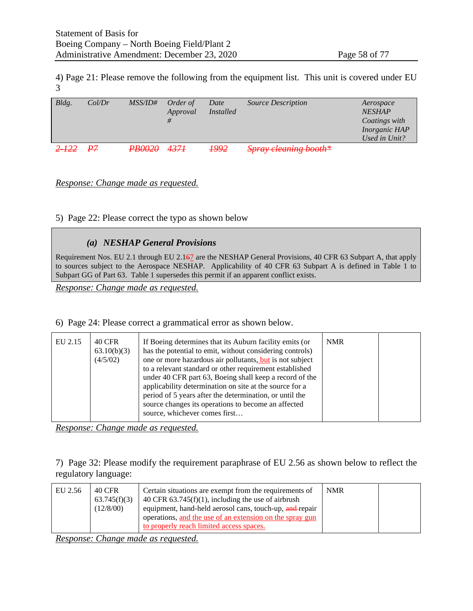4) Page 21: Please remove the following from the equipment list. This unit is covered under EU 3

| Bldg.     | Col/Dr | <i>MSS/ID#</i> | Order of<br>Approval | Date<br><i>Installed</i> | <i>Source Description</i> | Aerospace<br><b>NESHAP</b><br>Coatings with |
|-----------|--------|----------------|----------------------|--------------------------|---------------------------|---------------------------------------------|
|           |        |                |                      |                          |                           | <i>Inorganic HAP</i>                        |
|           |        |                |                      |                          |                           | Used in Unit?                               |
| $2 - 122$ | PZ     | <b>PB0020</b>  | 4374                 | <del>1992</del>          | Spray cleaning booth*     |                                             |

*Response: Change made as requested.*

5) Page 22: Please correct the typo as shown below

#### *(a) NESHAP General Provisions*

Requirement Nos. EU 2.1 through EU 2.167 are the NESHAP General Provisions, 40 CFR 63 Subpart A, that apply to sources subject to the Aerospace NESHAP. Applicability of 40 CFR 63 Subpart A is defined in Table 1 to Subpart GG of Part 63. Table 1 supersedes this permit if an apparent conflict exists.

*Response: Change made as requested.*

6) Page 24: Please correct a grammatical error as shown below.

| EU 2.15 | <b>40 CFR</b><br>63.10(b)(3)<br>(4/5/02) | If Boeing determines that its Auburn facility emits (or<br>has the potential to emit, without considering controls)<br>one or more hazardous air pollutants, but is not subject<br>to a relevant standard or other requirement established<br>under 40 CFR part 63, Boeing shall keep a record of the<br>applicability determination on site at the source for a<br>period of 5 years after the determination, or until the<br>source changes its operations to become an affected<br>source, whichever comes first | <b>NMR</b> |  |
|---------|------------------------------------------|---------------------------------------------------------------------------------------------------------------------------------------------------------------------------------------------------------------------------------------------------------------------------------------------------------------------------------------------------------------------------------------------------------------------------------------------------------------------------------------------------------------------|------------|--|
|         |                                          |                                                                                                                                                                                                                                                                                                                                                                                                                                                                                                                     |            |  |

*Response: Change made as requested.*

7) Page 32: Please modify the requirement paraphrase of EU 2.56 as shown below to reflect the regulatory language:

| EU 2.56 | 40 CFR<br>63.745(f)(3)<br>(12/8/00) | Certain situations are exempt from the requirements of<br>40 CFR $63.745(f)(1)$ , including the use of airbrush<br>equipment, hand-held aerosol cans, touch-up, and-repair<br>operations, and the use of an extension on the spray gun<br>to properly reach limited access spaces. | <b>NMR</b> |  |
|---------|-------------------------------------|------------------------------------------------------------------------------------------------------------------------------------------------------------------------------------------------------------------------------------------------------------------------------------|------------|--|
|---------|-------------------------------------|------------------------------------------------------------------------------------------------------------------------------------------------------------------------------------------------------------------------------------------------------------------------------------|------------|--|

*Response: Change made as requested.*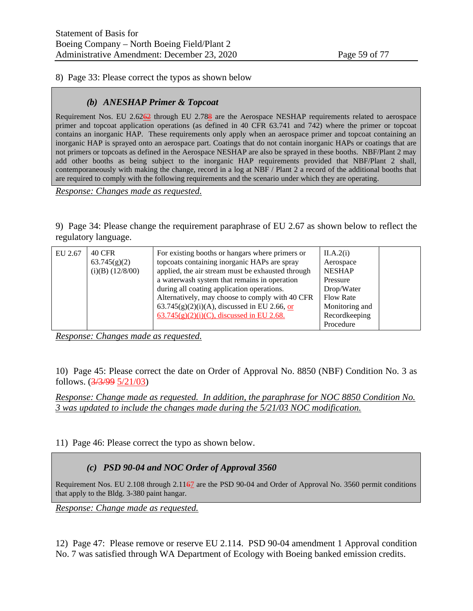8) Page 33: Please correct the typos as shown below

#### *(b) ANESHAP Primer & Topcoat*

Requirement Nos. EU 2.6262 through EU 2.788 are the Aerospace NESHAP requirements related to aerospace primer and topcoat application operations (as defined in 40 CFR 63.741 and 742) where the primer or topcoat contains an inorganic HAP. These requirements only apply when an aerospace primer and topcoat containing an inorganic HAP is sprayed onto an aerospace part. Coatings that do not contain inorganic HAPs or coatings that are not primers or topcoats as defined in the Aerospace NESHAP are also be sprayed in these booths. NBF/Plant 2 may add other booths as being subject to the inorganic HAP requirements provided that NBF/Plant 2 shall, contemporaneously with making the change, record in a log at NBF / Plant 2 a record of the additional booths that are required to comply with the following requirements and the scenario under which they are operating.

*Response: Changes made as requested.*

9) Page 34: Please change the requirement paraphrase of EU 2.67 as shown below to reflect the regulatory language.

| EU 2.67 | <b>40 CFR</b><br>63.745(g)(2)<br>$(i)(B)$ $(12/8/00)$ | For existing booths or hangars where primers or<br>topcoats containing inorganic HAPs are spray<br>applied, the air stream must be exhausted through<br>a waterwash system that remains in operation<br>during all coating application operations.<br>Alternatively, may choose to comply with 40 CFR<br>63.745(g)(2)(i)(A), discussed in EU 2.66, or<br>$\underline{63.745(g)(2)(i)(C)}$ , discussed in EU 2.68. | II.A.2(i)<br>Aerospace<br><b>NESHAP</b><br>Pressure<br>Drop/Water<br><b>Flow Rate</b><br>Monitoring and<br>Recordkeeping |  |
|---------|-------------------------------------------------------|-------------------------------------------------------------------------------------------------------------------------------------------------------------------------------------------------------------------------------------------------------------------------------------------------------------------------------------------------------------------------------------------------------------------|--------------------------------------------------------------------------------------------------------------------------|--|
|         |                                                       |                                                                                                                                                                                                                                                                                                                                                                                                                   | Procedure                                                                                                                |  |

*Response: Changes made as requested.*

10) Page 45: Please correct the date on Order of Approval No. 8850 (NBF) Condition No. 3 as follows. (3/3/99 5/21/03)

*Response: Change made as requested. In addition, the paraphrase for NOC 8850 Condition No. 3 was updated to include the changes made during the 5/21/03 NOC modification.*

11) Page 46: Please correct the typo as shown below.

## *(c) PSD 90-04 and NOC Order of Approval 3560*

Requirement Nos. EU 2.108 through 2.1167 are the PSD 90-04 and Order of Approval No. 3560 permit conditions that apply to the Bldg. 3-380 paint hangar.

*Response: Change made as requested.*

12) Page 47: Please remove or reserve EU 2.114. PSD 90-04 amendment 1 Approval condition No. 7 was satisfied through WA Department of Ecology with Boeing banked emission credits.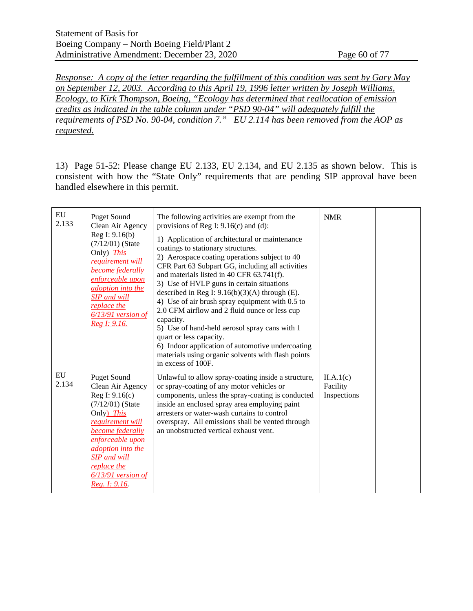*Response: A copy of the letter regarding the fulfillment of this condition was sent by Gary May on September 12, 2003. According to this April 19, 1996 letter written by Joseph Williams, Ecology, to Kirk Thompson, Boeing, "Ecology has determined that reallocation of emission credits as indicated in the table column under "PSD 90-04" will adequately fulfill the requirements of PSD No. 90-04, condition 7." EU 2.114 has been removed from the AOP as requested.*

13) Page 51-52: Please change EU 2.133, EU 2.134, and EU 2.135 as shown below. This is consistent with how the "State Only" requirements that are pending SIP approval have been handled elsewhere in this permit.

| EU<br>2.133 | <b>Puget Sound</b><br>Clean Air Agency<br>Reg I: 9.16(b)<br>$(7/12/01)$ (State<br>Only) <i>This</i><br>requirement will<br>become federally<br>enforceable upon<br>adoption into the<br><b>SIP</b> and will<br>replace the<br>6/13/91 version of<br>Reg I: 9.16.    | The following activities are exempt from the<br>provisions of Reg I: $9.16(c)$ and (d):<br>1) Application of architectural or maintenance<br>coatings to stationary structures.<br>2) Aerospace coating operations subject to 40<br>CFR Part 63 Subpart GG, including all activities<br>and materials listed in 40 CFR 63.741(f).<br>3) Use of HVLP guns in certain situations<br>described in Reg I: $9.16(b)(3)(A)$ through (E).<br>4) Use of air brush spray equipment with 0.5 to<br>2.0 CFM airflow and 2 fluid ounce or less cup<br>capacity.<br>5) Use of hand-held aerosol spray cans with 1<br>quart or less capacity.<br>6) Indoor application of automotive undercoating<br>materials using organic solvents with flash points<br>in excess of 100F. | <b>NMR</b>                           |  |
|-------------|---------------------------------------------------------------------------------------------------------------------------------------------------------------------------------------------------------------------------------------------------------------------|-----------------------------------------------------------------------------------------------------------------------------------------------------------------------------------------------------------------------------------------------------------------------------------------------------------------------------------------------------------------------------------------------------------------------------------------------------------------------------------------------------------------------------------------------------------------------------------------------------------------------------------------------------------------------------------------------------------------------------------------------------------------|--------------------------------------|--|
| EU<br>2.134 | <b>Puget Sound</b><br>Clean Air Agency<br>Reg I: 9.16(c)<br>$(7/12/01)$ (State<br>Only) This<br>requirement will<br>become federally<br>enforceable upon<br><i>adoption into the</i><br><b>SIP</b> and will<br>replace the<br>$6/13/91$ version of<br>Reg. I: 9.16. | Unlawful to allow spray-coating inside a structure,<br>or spray-coating of any motor vehicles or<br>components, unless the spray-coating is conducted<br>inside an enclosed spray area employing paint<br>arresters or water-wash curtains to control<br>overspray. All emissions shall be vented through<br>an unobstructed vertical exhaust vent.                                                                                                                                                                                                                                                                                                                                                                                                             | II.A.1(c)<br>Facility<br>Inspections |  |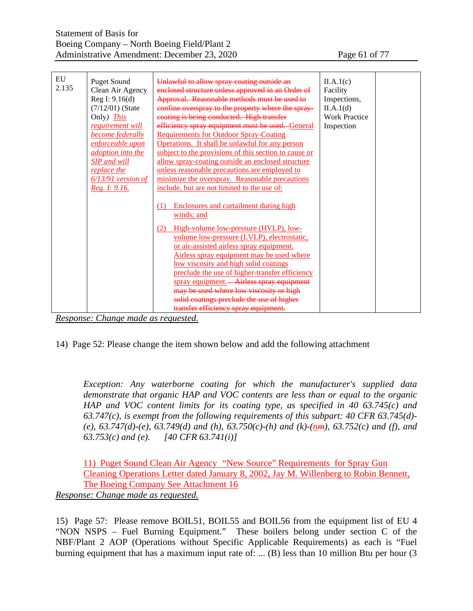| EU    | <b>Puget Sound</b>       | Unlawful to allow spray coating outside an            |                      |  |
|-------|--------------------------|-------------------------------------------------------|----------------------|--|
| 2.135 |                          |                                                       | II.A.1(c)            |  |
|       | Clean Air Agency         | enclosed structure unless approved in an Order of     | Facility             |  |
|       | Reg I: 9.16(d)           | Approval. Reasonable methods must be used to          | Inspections,         |  |
|       | $(7/12/01)$ (State       | confine overspray to the property where the spray-    | II.A.1(d)            |  |
|       | Only) <i>This</i>        | coating is being conducted. High transfer             | <b>Work Practice</b> |  |
|       | requirement will         | efficiency spray equipment must be used. General      | Inspection           |  |
|       | <b>become</b> federally  | <b>Requirements for Outdoor Spray-Coating</b>         |                      |  |
|       | enforceable upon         | Operations. It shall be unlawful for any person       |                      |  |
|       | <i>adoption into the</i> | subject to the provisions of this section to cause or |                      |  |
|       | <b>SIP</b> and will      | allow spray-coating outside an enclosed structure     |                      |  |
|       | replace the              | unless reasonable precautions are employed to         |                      |  |
|       | 6/13/91 version of       | minimize the overspray. Reasonable precautions        |                      |  |
|       | Reg. 1: 9.16.            | include, but are not limited to the use of:           |                      |  |
|       |                          |                                                       |                      |  |
|       |                          | <b>Enclosures and curtailment during high</b><br>(1)  |                      |  |
|       |                          | winds; and                                            |                      |  |
|       |                          |                                                       |                      |  |
|       |                          | High-volume low-pressure (HVLP), low-<br>(2)          |                      |  |
|       |                          | volume low-pressure (LVLP), electrostatic,            |                      |  |
|       |                          | or air-assisted airless spray equipment.              |                      |  |
|       |                          | Airless spray equipment may be used where             |                      |  |
|       |                          | low viscosity and high solid coatings                 |                      |  |
|       |                          | preclude the use of higher-transfer efficiency        |                      |  |
|       |                          | spray equipment. - Airless spray equipment            |                      |  |
|       |                          | may be used where low viscosity or high               |                      |  |
|       |                          | solid coatings preclude the use of higher             |                      |  |
|       |                          | transfer efficiency spray equipment.                  |                      |  |
|       |                          |                                                       |                      |  |

*Response: Change made as requested.*

14) Page 52: Please change the item shown below and add the following attachment

*Exception: Any waterborne coating for which the manufacturer's supplied data demonstrate that organic HAP and VOC contents are less than or equal to the organic HAP and VOC content limits for its coating type, as specified in 40 63.745(c) and 63.747(c), is exempt from the following requirements of this subpart: 40 CFR 63.745(d)-* (e),  $63.747(d)$ -(e),  $63.749(d)$  and (h),  $63.750(c)$ -(h) and (k)-(nm),  $63.752(c)$  and (f), and *63.753(c) and (e). [40 CFR 63.741(i)]* 

11) Puget Sound Clean Air Agency "New Source" Requirements for Spray Gun Cleaning Operations Letter dated January 8, 2002, Jay M. Willenberg to Robin Bennett, The Boeing Company See Attachment 16 *Response: Change made as requested.*

15) Page 57: Please remove BOIL51, BOIL55 and BOIL56 from the equipment list of EU 4 "NON NSPS – Fuel Burning Equipment." These boilers belong under section C of the NBF/Plant 2 AOP (Operations without Specific Applicable Requirements) as each is "Fuel burning equipment that has a maximum input rate of: ... (B) less than 10 million Btu per hour (3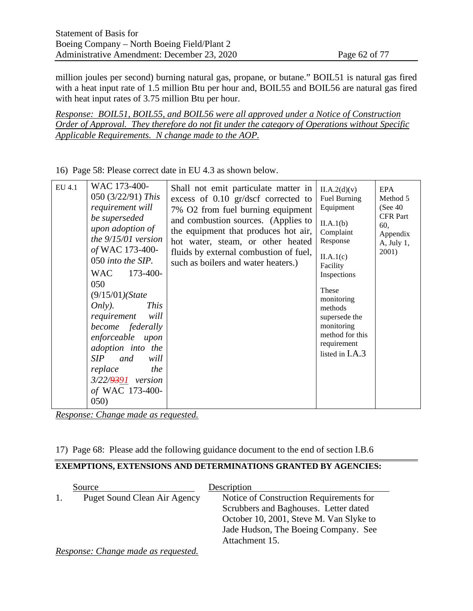million joules per second) burning natural gas, propane, or butane." BOIL51 is natural gas fired with a heat input rate of 1.5 million Btu per hour and, BOIL55 and BOIL56 are natural gas fired with heat input rates of 3.75 million Btu per hour.

*Response: BOIL51, BOIL55, and BOIL56 were all approved under a Notice of Construction Order of Approval. They therefore do not fit under the category of Operations without Specific Applicable Requirements. N change made to the AOP.*

EU 4.1 WAC 173-400- 050 (3/22/91) *This requirement will be superseded upon adoption of the 9/15/01 version of* WAC 173-400- 050 *into the SIP.* WAC 173-400-050 (9/15/01*)(State Only). This requirement will become federally enforceable upon adoption into the SIP and will replace the 3/22/9391 version of* WAC 173-400- 050) Shall not emit particulate matter in excess of 0.10 gr/dscf corrected to 7% O2 from fuel burning equipment and combustion sources. (Applies to the equipment that produces hot air, hot water, steam, or other heated fluids by external combustion of fuel, such as boilers and water heaters.)  $II.A.2(d)(v)$ Fuel Burning Equipment  $II.A.1(b)$ Complaint Response  $II.A.1(c)$ Facility Inspections These monitoring methods supersede the monitoring method for this requirement listed in I.A.3 EPA Method 5 (See 40 CFR Part 60, Appendix A, July 1, 2001)

16) Page 58: Please correct date in EU 4.3 as shown below.

*Response: Change made as requested.*

17) Page 68: Please add the following guidance document to the end of section I.B.6

#### **EXEMPTIONS, EXTENSIONS AND DETERMINATIONS GRANTED BY AGENCIES:**

| Source                       | Description                             |
|------------------------------|-----------------------------------------|
| Puget Sound Clean Air Agency | Notice of Construction Requirements for |
|                              | Scrubbers and Baghouses. Letter dated   |
|                              | October 10, 2001, Steve M. Van Slyke to |
|                              | Jade Hudson, The Boeing Company. See    |
|                              | Attachment 15.                          |

*Response: Change made as requested.*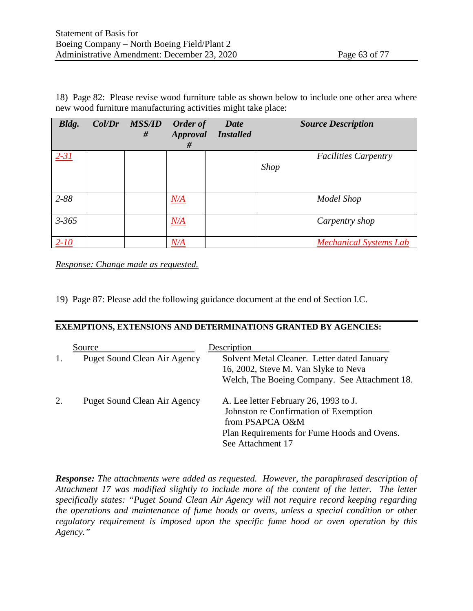18) Page 82: Please revise wood furniture table as shown below to include one other area where new wood furniture manufacturing activities might take place:

| Bldg.     | Col/Dr | <b>MSS/ID</b><br># | Order of<br>Approval<br># | Date<br><b>Installed</b> | <b>Source Description</b>                  |
|-----------|--------|--------------------|---------------------------|--------------------------|--------------------------------------------|
| $2 - 31$  |        |                    |                           |                          | <b>Facilities Carpentry</b><br><b>Shop</b> |
| 2-88      |        |                    | N/A                       |                          | Model Shop                                 |
| $3 - 365$ |        |                    | N/A                       |                          | Carpentry shop                             |
| $2 - 10$  |        |                    | <u>N/A</u>                |                          | <b>Mechanical Systems Lab</b>              |

*Response: Change made as requested.*

19) Page 87: Please add the following guidance document at the end of Section I.C.

#### **EXEMPTIONS, EXTENSIONS AND DETERMINATIONS GRANTED BY AGENCIES:**

|   | Source<br><b>Puget Sound Clean Air Agency</b> | Description<br>Solvent Metal Cleaner. Letter dated January<br>16, 2002, Steve M. Van Slyke to Neva<br>Welch, The Boeing Company. See Attachment 18.                   |
|---|-----------------------------------------------|-----------------------------------------------------------------------------------------------------------------------------------------------------------------------|
| 2 | <b>Puget Sound Clean Air Agency</b>           | A. Lee letter February 26, 1993 to J.<br>Johnston re Confirmation of Exemption<br>from PSAPCA O&M<br>Plan Requirements for Fume Hoods and Ovens.<br>See Attachment 17 |

*Response: The attachments were added as requested. However, the paraphrased description of Attachment 17 was modified slightly to include more of the content of the letter. The letter specifically states: "Puget Sound Clean Air Agency will not require record keeping regarding the operations and maintenance of fume hoods or ovens, unless a special condition or other regulatory requirement is imposed upon the specific fume hood or oven operation by this Agency."*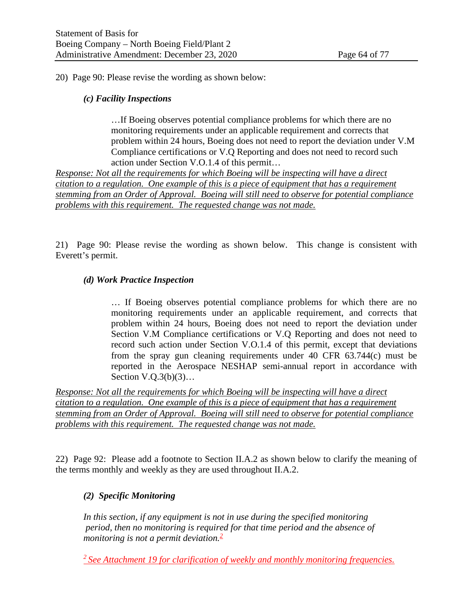20) Page 90: Please revise the wording as shown below:

#### *(c) Facility Inspections*

…If Boeing observes potential compliance problems for which there are no monitoring requirements under an applicable requirement and corrects that problem within 24 hours, Boeing does not need to report the deviation under V.M Compliance certifications or V.Q Reporting and does not need to record such action under Section V.O.1.4 of this permit…

*Response: Not all the requirements for which Boeing will be inspecting will have a direct citation to a regulation. One example of this is a piece of equipment that has a requirement stemming from an Order of Approval. Boeing will still need to observe for potential compliance problems with this requirement. The requested change was not made.* 

21) Page 90: Please revise the wording as shown below. This change is consistent with Everett's permit.

#### *(d) Work Practice Inspection*

… If Boeing observes potential compliance problems for which there are no monitoring requirements under an applicable requirement, and corrects that problem within 24 hours, Boeing does not need to report the deviation under Section V.M Compliance certifications or V.Q Reporting and does not need to record such action under Section V.O.1.4 of this permit, except that deviations from the spray gun cleaning requirements under 40 CFR 63.744(c) must be reported in the Aerospace NESHAP semi-annual report in accordance with Section V.Q.3(b)(3)…

*Response: Not all the requirements for which Boeing will be inspecting will have a direct citation to a regulation. One example of this is a piece of equipment that has a requirement stemming from an Order of Approval. Boeing will still need to observe for potential compliance problems with this requirement. The requested change was not made.* 

22) Page 92: Please add a footnote to Section II.A.2 as shown below to clarify the meaning of the terms monthly and weekly as they are used throughout II.A.2.

#### *(2) Specific Monitoring*

*In this section, if any equipment is not in use during the specified monitoring period, then no monitoring is required for that time period and the absence of monitoring is not a permit deviation.2*

*2 See Attachment 19 for clarification of weekly and monthly monitoring frequencies.*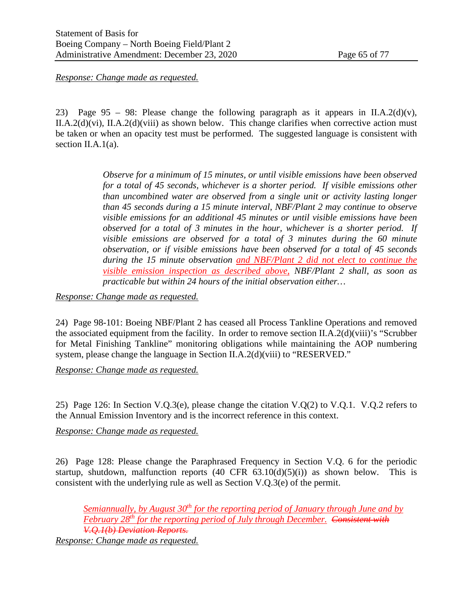*Response: Change made as requested.*

23) Page 95 – 98: Please change the following paragraph as it appears in II.A.2(d)(v), II.A.2(d)(vi), II.A.2(d)(viii) as shown below. This change clarifies when corrective action must be taken or when an opacity test must be performed. The suggested language is consistent with section II.A.1(a).

> *Observe for a minimum of 15 minutes, or until visible emissions have been observed for a total of 45 seconds, whichever is a shorter period. If visible emissions other than uncombined water are observed from a single unit or activity lasting longer than 45 seconds during a 15 minute interval, NBF/Plant 2 may continue to observe visible emissions for an additional 45 minutes or until visible emissions have been observed for a total of 3 minutes in the hour, whichever is a shorter period. If visible emissions are observed for a total of 3 minutes during the 60 minute observation, or if visible emissions have been observed for a total of 45 seconds during the 15 minute observation and NBF/Plant 2 did not elect to continue the visible emission inspection as described above, NBF/Plant 2 shall, as soon as practicable but within 24 hours of the initial observation either…*

*Response: Change made as requested.*

24) Page 98-101: Boeing NBF/Plant 2 has ceased all Process Tankline Operations and removed the associated equipment from the facility. In order to remove section II.A.2(d)(viii)'s "Scrubber" for Metal Finishing Tankline" monitoring obligations while maintaining the AOP numbering system, please change the language in Section II.A.2(d)(viii) to "RESERVED."

*Response: Change made as requested.*

25) Page 126: In Section V.O.3(e), please change the citation V.O.(2) to V.O.1. V.O.2 refers to the Annual Emission Inventory and is the incorrect reference in this context.

*Response: Change made as requested.*

26) Page 128: Please change the Paraphrased Frequency in Section V.Q. 6 for the periodic startup, shutdown, malfunction reports  $(40 \text{ CFR } 63.10(d)(5)(i))$  as shown below. This is consistent with the underlying rule as well as Section V.Q.3(e) of the permit.

*Semiannually, by August 30th for the reporting period of January through June and by February 28th for the reporting period of July through December. Consistent with V.Q.1(b) Deviation Reports. Response: Change made as requested.*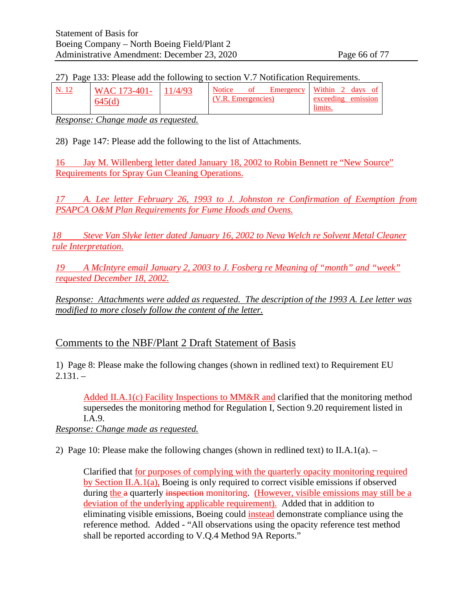#### 27) Page 133: Please add the following to section V.7 Notification Requirements.

| N. 12 | WAC 173-401- | 11/4/93 | <b>Notice</b>      | ΩŤ | Emergency Within 2 days of |                              |  |
|-------|--------------|---------|--------------------|----|----------------------------|------------------------------|--|
|       | 645(d)       |         | (V.R. Emergencies) |    |                            | exceeding emission<br>limits |  |

*Response: Change made as requested.*

28) Page 147: Please add the following to the list of Attachments.

16 Jay M. Willenberg letter dated January 18, 2002 to Robin Bennett re "New Source" Requirements for Spray Gun Cleaning Operations.

*17 A. Lee letter February 26, 1993 to J. Johnston re Confirmation of Exemption from PSAPCA O&M Plan Requirements for Fume Hoods and Ovens.*

*18 Steve Van Slyke letter dated January 16, 2002 to Neva Welch re Solvent Metal Cleaner rule Interpretation.*

*19 A McIntyre email January 2, 2003 to J. Fosberg re Meaning of "month" and "week" requested December 18, 2002.*

*Response: Attachments were added as requested. The description of the 1993 A. Lee letter was modified to more closely follow the content of the letter.* 

## Comments to the NBF/Plant 2 Draft Statement of Basis

1) Page 8: Please make the following changes (shown in redlined text) to Requirement EU  $2.131. -$ 

Added II.A.1(c) Facility Inspections to MM&R and clarified that the monitoring method supersedes the monitoring method for Regulation I, Section 9.20 requirement listed in I.A.9.

*Response: Change made as requested.*

2) Page 10: Please make the following changes (shown in redlined text) to II.A.1(a). –

Clarified that for purposes of complying with the quarterly opacity monitoring required by Section II.A.1(a), Boeing is only required to correct visible emissions if observed during the a quarterly inspection monitoring. (However, visible emissions may still be a deviation of the underlying applicable requirement). Added that in addition to eliminating visible emissions, Boeing could instead demonstrate compliance using the reference method. Added - "All observations using the opacity reference test method shall be reported according to V.Q.4 Method 9A Reports."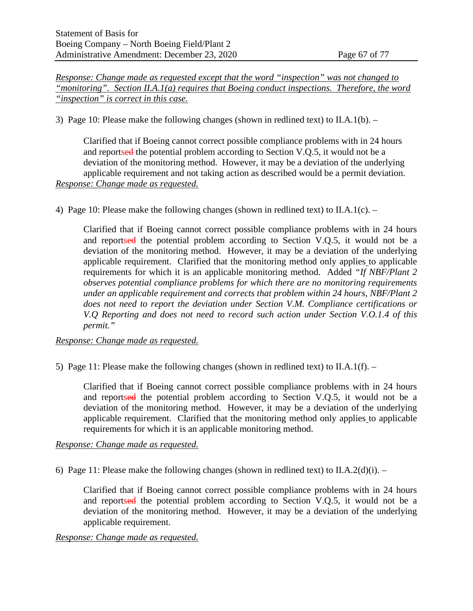*Response: Change made as requested except that the word "inspection" was not changed to "monitoring". Section II.A.1(a) requires that Boeing conduct inspections. Therefore, the word "inspection" is correct in this case.*

3) Page 10: Please make the following changes (shown in redlined text) to II.A.1(b). –

Clarified that if Boeing cannot correct possible compliance problems with in 24 hours and reportsed the potential problem according to Section V.Q.5, it would not be a deviation of the monitoring method. However, it may be a deviation of the underlying applicable requirement and not taking action as described would be a permit deviation. *Response: Change made as requested.*

4) Page 10: Please make the following changes (shown in redlined text) to  $II.A.1(c)$ . –

Clarified that if Boeing cannot correct possible compliance problems with in 24 hours and reportsed the potential problem according to Section V.O.5, it would not be a deviation of the monitoring method. However, it may be a deviation of the underlying applicable requirement. Clarified that the monitoring method only applies to applicable requirements for which it is an applicable monitoring method. Added *"If NBF/Plant 2 observes potential compliance problems for which there are no monitoring requirements under an applicable requirement and corrects that problem within 24 hours, NBF/Plant 2 does not need to report the deviation under Section V.M. Compliance certifications or V.Q Reporting and does not need to record such action under Section V.O.1.4 of this permit."*

*Response: Change made as requested.*

5) Page 11: Please make the following changes (shown in redlined text) to II.A.1(f).  $-$ 

Clarified that if Boeing cannot correct possible compliance problems with in 24 hours and reportsed the potential problem according to Section V.Q.5, it would not be a deviation of the monitoring method. However, it may be a deviation of the underlying applicable requirement. Clarified that the monitoring method only applies to applicable requirements for which it is an applicable monitoring method.

*Response: Change made as requested.*

6) Page 11: Please make the following changes (shown in redlined text) to II.A.2(d)(i).  $-$ 

Clarified that if Boeing cannot correct possible compliance problems with in 24 hours and reportsed the potential problem according to Section V.Q.5, it would not be a deviation of the monitoring method. However, it may be a deviation of the underlying applicable requirement.

#### *Response: Change made as requested.*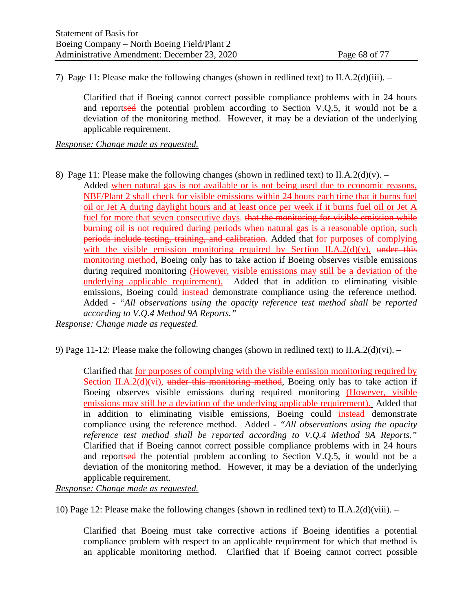7) Page 11: Please make the following changes (shown in redlined text) to II.A.2(d)(iii). –

Clarified that if Boeing cannot correct possible compliance problems with in 24 hours and reportsed the potential problem according to Section V.Q.5, it would not be a deviation of the monitoring method. However, it may be a deviation of the underlying applicable requirement.

*Response: Change made as requested.*

- 8) Page 11: Please make the following changes (shown in redlined text) to II.A.2(d)(v).
	- Added when natural gas is not available or is not being used due to economic reasons, NBF/Plant 2 shall check for visible emissions within 24 hours each time that it burns fuel oil or Jet A during daylight hours and at least once per week if it burns fuel oil or Jet A fuel for more that seven consecutive days. that the monitoring for visible emission while burning oil is not required during periods when natural gas is a reasonable option, such periods include testing, training, and calibration. Added that for purposes of complying with the visible emission monitoring required by Section II.A.2(d)(v), under this monitoring method, Boeing only has to take action if Boeing observes visible emissions during required monitoring (However, visible emissions may still be a deviation of the underlying applicable requirement). Added that in addition to eliminating visible emissions, Boeing could instead demonstrate compliance using the reference method. Added - *"All observations using the opacity reference test method shall be reported according to V.Q.4 Method 9A Reports."*

*Response: Change made as requested.*

9) Page 11-12: Please make the following changes (shown in redlined text) to II.A.2(d)(vi).  $-$ 

Clarified that for purposes of complying with the visible emission monitoring required by Section II.A.2(d)(vi), under this monitoring method, Boeing only has to take action if Boeing observes visible emissions during required monitoring (However, visible emissions may still be a deviation of the underlying applicable requirement). Added that in addition to eliminating visible emissions, Boeing could instead demonstrate compliance using the reference method. Added - *"All observations using the opacity reference test method shall be reported according to V.Q.4 Method 9A Reports."*  Clarified that if Boeing cannot correct possible compliance problems with in 24 hours and reportsed the potential problem according to Section V.O.5, it would not be a deviation of the monitoring method. However, it may be a deviation of the underlying applicable requirement.

*Response: Change made as requested.*

10) Page 12: Please make the following changes (shown in redlined text) to II.A.2(d)(viii). –

Clarified that Boeing must take corrective actions if Boeing identifies a potential compliance problem with respect to an applicable requirement for which that method is an applicable monitoring method. Clarified that if Boeing cannot correct possible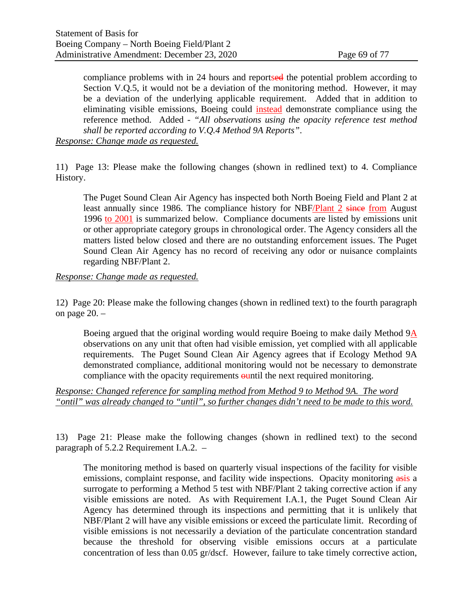compliance problems with in 24 hours and reportsed the potential problem according to Section V.Q.5, it would not be a deviation of the monitoring method. However, it may be a deviation of the underlying applicable requirement. Added that in addition to eliminating visible emissions, Boeing could instead demonstrate compliance using the reference method. Added - *"All observations using the opacity reference test method shall be reported according to V.Q.4 Method 9A Reports"*.

*Response: Change made as requested.*

11) Page 13: Please make the following changes (shown in redlined text) to 4. Compliance History.

The Puget Sound Clean Air Agency has inspected both North Boeing Field and Plant 2 at least annually since 1986. The compliance history for NBF/Plant 2 since from August 1996 to 2001 is summarized below. Compliance documents are listed by emissions unit or other appropriate category groups in chronological order. The Agency considers all the matters listed below closed and there are no outstanding enforcement issues. The Puget Sound Clean Air Agency has no record of receiving any odor or nuisance complaints regarding NBF/Plant 2.

#### *Response: Change made as requested.*

12) Page 20: Please make the following changes (shown in redlined text) to the fourth paragraph on page 20. –

Boeing argued that the original wording would require Boeing to make daily Method 9A observations on any unit that often had visible emission, yet complied with all applicable requirements. The Puget Sound Clean Air Agency agrees that if Ecology Method 9A demonstrated compliance, additional monitoring would not be necessary to demonstrate compliance with the opacity requirements ountil the next required monitoring.

*Response: Changed reference for sampling method from Method 9 to Method 9A. The word "ontil" was already changed to "until", so further changes didn't need to be made to this word.*

13) Page 21: Please make the following changes (shown in redlined text) to the second paragraph of 5.2.2 Requirement I.A.2. –

The monitoring method is based on quarterly visual inspections of the facility for visible emissions, complaint response, and facility wide inspections. Opacity monitoring asis a surrogate to performing a Method 5 test with NBF/Plant 2 taking corrective action if any visible emissions are noted. As with Requirement I.A.1, the Puget Sound Clean Air Agency has determined through its inspections and permitting that it is unlikely that NBF/Plant 2 will have any visible emissions or exceed the particulate limit. Recording of visible emissions is not necessarily a deviation of the particulate concentration standard because the threshold for observing visible emissions occurs at a particulate concentration of less than 0.05 gr/dscf. However, failure to take timely corrective action,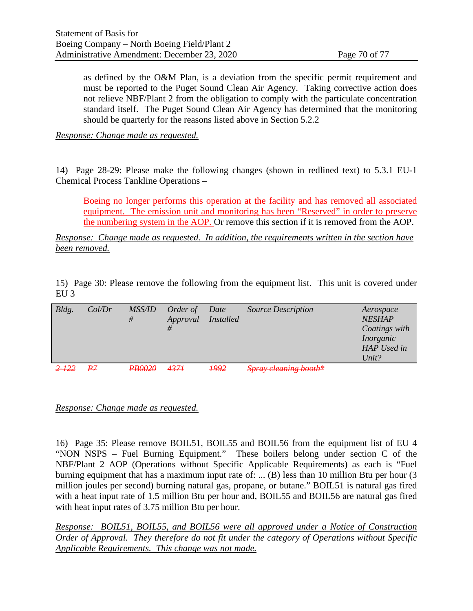as defined by the O&M Plan, is a deviation from the specific permit requirement and must be reported to the Puget Sound Clean Air Agency. Taking corrective action does not relieve NBF/Plant 2 from the obligation to comply with the particulate concentration standard itself. The Puget Sound Clean Air Agency has determined that the monitoring should be quarterly for the reasons listed above in Section 5.2.2

*Response: Change made as requested.*

14) Page 28-29: Please make the following changes (shown in redlined text) to 5.3.1 EU-1 Chemical Process Tankline Operations –

Boeing no longer performs this operation at the facility and has removed all associated equipment. The emission unit and monitoring has been "Reserved" in order to preserve the numbering system in the AOP. Or remove this section if it is removed from the AOP.

*Response: Change made as requested. In addition, the requirements written in the section have been removed.*

15) Page 30: Please remove the following from the equipment list. This unit is covered under EU 3

| Bldg.     | Col/Dr | <i>MSS/ID</i><br># | Order of<br>Approval<br># | Date<br><i>Installed</i> | <b>Source Description</b> | Aerospace<br><b>NESHAP</b><br>Coatings with<br>Inorganic<br>HAP Used in<br>Unit? |
|-----------|--------|--------------------|---------------------------|--------------------------|---------------------------|----------------------------------------------------------------------------------|
| $2 - 122$ | ₽7     | <b>PB0020</b>      | 4374                      | <b>1992</b>              | Spray cleaning booth*     |                                                                                  |

*Response: Change made as requested.*

16) Page 35: Please remove BOIL51, BOIL55 and BOIL56 from the equipment list of EU 4 "NON NSPS – Fuel Burning Equipment." These boilers belong under section C of the NBF/Plant 2 AOP (Operations without Specific Applicable Requirements) as each is "Fuel burning equipment that has a maximum input rate of: ... (B) less than 10 million Btu per hour (3 million joules per second) burning natural gas, propane, or butane." BOIL51 is natural gas fired with a heat input rate of 1.5 million Btu per hour and, BOIL55 and BOIL56 are natural gas fired with heat input rates of 3.75 million Btu per hour.

*Response: BOIL51, BOIL55, and BOIL56 were all approved under a Notice of Construction Order of Approval. They therefore do not fit under the category of Operations without Specific Applicable Requirements. This change was not made.*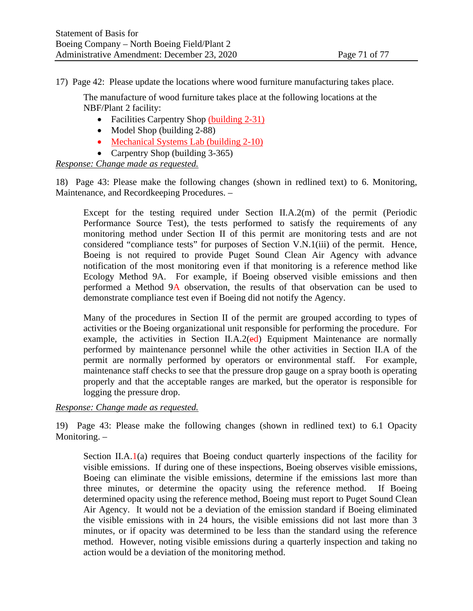17) Page 42: Please update the locations where wood furniture manufacturing takes place.

The manufacture of wood furniture takes place at the following locations at the NBF/Plant 2 facility:

- Facilities Carpentry Shop (building 2-31)
- Model Shop (building 2-88)
- Mechanical Systems Lab (building 2-10)
- Carpentry Shop (building 3-365)

*Response: Change made as requested.*

18) Page 43: Please make the following changes (shown in redlined text) to 6. Monitoring, Maintenance, and Recordkeeping Procedures. –

Except for the testing required under Section II.A.2(m) of the permit (Periodic Performance Source Test), the tests performed to satisfy the requirements of any monitoring method under Section II of this permit are monitoring tests and are not considered "compliance tests" for purposes of Section V.N.1(iii) of the permit. Hence, Boeing is not required to provide Puget Sound Clean Air Agency with advance notification of the most monitoring even if that monitoring is a reference method like Ecology Method 9A. For example, if Boeing observed visible emissions and then performed a Method 9A observation, the results of that observation can be used to demonstrate compliance test even if Boeing did not notify the Agency.

Many of the procedures in Section II of the permit are grouped according to types of activities or the Boeing organizational unit responsible for performing the procedure. For example, the activities in Section II.A.2 $\left(\text{ed}\right)$  Equipment Maintenance are normally performed by maintenance personnel while the other activities in Section II.A of the permit are normally performed by operators or environmental staff. For example, maintenance staff checks to see that the pressure drop gauge on a spray booth is operating properly and that the acceptable ranges are marked, but the operator is responsible for logging the pressure drop.

*Response: Change made as requested.*

19) Page 43: Please make the following changes (shown in redlined text) to 6.1 Opacity Monitoring. –

Section II.A.1(a) requires that Boeing conduct quarterly inspections of the facility for visible emissions. If during one of these inspections, Boeing observes visible emissions, Boeing can eliminate the visible emissions, determine if the emissions last more than three minutes, or determine the opacity using the reference method. If Boeing determined opacity using the reference method, Boeing must report to Puget Sound Clean Air Agency. It would not be a deviation of the emission standard if Boeing eliminated the visible emissions with in 24 hours, the visible emissions did not last more than 3 minutes, or if opacity was determined to be less than the standard using the reference method. However, noting visible emissions during a quarterly inspection and taking no action would be a deviation of the monitoring method.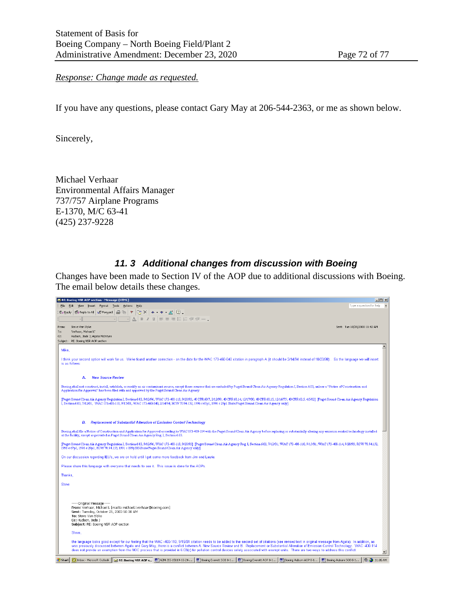*Response: Change made as requested.*

If you have any questions, please contact Gary May at 206-544-2363, or me as shown below.

Sincerely,

Michael Verhaar Environmental Affairs Manager 737/757 Airplane Programs E-1370, M/C 63-41 (425) 237-9228

#### *11. 3 Additional changes from discussion with Boeing*

Changes have been made to Section IV of the AOP due to additional discussions with Boeing. The email below details these changes.

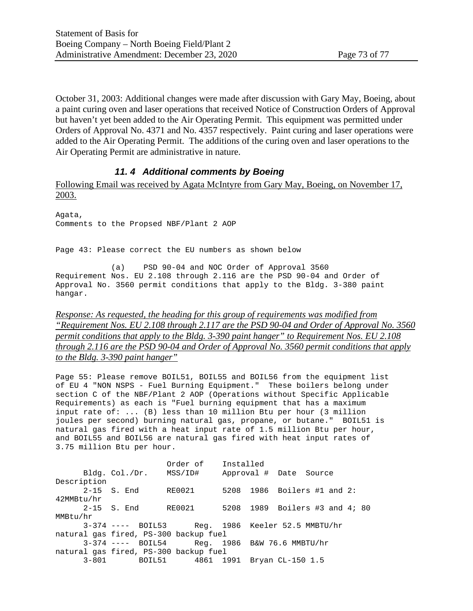October 31, 2003: Additional changes were made after discussion with Gary May, Boeing, about a paint curing oven and laser operations that received Notice of Construction Orders of Approval but haven't yet been added to the Air Operating Permit. This equipment was permitted under Orders of Approval No. 4371 and No. 4357 respectively. Paint curing and laser operations were added to the Air Operating Permit. The additions of the curing oven and laser operations to the Air Operating Permit are administrative in nature.

#### *11. 4 Additional comments by Boeing*

Following Email was received by Agata McIntyre from Gary May, Boeing, on November 17, 2003.

Agata, Comments to the Propsed NBF/Plant 2 AOP

Page 43: Please correct the EU numbers as shown below

(a) PSD 90-04 and NOC Order of Approval 3560 Requirement Nos. EU 2.108 through 2.116 are the PSD 90-04 and Order of Approval No. 3560 permit conditions that apply to the Bldg. 3-380 paint hangar.

*Response: As requested, the heading for this group of requirements was modified from "Requirement Nos. EU 2.108 through 2.117 are the PSD 90-04 and Order of Approval No. 3560 permit conditions that apply to the Bldg. 3-390 paint hanger" to Requirement Nos. EU 2.108 through 2.116 are the PSD 90-04 and Order of Approval No. 3560 permit conditions that apply to the Bldg. 3-390 paint hanger"*

Page 55: Please remove BOIL51, BOIL55 and BOIL56 from the equipment list of EU 4 "NON NSPS - Fuel Burning Equipment." These boilers belong under section C of the NBF/Plant 2 AOP (Operations without Specific Applicable Requirements) as each is "Fuel burning equipment that has a maximum input rate of: ... (B) less than 10 million Btu per hour (3 million joules per second) burning natural gas, propane, or butane." BOIL51 is natural gas fired with a heat input rate of 1.5 million Btu per hour, and BOIL55 and BOIL56 are natural gas fired with heat input rates of 3.75 million Btu per hour.

| 2-15 S. End                           | RE0021 |                                  |                                                   |           |  |                                                                                                                      |                                                                                                                     |
|---------------------------------------|--------|----------------------------------|---------------------------------------------------|-----------|--|----------------------------------------------------------------------------------------------------------------------|---------------------------------------------------------------------------------------------------------------------|
|                                       |        |                                  |                                                   |           |  |                                                                                                                      |                                                                                                                     |
| 2-15 S. End                           |        |                                  |                                                   |           |  |                                                                                                                      |                                                                                                                     |
|                                       |        |                                  |                                                   |           |  |                                                                                                                      |                                                                                                                     |
|                                       |        |                                  |                                                   |           |  |                                                                                                                      |                                                                                                                     |
| natural gas fired, PS-300 backup fuel |        |                                  |                                                   |           |  |                                                                                                                      |                                                                                                                     |
|                                       |        |                                  |                                                   |           |  |                                                                                                                      |                                                                                                                     |
|                                       |        |                                  |                                                   |           |  |                                                                                                                      |                                                                                                                     |
|                                       |        |                                  |                                                   |           |  |                                                                                                                      |                                                                                                                     |
|                                       |        | Bldg. Col./Dr. MSS/ID#<br>RE0021 | Order of<br>natural gas fired, PS-300 backup fuel | Installed |  | Approval # Date Source<br>$3-374$ ---- BOIL54 Req. 1986 B&W 76.6 MMBTU/hr<br>3-801 BOIL51 4861 1991 Bryan CL-150 1.5 | 5208 1986 Boilers #1 and 2:<br>5208 1989 Boilers #3 and 4; 80<br>$3-374$ ---- BOIL53 Req. 1986 Keeler 52.5 MMBTU/hr |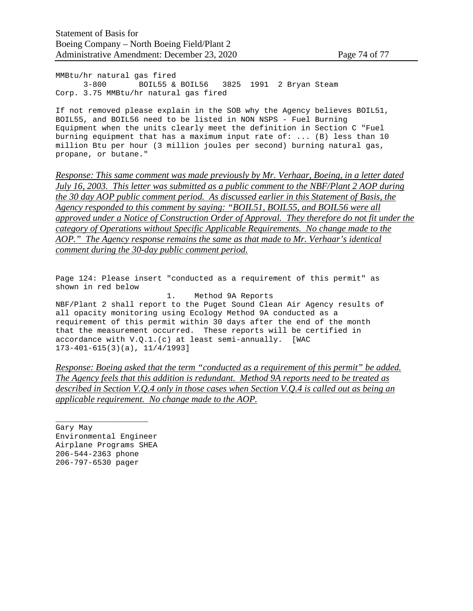MMBtu/hr natural gas fired<br>3-800 BOIL55 & BOIL55 & BOIL56 3825 1991 2 Bryan Steam Corp. 3.75 MMBtu/hr natural gas fired

If not removed please explain in the SOB why the Agency believes BOIL51, BOIL55, and BOIL56 need to be listed in NON NSPS - Fuel Burning Equipment when the units clearly meet the definition in Section C "Fuel burning equipment that has a maximum input rate of: ... (B) less than 10 million Btu per hour (3 million joules per second) burning natural gas, propane, or butane."

*Response: This same comment was made previously by Mr. Verhaar, Boeing, in a letter dated July 16, 2003. This letter was submitted as a public comment to the NBF/Plant 2 AOP during the 30 day AOP public comment period. As discussed earlier in this Statement of Basis, the Agency responded to this comment by saying: "BOIL51, BOIL55, and BOIL56 were all approved under a Notice of Construction Order of Approval. They therefore do not fit under the category of Operations without Specific Applicable Requirements. No change made to the AOP." The Agency response remains the same as that made to Mr. Verhaar's identical comment during the 30-day public comment period.*

Page 124: Please insert "conducted as a requirement of this permit" as shown in red below 1. Method 9A Reports NBF/Plant 2 shall report to the Puget Sound Clean Air Agency results of all opacity monitoring using Ecology Method 9A conducted as a requirement of this permit within 30 days after the end of the month that the measurement occurred. These reports will be certified in

accordance with V.Q.1.(c) at least semi-annually. [WAC 173-401-615(3)(a), 11/4/1993]

*Response: Boeing asked that the term "conducted as a requirement of this permit" be added. The Agency feels that this addition is redundant. Method 9A reports need to be treated as described in Section V.Q.4 only in those cases when Section V.Q.4 is called out as being an applicable requirement. No change made to the AOP.*

\_\_\_\_\_\_\_\_\_\_\_\_\_\_\_\_\_\_\_\_ Gary May Environmental Engineer Airplane Programs SHEA 206-544-2363 phone 206-797-6530 pager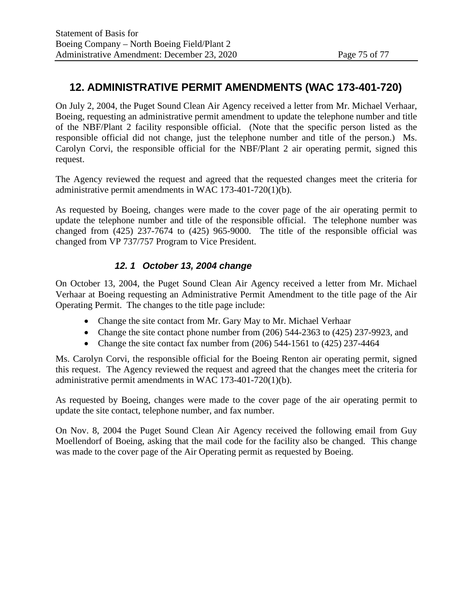# **12. ADMINISTRATIVE PERMIT AMENDMENTS (WAC 173-401-720)**

On July 2, 2004, the Puget Sound Clean Air Agency received a letter from Mr. Michael Verhaar, Boeing, requesting an administrative permit amendment to update the telephone number and title of the NBF/Plant 2 facility responsible official. (Note that the specific person listed as the responsible official did not change, just the telephone number and title of the person.) Ms. Carolyn Corvi, the responsible official for the NBF/Plant 2 air operating permit, signed this request.

The Agency reviewed the request and agreed that the requested changes meet the criteria for administrative permit amendments in WAC 173-401-720(1)(b).

As requested by Boeing, changes were made to the cover page of the air operating permit to update the telephone number and title of the responsible official. The telephone number was changed from (425) 237-7674 to (425) 965-9000. The title of the responsible official was changed from VP 737/757 Program to Vice President.

# *12. 1 October 13, 2004 change*

On October 13, 2004, the Puget Sound Clean Air Agency received a letter from Mr. Michael Verhaar at Boeing requesting an Administrative Permit Amendment to the title page of the Air Operating Permit. The changes to the title page include:

- Change the site contact from Mr. Gary May to Mr. Michael Verhaar
- Change the site contact phone number from (206) 544-2363 to (425) 237-9923, and
- Change the site contact fax number from  $(206)$  544-1561 to  $(425)$  237-4464

Ms. Carolyn Corvi, the responsible official for the Boeing Renton air operating permit, signed this request. The Agency reviewed the request and agreed that the changes meet the criteria for administrative permit amendments in WAC 173-401-720(1)(b).

As requested by Boeing, changes were made to the cover page of the air operating permit to update the site contact, telephone number, and fax number.

On Nov. 8, 2004 the Puget Sound Clean Air Agency received the following email from Guy Moellendorf of Boeing, asking that the mail code for the facility also be changed. This change was made to the cover page of the Air Operating permit as requested by Boeing.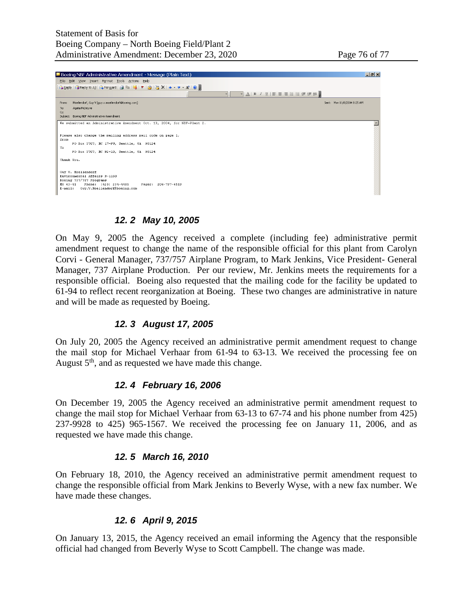

#### *12. 2 May 10, 2005*

On May 9, 2005 the Agency received a complete (including fee) administrative permit amendment request to change the name of the responsible official for this plant from Carolyn Corvi - General Manager, 737/757 Airplane Program, to Mark Jenkins, Vice President- General Manager, 737 Airplane Production. Per our review, Mr. Jenkins meets the requirements for a responsible official. Boeing also requested that the mailing code for the facility be updated to 61-94 to reflect recent reorganization at Boeing. These two changes are administrative in nature and will be made as requested by Boeing.

#### *12. 3 August 17, 2005*

On July 20, 2005 the Agency received an administrative permit amendment request to change the mail stop for Michael Verhaar from 61-94 to 63-13. We received the processing fee on August  $5<sup>th</sup>$ , and as requested we have made this change.

#### *12. 4 February 16, 2006*

On December 19, 2005 the Agency received an administrative permit amendment request to change the mail stop for Michael Verhaar from 63-13 to 67-74 and his phone number from 425) 237-9928 to 425) 965-1567. We received the processing fee on January 11, 2006, and as requested we have made this change.

#### *12. 5 March 16, 2010*

On February 18, 2010, the Agency received an administrative permit amendment request to change the responsible official from Mark Jenkins to Beverly Wyse, with a new fax number. We have made these changes.

### *12. 6 April 9, 2015*

On January 13, 2015, the Agency received an email informing the Agency that the responsible official had changed from Beverly Wyse to Scott Campbell. The change was made.